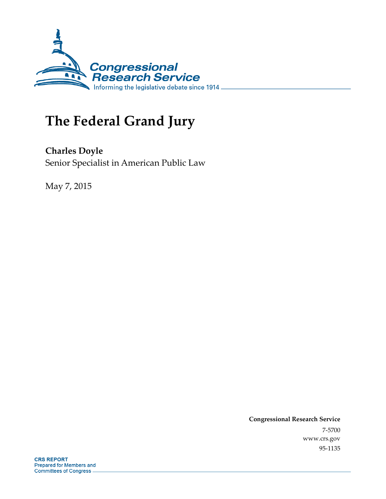

# **The Federal Grand Jury**

**Charles Doyle**  Senior Specialist in American Public Law

May 7, 2015

**Congressional Research Service**  7-5700 www.crs.gov 95-1135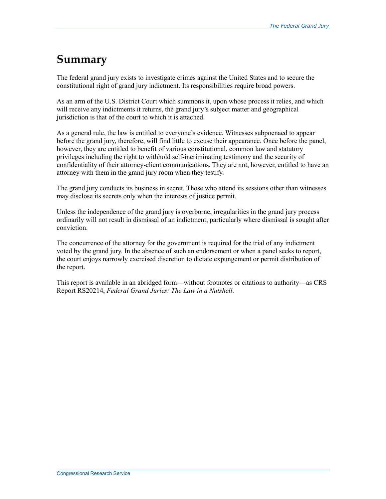# **Summary**

The federal grand jury exists to investigate crimes against the United States and to secure the constitutional right of grand jury indictment. Its responsibilities require broad powers.

As an arm of the U.S. District Court which summons it, upon whose process it relies, and which will receive any indictments it returns, the grand jury's subject matter and geographical jurisdiction is that of the court to which it is attached.

As a general rule, the law is entitled to everyone's evidence. Witnesses subpoenaed to appear before the grand jury, therefore, will find little to excuse their appearance. Once before the panel, however, they are entitled to benefit of various constitutional, common law and statutory privileges including the right to withhold self-incriminating testimony and the security of confidentiality of their attorney-client communications. They are not, however, entitled to have an attorney with them in the grand jury room when they testify.

The grand jury conducts its business in secret. Those who attend its sessions other than witnesses may disclose its secrets only when the interests of justice permit.

Unless the independence of the grand jury is overborne, irregularities in the grand jury process ordinarily will not result in dismissal of an indictment, particularly where dismissal is sought after conviction.

The concurrence of the attorney for the government is required for the trial of any indictment voted by the grand jury. In the absence of such an endorsement or when a panel seeks to report, the court enjoys narrowly exercised discretion to dictate expungement or permit distribution of the report.

This report is available in an abridged form—without footnotes or citations to authority—as CRS Report RS20214, *Federal Grand Juries: The Law in a Nutshell*.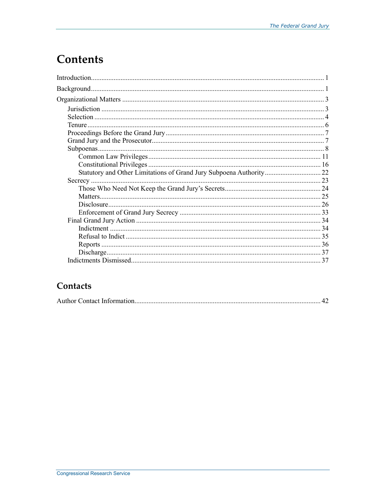# **Contents**

# Contacts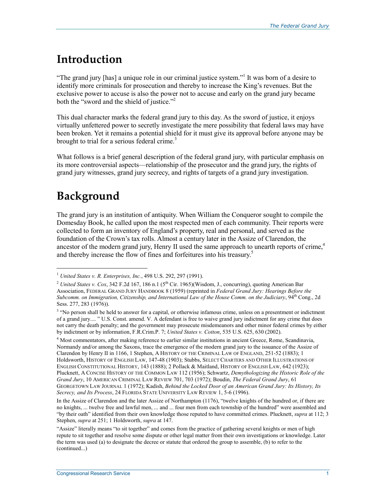# **Introduction**

"The grand jury [has] a unique role in our criminal justice system."<sup>1</sup> It was born of a desire to identify more criminals for prosecution and thereby to increase the King's revenues. But the exclusive power to accuse is also the power not to accuse and early on the grand jury became both the "sword and the shield of justice." $\lambda^2$ 

This dual character marks the federal grand jury to this day. As the sword of justice, it enjoys virtually unfettered power to secretly investigate the mere possibility that federal laws may have been broken. Yet it remains a potential shield for it must give its approval before anyone may be brought to trial for a serious federal crime.<sup>3</sup>

What follows is a brief general description of the federal grand jury, with particular emphasis on its more controversial aspects—relationship of the prosecutor and the grand jury, the rights of grand jury witnesses, grand jury secrecy, and rights of targets of a grand jury investigation.

# **Background**

1

The grand jury is an institution of antiquity. When William the Conqueror sought to compile the Domesday Book, he called upon the most respected men of each community. Their reports were collected to form an inventory of England's property, real and personal, and served as the foundation of the Crown's tax rolls. Almost a century later in the Assize of Clarendon, the ancestor of the modern grand jury, Henry II used the same approach to unearth reports of crime,<sup>4</sup> and thereby increase the flow of fines and forfeitures into his treasury.5

<sup>1</sup> *United States v. R. Enterprises, Inc.*, 498 U.S. 292, 297 (1991).

<sup>&</sup>lt;sup>2</sup> *United States v. Cox*, 342 F.2d 167, 186 n.1 ( $5<sup>th</sup>$  Cir. 1965)(Wisdom, J., concurring), quoting American Bar Association, FEDERAL GRAND JURY HANDBOOK 8 (1959) (reprinted in *Federal Grand Jury: Hearings Before the Subcomm. on Immigration, Citizenship, and International Law of the House Comm. on the Judiciary*, 94<sup>th</sup> Cong., 2d Sess. 277, 283 (1976)).

<sup>&</sup>lt;sup>3</sup> "No person shall be held to answer for a capital, or otherwise infamous crime, unless on a presentment or indictment of a grand jury.... " U.S. Const. amend. V. A defendant is free to waive grand jury indictment for any crime that does not carry the death penalty; and the government may prosecute misdemeanors and other minor federal crimes by either by indictment or by information, F.R.Crim.P. 7; *United States v. Cotton*, 535 U.S. 625, 630 (2002).

<sup>&</sup>lt;sup>4</sup> Most commentators, after making reference to earlier similar institutions in ancient Greece, Rome, Scandinavia, Normandy and/or among the Saxons, trace the emergence of the modern grand jury to the issuance of the Assize of Clarendon by Henry II in 1166, 1 Stephen, A HISTORY OF THE CRIMINAL LAW OF ENGLAND, 251-52 (1883); 1 Holdsworth, HISTORY OF ENGLISH LAW, 147-48 (1903); Stubbs, SELECT CHARTERS AND OTHER ILLUSTRATIONS OF ENGLISH CONSTITUTIONAL HISTORY, 143 (1888); 2 Pollack & Maitland, HISTORY OF ENGLISH LAW, 642 (1923); Plucknett, A CONCISE HISTORY OF THE COMMON LAW 112 (1956); Schwartz, *Demythologizing the Historic Role of the Grand Jury*, 10 AMERICAN CRIMINAL LAW REVIEW 701, 703 (1972); Boudin, *The Federal Grand Jury*, 61 GEORGETOWN LAW JOURNAL 1 (1972); Kadish, *Behind the Locked Door of an American Grand Jury: Its History, Its Secrecy, and Its Process*, 24 FLORIDA STATE UNIVERSITY LAW REVIEW 1, 5-6 (1996).

In the Assize of Clarendon and the later Assize of Northampton (1176), "twelve knights of the hundred or, if there are no knights, ... twelve free and lawful men, ... and ... four men from each township of the hundred" were assembled and "by their oath" identified from their own knowledge those reputed to have committed crimes. Plucknett, *supra* at 112; 3 Stephen, *supra* at 251; 1 Holdsworth, *supra* at 147.

<sup>&</sup>quot;Assize" literally means "to sit together" and comes from the practice of gathering several knights or men of high repute to sit together and resolve some dispute or other legal matter from their own investigations or knowledge. Later the term was used (a) to designate the decree or statute that ordered the group to assemble, (b) to refer to the (continued...)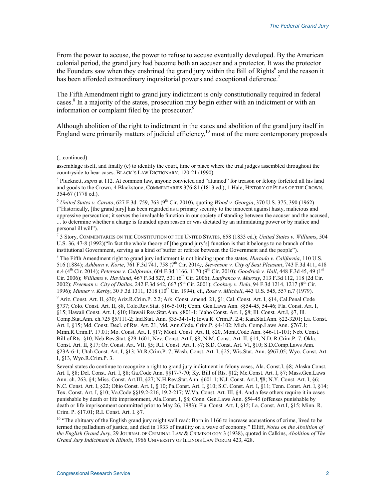From the power to accuse, the power to refuse to accuse eventually developed. By the American colonial period, the grand jury had become both an accuser and a protector. It was the protector the Founders saw when they enshrined the grand jury within the Bill of Rights<sup>6</sup> and the reason it has been afforded extraordinary inquisitorial powers and exceptional deference.<sup>7</sup>

The Fifth Amendment right to grand jury indictment is only constitutionally required in federal cases.<sup>8</sup> In a majority of the states, prosecution may begin either with an indictment or with an information or complaint filed by the prosecutor.<sup>9</sup>

Although abolition of the right to indictment in the states and abolition of the grand jury itself in England were primarily matters of judicial efficiency,  $10$  most of the more contemporary proposals

1

8 The Fifth Amendment right to grand jury indictment is not binding upon the states, *Hurtado v. California*, 110 U.S. 516 (1884); *Ashburn v. Korte*, 761 F.3d 741, 758 (7th Cir. 2014*); Stevenson v. City of Seat Pleasant*, 743 F.3d 411, 418 n.4 (4th Cir. 2014); *Peterson v. California*, 604 F.3d 1166, 1170 (9th Cir. 2010); *Goodrich v. Hall*, 448 F.3d 45, 49 (1st Cir. 2006); *Williams v. Haviland*, 467 F.3d 527, 531 (6th Cir. 2006); *Lanfranco v. Murray*, 313 F.3d 112, 118 (2d Cir. 2002); *Freeman v. City of Dallas*, 242 F.3d 642, 667 (5th Cir. 2001); *Cooksey v. Delo*, 94 F.3d 1214, 1217 (8th Cir. 1996); *Minner v. Kerby*, 30 F.3d 1311, 1318 (10th Cir. 1994); cf., *Rose v. Mitchell*, 443 U.S. 545, 557 n.7 (1979).

9 Ariz. Const. Art. II, §30; Ariz.R.Crim.P. 2.2; Ark. Const. amend. 21, §1; Cal. Const. Art. I, §14, Cal.Penal Code §737; Colo. Const. Art. II, §8, Colo.Rev.Stat. §16-5-101; Conn. Gen.Laws Ann. §§54-45, 54-46; Fla. Const. Art. I, §15; Hawaii Const. Art. I, §10; Hawaii Rev.Stat.Ann. §801-1; Idaho Const. Art. I, §8; Ill. Const. Art.I, §7, Ill. Comp.Stat.Ann. ch.725 §5/111-2; Ind.Stat. Ann. §35-34-1-1; Iowa R. Crim.P. 2.4; Kan.Stat.Ann. §22-3201; La. Const. Art. I, §15; Md. Const. Decl. of Rts. Art. 21, Md. Ann.Code, Crim.P. §4-102; Mich. Comp.Laws Ann. §767.1; Minn.R.Crim.P. 17.01; Mo. Const. Art. I, §17; Mont. Const. Art. II, §20, Mont.Code Ann. §46-11-101; Neb. Const. Bill of Rts. §10; Neb.Rev.Stat. §29-1601; Nev. Const. Art.I, §8; N.M. Const. Art. II, §14; N.D. R.Crim.P. 7; Okla. Const. Art. II, §17; Or. Const. Art. VII, §5; R.I. Const. Art. I, §7; S.D. Const. Art. VI, §10; S.D.Comp.Laws Ann. §23A-6-1; Utah Const. Art. I, §13; Vt.R.Crim.P. 7; Wash. Const. Art. I, §25; Wis.Stat. Ann. §967.05; Wyo. Const. Art. I, §13, Wyo.R.Crim.P. 3.

Several states do continue to recognize a right to grand jury indictment in felony cases, Ala. Const.I, §8; Alaska Const. Art. I, §8; Del. Const. Art. I, §8; Ga.Code Ann. §§17-7-70; Ky. Bill of Rts. §12; Me.Const. Art. I, §7; Mass.Gen.Laws Ann. ch. 263, §4; Miss. Const. Art.III, §27; N.H.Rev.Stat.Ann. §601:1; N.J. Const. Art.I, ¶8; N.Y. Const. Art. I, §6; N.C. Const. Art. I, §22; Ohio Const. Art. I, § 10; Pa.Const. Art. I, §10; S.C. Const. Art. I, §11; Tenn. Const. Art. I, §14; Tex. Const. Art. I, §10; Va.Code §§19.2-216, 19.2-217; W.Va. Const. Art. III, §4. And a few others require it in cases punishable by death or life imprisonment, Ala.Const. I, §8; Conn. Gen.Laws Ann. §54-45 (offenses punishable by death or life imprisonment committed prior to May 26, 1983); Fla. Const. Art. I, §15; La. Const. Art.I, §15; Minn. R. Crim. P. §17.01; R.I. Const. Art. I. §7.

<sup>10</sup> "The obituary of the English grand jury might well read: Born in 1166 to increase accusations of crime, lived to be termed the palladium of justice, and died in 1933 of inutility on a wave of economy." Elliff, *Notes on the Abolition of the English Grand Jury*, 29 JOURNAL OF CRIMINAL LAW & CRIMINOLOGY 3 (1938), quoted in Calkins, *Abolition of The Grand Jury Indictment in Illinois*, 1966 UNIVERSITY OF ILLINOIS LAW FORUM 423, 428.

<sup>(...</sup>continued)

assemblage itself, and finally (c) to identify the court, time or place where the trial judges assembled throughout the countryside to hear cases. BLACK'S LAW DICTIONARY, 120-21 (1990).

<sup>&</sup>lt;sup>5</sup> Plucknett, *supra* at 112. At common law, anyone convicted and "attained" for treason or felony forfeited all his land and goods to the Crown, 4 Blackstone, COMMENTARIES 376-81 (1813 ed.); 1 Hale, HISTORY OF PLEAS OF THE CROWN, 354-67 (1778 ed.).

<sup>6</sup> *United States v. Caruto*, 627 F.3d. 759, 763 (9th Cir. 2010), quoting *Wood v. Georgia*, 370 U.S. 375, 390 (1962) ("Historically, [the grand jury] has been regarded as a primary security to the innocent against hasty, malicious and

oppressive persecution; it serves the invaluable function in our society of standing between the accuser and the accused, ... to determine whether a charge is founded upon reason or was dictated by an intimidating power or by malice and personal ill will").

<sup>7</sup> 3 Story, COMMENTARIES ON THE CONSTITUTION OF THE UNITED STATES, 658 (1833 ed.); *United States v. Williams*, 504 U.S. 36, 47-8 (1992)("In fact the whole theory of [the grand jury's] function is that it belongs to no branch of the institutional Government, serving as a kind of buffer or referee between the Government and the people").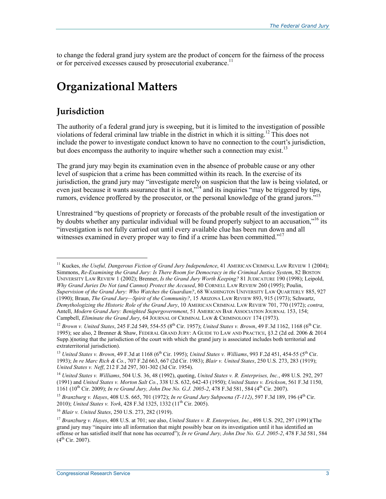to change the federal grand jury system are the product of concern for the fairness of the process or for perceived excesses caused by prosecutorial exuberance.<sup>11</sup>

# **Organizational Matters**

# **Jurisdiction**

 $\overline{a}$ 

The authority of a federal grand jury is sweeping, but it is limited to the investigation of possible violations of federal criminal law triable in the district in which it is sitting.<sup>12</sup> This does not include the power to investigate conduct known to have no connection to the court's jurisdiction, but does encompass the authority to inquire whether such a connection may exist.<sup>13</sup>

The grand jury may begin its examination even in the absence of probable cause or any other level of suspicion that a crime has been committed within its reach. In the exercise of its jurisdiction, the grand jury may "investigate merely on suspicion that the law is being violated, or even just because it wants assurance that it is not,<sup>"14</sup> and its inquiries "may be triggered by tips," rumors, evidence proffered by the prosecutor, or the personal knowledge of the grand jurors.<sup>515</sup>

Unrestrained "by questions of propriety or forecasts of the probable result of the investigation or by doubts whether any particular individual will be found properly subject to an accusation,<sup>no</sup> its "investigation is not fully carried out until every available clue has been run down and all witnesses examined in every proper way to find if a crime has been committed."<sup>17</sup>

<sup>16</sup> *Blair v. United States*, 250 U.S. 273, 282 (1919).

<sup>&</sup>lt;sup>11</sup> Kuckes, the Useful, Dangerous Fiction of Grand Jury Independence, 41 AMERICAN CRIMINAL LAW REVIEW 1 (2004); Simmons, *Re-Examining the Grand Jury: Is There Room for Democracy in the Criminal Justice System*, 82 BOSTON UNIVERSITY LAW REVIEW 1 (2002); Brenner, *Is the Grand Jury Worth Keeping?* 81 JUDICATURE 190 (1998); Leipold, *Why Grand Juries Do Not (and Cannot) Protect the Accused*, 80 CORNELL LAW REVIEW 260 (1995); Poulin, *Supervision of the Grand Jury: Who Watches the Guardian?*, 68 WASHINGTON UNIVERSITY LAW QUARTERLY 885, 927 (1990); Braun, *The Grand Jury—Spirit of the Community?*, 15 ARIZONA LAW REVIEW 893, 915 (1973); Schwartz, *Demythologizing the Historic Role of the Grand Jury*, 10 AMERICAN CRIMINAL LAW REVIEW 701, 770 (1972); *contra*, Antell, *Modern Grand Jury: Benighted Supergovernment*, 51 AMERICAN BAR ASSOCIATION JOURNAL 153, 154; Campbell, *Eliminate the Grand Jury*, 64 JOURNAL OF CRIMINAL LAW & CRIMINOLOGY 174 (1973).

<sup>12</sup> *Brown v. United States*, 245 F.2d 549, 554-55 (8th Cir. 1957); *United States v. Brown*, 49 F.3d 1162, 1168 (6th Cir. 1995); see also, 2 Brenner & Shaw, FEDERAL GRAND JURY: A GUIDE TO LAW AND PRACTICE, §3.2 (2d ed. 2006 & 2014 Supp.)(noting that the jurisdiction of the court with which the grand jury is associated includes both territorial and extraterritorial jurisdiction).

<sup>&</sup>lt;sup>13</sup> *United States v. Brown*, 49 F.3d at 1168 (6<sup>th</sup> Cir. 1995); *United States v. Williams*, 993 F.2d 451, 454-55 (5<sup>th</sup> Cir. 1993); *In re Marc Rich & Co.*, 707 F.2d 663, 667 (2d Cir. 1983); *Blair v. United States*, 250 U.S. 273, 283 (1919); *United States v. Neff*, 212 F.2d 297, 301-302 (3d Cir. 1954).

<sup>14</sup> *United States v. Williams*, 504 U.S. 36, 48 (1992), quoting, *United States v. R. Enterprises, Inc.*, 498 U.S. 292, 297 (1991) and *United States v. Morton Salt Co.*, 338 U.S. 632, 642-43 (1950); *United States v. Erickson*, 561 F.3d 1150, 1161 (10th Cir. 2009); *In re Grand Jury, John Doe No. G.J. 2005-2*, 478 F.3d 581, 584 (4th Cir. 2007).

<sup>15</sup> *Branzburg v. Hayes*, 408 U.S. 665, 701 (1972); *In re Grand Jury Subpoena (T-112)*, 597 F.3d 189, 196 (4th Cir. 2010); *United States v. York*, 428 F.3d 1325, 1332 (11th Cir. 2005).

<sup>17</sup> *Branzburg v. Hayes*, 408 U.S. at 701; see also, *United States v. R. Enterprises, Inc.*, 498 U.S. 292, 297 (1991)(The grand jury may "inquire into all information that might possibly bear on its investigation until it has identified an offense or has satisfied itself that none has occurred"); *In re Grand Jury, John Doe No. G.J. 2005-2*, 478 F.3d 581, 584  $(4^{th}$  Cir. 2007).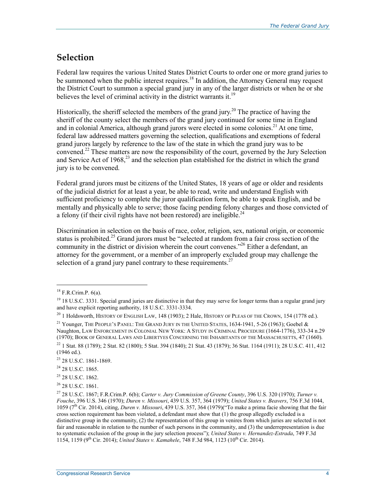# **Selection**

Federal law requires the various United States District Courts to order one or more grand juries to be summoned when the public interest requires.<sup>18</sup> In addition, the Attorney General may request the District Court to summon a special grand jury in any of the larger districts or when he or she believes the level of criminal activity in the district warrants it.<sup>19</sup>

Historically, the sheriff selected the members of the grand jury.<sup>20</sup> The practice of having the sheriff of the county select the members of the grand jury continued for some time in England and in colonial America, although grand jurors were elected in some colonies.<sup>21</sup> At one time, federal law addressed matters governing the selection, qualifications and exemptions of federal grand jurors largely by reference to the law of the state in which the grand jury was to be convened.<sup>22</sup> These matters are now the responsibility of the court, governed by the Jury Selection and Service Act of 1968,<sup>23</sup> and the selection plan established for the district in which the grand jury is to be convened.

Federal grand jurors must be citizens of the United States, 18 years of age or older and residents of the judicial district for at least a year, be able to read, write and understand English with sufficient proficiency to complete the juror qualification form, be able to speak English, and be mentally and physically able to serve; those facing pending felony charges and those convicted of a felony (if their civil rights have not been restored) are ineligible.<sup>24</sup>

Discrimination in selection on the basis of race, color, religion, sex, national origin, or economic status is prohibited.<sup>25</sup> Grand jurors must be "selected at random from a fair cross section of the community in the district or division wherein the court convenes."<sup>26</sup> Either a defendant, an attorney for the government, or a member of an improperly excluded group may challenge the selection of a grand jury panel contrary to these requirements.<sup>27</sup>

 $^{18}$  F.R.Crim.P. 6(a).

 $19$  18 U.S.C. 3331. Special grand juries are distinctive in that they may serve for longer terms than a regular grand jury and have explicit reporting authority, 18 U.S.C. 3331-3334.

<sup>&</sup>lt;sup>20</sup> 1 Holdsworth, HISTORY OF ENGLISH LAW, 148 (1903); 2 Hale, HISTORY OF PLEAS OF THE CROWN, 154 (1778 ed.).

<sup>&</sup>lt;sup>21</sup> Younger, THE PEOPLE'S PANEL: THE GRAND JURY IN THE UNITED STATES,  $1634-1941$ , 5-26 (1963); Goebel & Naughton, LAW ENFORCEMENT IN COLONIAL NEW YORK: A STUDY IN CRIMINAL PROCEDURE (1664-1776), 333-34 n.29 (1970); BOOK OF GENERAL LAWS AND LIBERTYES CONCERNING THE INHABITANTS OF THE MASSACHUSETTS, 47 (1660).

<sup>22 1</sup> Stat. 88 (1789); 2 Stat. 82 (1800); 5 Stat. 394 (1840); 21 Stat. 43 (1879); 36 Stat. 1164 (1911); 28 U.S.C. 411, 412 (1946 ed.).

<sup>23 28</sup> U.S.C. 1861-1869.

<sup>24 28</sup> U.S.C. 1865.

<sup>25 28</sup> U.S.C. 1862.

 $26$  28 U.S.C. 1861.

<sup>27 28</sup> U.S.C. 1867; F.R.Crim.P. 6(b); *Carter v. Jury Commission of Greene County*, 396 U.S. 320 (1970); *Turner v. Fouche*, 396 U.S. 346 (1970); *Duren v. Missouri*, 439 U.S. 357, 364 (1979); *United States v. Beavers*, 756 F.3d 1044, 1059 (7<sup>th</sup> Cir. 2014), citing, *Duren v. Missouri*, 439 U.S. 357, 364 (1979)("To make a prima facie showing that the fair cross section requirement has been violated, a defendant must show that (1) the group allegedly excluded is a distinctive group in the community, (2) the representation of this group in venires from which juries are selected is not fair and reasonable in relation to the number of such persons in the community, and (3) the underrepresentation is due to systematic exclusion of the group in the jury selection process"); *United States v. Hernandez-Estrada*, 749 F.3d 1154, 1159 (9th Cir. 2014); *United States v. Kamahele*, 748 F.3d 984, 1123 (10th Cir. 2014).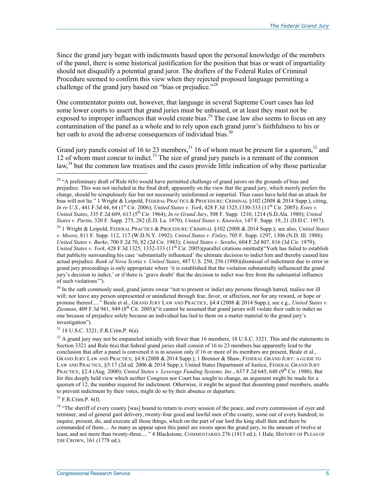Since the grand jury began with indictments based upon the personal knowledge of the members of the panel, there is some historical justification for the position that bias or want of impartiality should not disqualify a potential grand juror. The drafters of the Federal Rules of Criminal Procedure seemed to confirm this view when they rejected proposed language permitting a challenge of the grand jury based on "bias or prejudice."<sup>28</sup>

One commentator points out, however, that language in several Supreme Court cases has led some lower courts to assert that grand juries must be unbiased, or at least they must not be exposed to improper influences that would create bias.<sup>29</sup> The case law also seems to focus on any contamination of the panel as a whole and to rely upon each grand juror's faithfulness to his or her oath to avoid the adverse consequences of individual bias.<sup>30</sup>

Grand jury panels consist of 16 to 23 members,<sup>31</sup> 16 of whom must be present for a quorum,<sup>32</sup> and 12 of whom must concur to indict.<sup>33</sup> The size of grand jury panels is a remnant of the common  $\text{law}^3$ <sup>34</sup> but the common law treatises and the cases provide little indication of why those particular

<sup>30</sup> In the oath commonly used, grand jurors swear "not to present or indict any persons through hatred, malice nor ill will; nor leave any person unpresented or unindicted through fear, favor, or affection, nor for any reward, or hope or promise thereof.... " Beale et al., GRAND JURY LAW AND PRACTICE, §4:4 (2008 & 2014 Supp.); see e.g., *United States v. Ziesman*, 409 F.3d 941, 949 (8th Cir. 2005)("it cannot be assumed that grand jurors will violate their oath to indict no one because of prejudice solely because an individual has lied to them on a matter material to the grand jury's investigation").

31 18 U.S.C. 3321; F.R.Crim.P. 6(a).

 $32$  A grand jury may not be empaneled initially with fewer than 16 members, 18 U.S.C. 3321. This and the statements in Section 3321 and Rule 6(a) that federal grand juries shall consist of 16 to 23 members has apparently lead to the conclusion that after a panel is convened it is in session only if 16 or more of its members are present, Beale et al., GRAND JURY LAW AND PRACTICE, §4:8 (2008 & 2014 Supp.); 1 Brenner & Shaw, FEDERAL GRAND JURY: A GUIDE TO LAW AND PRACTICE, §5:17 (2d ed. 2006 & 2014 Supp.); United States Department of Justice, FEDERAL GRAND JURY PRACTICE, §2.4 (Aug. 2000); *United States v. Leverage Funding Systems, Inc.*, 637 F.2d 645, 648 (9<sup>th</sup> Cir. 1980). But for this deeply held view which neither Congress nor Court has sought to change, an argument might be made for a quorum of 12, the number required for indictment. Otherwise, it might be argued that dissenting panel members, unable to prevent indictment by their votes, might do so by their absence or departure.

33 F.R.Crim.P. 6(f).

<sup>34</sup> "The sheriff of every county [was] bound to return to every session of the peace, and every commission of oyer and terminer, and of general gaol delivery, twenty-four good and lawful men of the county, some out of every hundred, to inquire, present, do, and execute all those things, which on the part of our lord the king shall then and there be commanded of them.... As many as appear upon this panel are sworn upon the grand jury, to the amount of twelve at least, and not more than twenty-three.... " 4 Blackstone, COMMENTARIES 276 (1813 ed.); 1 Hale, HISTORY OF PLEAS OF THE CROWN, 161 (1778 ed.).

<sup>&</sup>lt;sup>28</sup> "A preliminary draft of Rule 6(b) would have permitted challenge of grand jurors on the grounds of bias and prejudice. This was not included in the final draft, apparently on the view that the grand jury, which merely prefers the charge, should be scrupulously fair but not necessarily uninformed or impartial. Thus cases have held that an attack for bias will not lie." 1 Wright & Leipold, FEDERAL PRACTICE & PROCEDURE: CRIMINAL §102 (2008 & 2014 Supp.), citing, *In re U.S.*, 441 F.3d 44, 64 (1<sup>st</sup> Cir. 2006); *United States v. York*, 428 F.3d 1325,1330-333 (11<sup>th</sup> Cir. 2005); *Estes v. United States*, 335 F.2d 609, 613 (5th Cir. 1964); *In re Grand Jury*, 508 F. Supp. 1210, 1214 (S.D.Ala. 1980); *United States v. Partin*, 320 F. Supp. 275, 282 (E.D. La. 1970); *United States v. Knowles*, 147 F. Supp. 19, 21 (D.D.C. 1957).

<sup>29 1</sup> Wright & Leipold, FEDERAL PRACTICE & PROCEDURE: CRIMINAL §102 (2008 & 2014 Supp.); see also, *United States v. Moore*, 811 F. Supp. 112, 117 (W.D.N.Y. 1992); *United States v. Finley*, 705 F. Supp. 1297, 1306 (N.D. Ill. 1988); *United States v. Burke*, 700 F.2d 70, 82 (2d Cir. 1983); *United States v. Serubo*, 604 F.2d 807, 816 (3d Cir. 1979); *United States v. York*, 428 F.3d 1325, 1332-333 (11<sup>th</sup> Cir. 2005)(parallel citations omitted)("York has failed to establish that publicity surrounding his case 'substantially influenced' the ultimate decision to indict him and thereby caused him actual prejudice. *Bank of Nova Scotia v. United States*, 487 U.S. 250, 256 (1988)(dismissal of indictment due to error in grand jury proceedings is only appropriate where 'it is established that the violation substantially influenced the grand jury's decision to indict,' or if there is 'grave doubt' that the decision to indict was free from the substantial influence of such violations'").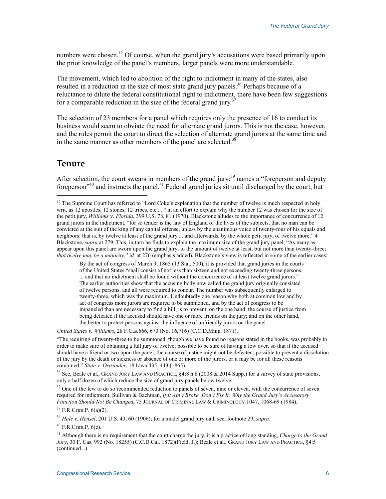numbers were chosen.<sup>35</sup> Of course, when the grand jury's accusations were based primarily upon the prior knowledge of the panel's members, larger panels were more understandable.

The movement, which led to abolition of the right to indictment in many of the states, also resulted in a reduction in the size of most state grand jury panels.<sup>36</sup> Perhaps because of a reluctance to dilute the federal constitutional right to indictment, there have been few suggestions for a comparable reduction in the size of the federal grand jury.<sup>37</sup>

The selection of 23 members for a panel which requires only the presence of 16 to conduct its business would seem to obviate the need for alternate grand jurors. This is not the case, however, and the rules permit the court to direct the selection of alternate grand jurors at the same time and in the same manner as other members of the panel are selected.<sup>3</sup>

### **Tenure**

1

After selection, the court swears in members of the grand jury;<sup>39</sup> names a "foreperson and deputy" foreperson<sup>340</sup> and instructs the panel.<sup>41</sup> Federal grand juries sit until discharged by the court, but

By the act of congress of March 3, 1865 (13 Stat. 500), it is provided that grand juries in the courts of the United States "shall consist of not less than sixteen and not exceeding twenty-three persons, ... and that no indictment shall be found without the concurrence of at least twelve grand jurors." The earlier authorities show that the accusing body now called the grand jury originally consisted of twelve persons, and all were required to concur. The number was subsequently enlarged to twenty-three, which was the maximum. Undoubtedly one reason why both at common law and by act of congress more jurors are required to be summoned, and by the act of congress to be impaneled than are necessary to find a bill, is to prevent, on the one hand, the course of justice from being defeated if the accused should have one or more friends on the jury; and on the other hand, the better to protect persons against the influence of unfriendly jurors on the panel.

*United States v. Williams*, 28 F.Cas.666, 670 (No. 16,716) (C.C.D.Minn. 1871).

"The requiring of twenty-three to be summoned, though we have found no reasons stated in the books, was probably in order to make sure of obtaining a full jury of twelve; possible to be sure of having a few over, so that if the accused should have a friend or two upon the panel, the course of justice might not be defeated; possible to prevent a dissolution of the jury by the death or sickness or absence of one or more of the jurors, or it may be for all these reasons combined." *State v. Ostrander*, 18 Iowa 435, 443 (1865).

<sup>36</sup> See, Beale et al., GRAND JURY LAW AND PRACTICE,  $\S 4:8$  n.8 (2008 & 2014 Supp.) for a survey of state provisions, only a half dozen of which reduce the size of grand jury panels below twelve.

<sup>37</sup> One of the few to do so recommended reduction to panels of seven, nine or eleven, with the concurrence of seven required for indictment, Sullivan & Bachman, *If It Ain't Broke, Don't Fix It: Why the Grand Jury's Accusatory Function Should Not Be Changed*, 75 JOURNAL OF CRIMINAL LAW & CRIMINOLOGY 1047, 1068-69 (1984).

 $38$  F.R.Crim.P.  $6(a)(2)$ .

<sup>39</sup> *Hale v. Hensel*, 201 U.S. 43, 60 (1906); for a model grand jury oath see, footnote 29, *supra*.

 $40$  F.R.Crim.P.  $6(c)$ .

41 Although there is no requirement that the court charge the jury, it is a practice of long standing, *Charge to the Grand Jury*, 30 F. Cas. 992 (No. 18255) (C.C.D.Cal. 1872)(Field, J.); Beale et al., GRAND JURY LAW AND PRACTICE, §4:5 (continued...)

<sup>&</sup>lt;sup>35</sup> The Supreme Court has referred to "Lord Coke's explanation that the number of twelve is much respected in holy writ, as 12 apostles, 12 stones, 12 tribes, etc.... " in an effort to explain why the number 12 was chosen for the size of the petit jury, *Williams* v. *Florida*, 399 U.S. 78, 81 (1970). Blackstone alludes to the importance of concurrence of 12 grand jurors in the indictment, "for so tender is the law of England of the lives of the subjects, that no man can be convicted at the suit of the king of any capital offense, unless by the unanimous voice of twenty-four of his equals and neighbors: that is, by twelve at least of the grand jury ... and afterwards, by the whole petit jury, of twelve more," 4 Blackstone, *supra* at 279. This, in turn he finds to explain the maximum size of the grand jury panel, "As many as appear upon this panel are sworn upon the grand jury, to the amount of twelve at least, but not more than twenty-three; *that twelve may be a majority*," *id.* at 276 (emphasis added). Blackstone's view is reflected in some of the earlier cases: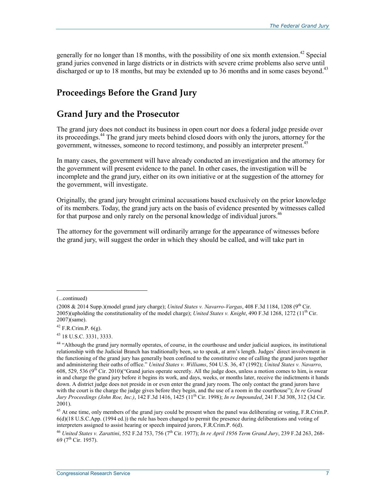generally for no longer than 18 months, with the possibility of one six month extension.<sup>42</sup> Special grand juries convened in large districts or in districts with severe crime problems also serve until discharged or up to 18 months, but may be extended up to 36 months and in some cases beyond.<sup>43</sup>

# **Proceedings Before the Grand Jury**

# **Grand Jury and the Prosecutor**

The grand jury does not conduct its business in open court nor does a federal judge preside over its proceedings.44 The grand jury meets behind closed doors with only the jurors, attorney for the government, witnesses, someone to record testimony, and possibly an interpreter present.45

In many cases, the government will have already conducted an investigation and the attorney for the government will present evidence to the panel. In other cases, the investigation will be incomplete and the grand jury, either on its own initiative or at the suggestion of the attorney for the government, will investigate.

Originally, the grand jury brought criminal accusations based exclusively on the prior knowledge of its members. Today, the grand jury acts on the basis of evidence presented by witnesses called for that purpose and only rarely on the personal knowledge of individual jurors.<sup>46</sup>

The attorney for the government will ordinarily arrange for the appearance of witnesses before the grand jury, will suggest the order in which they should be called, and will take part in

<sup>(...</sup>continued)

<sup>(2008</sup>  $\&$  2014 Supp.)(model grand jury charge); *United States v. Navarro-Vargas*, 408 F.3d 1184, 1208 (9<sup>th</sup> Cir. 2005)(upholding the constitutionality of the model charge); *United States v. Knight*, 490 F.3d 1268, 1272 ( $11<sup>th</sup>$  Cir. 2007)(same).

<sup>42</sup> F.R.Crim.P. 6(g).

<sup>43 18</sup> U.S.C. 3331, 3333.

<sup>44 &</sup>quot;Although the grand jury normally operates, of course, in the courthouse and under judicial auspices, its institutional relationship with the Judicial Branch has traditionally been, so to speak, at arm's length. Judges' direct involvement in the functioning of the grand jury has generally been confined to the constitutive one of calling the grand jurors together and administering their oaths of office." *United States v. Williams*, 504 U.S. 36, 47 (1992); *United States v. Navarro*, 608, 529, 536 (9<sup>th</sup> Cir. 2010)("Grand juries operate secretly. All the judge does, unless a motion comes to him, is swear in and charge the grand jury before it begins its work, and days, weeks, or months later, receive the indictments it hands down. A district judge does not preside in or even enter the grand jury room. The only contact the grand jurors have with the court is the charge the judge gives before they begin, and the use of a room in the courthouse"); *In re Grand Jury Proceedings (John Roe, Inc.)*, 142 F.3d 1416, 1425 (11th Cir. 1998); *In re Impounded*, 241 F.3d 308, 312 (3d Cir. 2001).

<sup>&</sup>lt;sup>45</sup> At one time, only members of the grand jury could be present when the panel was deliberating or voting, F.R.Crim.P. 6(d)(18 U.S.C.App. (1994 ed.)) the rule has been changed to permit the presence during deliberations and voting of interpreters assigned to assist hearing or speech impaired jurors, F.R.Crim.P. 6(d).

<sup>46</sup> *United States v. Zarattini*, 552 F.2d 753, 756 (7th Cir. 1977); *In re April 1956 Term Grand Jury*, 239 F.2d 263, 268- 69 ( $7^{\text{th}}$  Cir. 1957).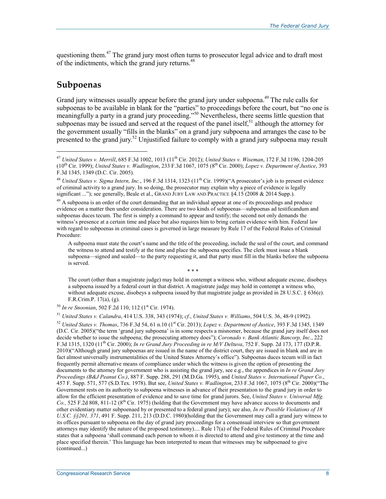questioning them.<sup>47</sup> The grand jury most often turns to prosecutor legal advice and to draft most of the indictments, which the grand jury returns.<sup>48</sup>

# **Subpoenas**

1

Grand jury witnesses usually appear before the grand jury under subpoena.<sup>49</sup> The rule calls for subpoenas to be available in blank for the "parties" to proceedings before the court, but "no one is meaningfully a party in a grand jury proceeding."<sup>50</sup> Nevertheless, there seems little question that subpoenas may be issued and served at the request of the panel itself,<sup>51</sup> although the attorney for the government usually "fills in the blanks" on a grand jury subpoena and arranges the case to be presented to the grand jury.<sup>52</sup> Unjustified failure to comply with a grand jury subpoena may result

A subpoena must state the court's name and the title of the proceeding, include the seal of the court, and command the witness to attend and testify at the time and place the subpoena specifies. The clerk must issue a blank subpoena—signed and sealed—to the party requesting it, and that party must fill in the blanks before the subpoena is served.

\* \* \*

The court (other than a magistrate judge) may hold in contempt a witness who, without adequate excuse, disobeys a subpoena issued by a federal court in that district. A magistrate judge may hold in contempt a witness who, without adequate excuse, disobeys a subpoena issued by that magistrate judge as provided in 28 U.S.C. § 636(e). F.R.Crim.P. 17(a), (g).

<sup>50</sup> *In re Snoonian*, 502 F.2d 110, 112 (1st Cir. 1974).

<sup>51</sup> *United States v. Calandra*, 414 U.S. 338, 343 (1974); *cf.*, *United States v. Williams*, 504 U.S. 36, 48-9 (1992).

<sup>47</sup> *United States v. Merrill*, 685 F.3d 1002, 1013 (11th Cir. 2012); *United States v. Wiseman*, 172 F.3d 1196, 1204-205 (10th Cir. 1999); *United States v. Wadlington*, 233 F.3d 1067, 1075 (8th Cir. 2000); *Lopez v. Department of Justice*, 393 F.3d 1345, 1349 (D.C. Cir. 2005).

<sup>&</sup>lt;sup>48</sup> *United States v. Sigma Intern, Inc.*, 196 F.3d 1314, 1323 (11<sup>th</sup> Cir. 1999)("A prosecutor's job is to present evidence of criminal activity to a grand jury. In so doing, the prosecutor may explain why a piece of evidence is legally significant ..."); see generally, Beale et al., GRAND JURY LAW AND PRACTICE §4.15 (2008 & 2014 Supp.).

 $^{49}$  A subpoena is an order of the court demanding that an individual appear at one of its proceedings and produce evidence on a matter then under consideration. There are two kinds of subpoenas—subpoenas ad testificandum and subpoenas duces tecum. The first is simply a command to appear and testify; the second not only demands the witness's presence at a certain time and place but also requires him to bring certain evidence with him. Federal law with regard to subpoenas in criminal cases is governed in large measure by Rule 17 of the Federal Rules of Criminal Procedure:

<sup>52</sup> *United States v. Thomas*, 736 F.3d 54, 61 n.10 (1st Cir. 2013); *Lopez v. Department of Justice*, 393 F.3d 1345, 1349 (D.C. Cir. 2005)("the term 'grand jury subpoena' is in some respects a misnomer, because the grand jury itself does not decide whether to issue the subpoena; the prosecuting attorney does"); *Coronado v. Bank Atlantic Bancorp, Inc.*, 222 F.3d 1315, 1320 (11th Cir. 2000); *In re Grand Jury Proceeding in re M/V Deltuva*, 752 F. Supp. 2d 173, 177 (D.P.R. 2010)("Although grand jury subpoenas are issued in the name of the district court, they are issued in blank and are in fact almost universally instrumentalities of the United States Attorney's office"). Subpoenas duces tecum will in fact frequently permit alternative means of compliance under which the witness is given the option of presenting the documents to the attorney for government who is assisting the grand jury, see e.g*.*, the appendices in *In re Grand Jury Proceedings (B&J Peanut Co.)*, 887 F. Supp. 288, 291 (M.D.Ga. 1995), and *United States v. International Paper Co.*, 457 F. Supp. 571, 577 (S.D.Tex. 1978). But see, *United States v. Wadlington*, 233 F.3d 1067, 1075 (8th Cir. 2000)("The Government rests on its authority to subpoena witnesses in advance of their presentation to the grand jury in order to allow for the efficient presentation of evidence and to save time for grand jurors. See, *United States v. Universal Mfg. Co.*, 525 F.2d 808, 811-12 (8<sup>th</sup> Cir. 1975) (holding that the Government may have advance access to documents and other evidentiary matter subpoenaed by or presented to a federal grand jury); see also*, In re Possible Violations of 18 U.S.C. §§201, 371*, 491 F. Supp. 211, 213 (D.D.C. 1980)(holding that the Government may call a grand jury witness to its offices pursuant to subpoena on the day of grand jury proceedings for a consensual interview so that government attorneys may identify the nature of the proposed testimony).... Rule 17(a) of the Federal Rules of Criminal Procedure states that a subpoena 'shall command each person to whom it is directed to attend and give testimony at the time and place specified therein.' This language has been interpreted to mean that witnesses may be subpoenaed to give (continued...)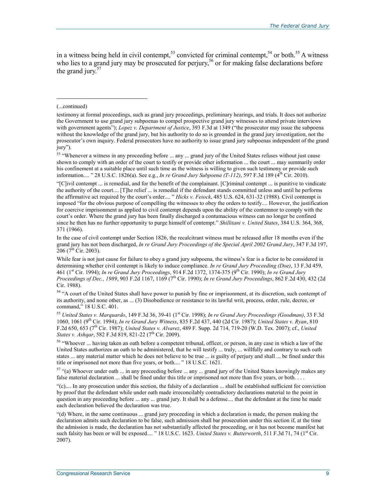in a witness being held in civil contempt,<sup>53</sup> convicted for criminal contempt,<sup>54</sup> or both.<sup>55</sup> A witness who lies to a grand jury may be prosecuted for perjury,<sup>56</sup> or for making false declarations before the grand jury. $57$ 

#### (...continued)

1

53 "Whenever a witness in any proceeding before ... any ... grand jury of the United States refuses without just cause shown to comply with an order of the court to testify or provide other information ... the court ... may summarily order his confinement at a suitable place until such time as the witness is willing to given such testimony or provide such information.... " 28 U.S.C. 1826(a). See e.g., *In re Grand Jury Subpoena (T-112)*, 597 F.3d 189 (4<sup>th</sup> Cir. 2010).

"[C]ivil contempt ... is remedial, and for the benefit of the complainant. [C]riminal contempt ... is punitive to vindicate the authority of the court.... [T]he relief ... is remedial if the defendant stands committed unless and until he performs the affirmative act required by the court's order.... " *Hicks v. Feiock*, 485 U.S. 624, 631-32 (1988). Civil contempt is imposed "for the obvious purpose of compelling the witnesses to obey the orders to testify.... However, the justification for coercive imprisonment as applied to civil contempt depends upon the ability of the contemnor to comply with the court's order. Where the grand jury has been finally discharged a contumacious witness can no longer be confined since he then has no further opportunity to purge himself of contempt." *Shillitani v. United States*, 384 U.S. 364, 368, 371 (1966).

In the case of civil contempt under Section 1826, the recalcitrant witness must be released after 18 months even if the grand jury has not been discharged, *In re Grand Jury Proceedings of the Special April 2002 Grand Jury*, 347 F.3d 197,  $206$  (7<sup>th</sup> Cir. 2003).

While fear is not just cause for failure to obey a grand jury subpoena, the witness's fear is a factor to be considered in determining whether civil contempt is likely to induce compliance. *In re Grand Jury Proceeding (Doe)*, 13 F.3d 459, 461 (1st Cir. 1994); *In re Grand Jury Proceedings*, 914 F.2d 1372, 1374-375 (9th Cir. 1990); *In re Grand Jury Proceedings of Dec., 1989*, 903 F.2d 1167, 1169 (7th Cir. 1990); *In re Grand Jury Proceedings*, 862 F.2d 430, 432 (2d Cir. 1988).

<sup>54</sup> "A court of the United States shall have power to punish by fine or imprisonment, at its discretion, such contempt of its authority, and none other, as ... (3) Disobedience or resistance to its lawful writ, process, order, rule, decree, or command," 18 U.S.C. 401.

<sup>55</sup> *United States v. Marquardo*, 149 F.3d 36, 39-41 (1st Cir. 1998); *In re Grand Jury Proceedings (Goodman)*, 33 F.3d 1060, 1061 (9th Cir. 1994); *In re Grand Jury Witness*, 835 F.2d 437, 440 (2d Cir. 1987); *United States v. Ryan*, 810 F.2d 650, 653 (7th Cir. 1987); *United States v. Alvarez*, 489 F. Supp. 2d 714, 719-20 (W.D. Tex. 2007); cf., *United States v. Ashqar*, 582 F.3d 819, 821-22 (7<sup>th</sup> Cir. 2009).

56 "Whoever ... having taken an oath before a competent tribunal, officer, or person, in any case in which a law of the United States authorizes an oath to be administered, that he will testify ... truly, ... willfully and contrary to such oath states ... any material matter which he does not believe to be true ... is guilty of perjury and shall ... be fined under this title or imprisoned not more than five years, or both.... " 18 U.S.C. 1621.

 $57$  "(a) Whoever under oath ... in any proceeding before ... any ... grand jury of the United States knowingly makes any false material declaration ... shall be fined under this title or imprisoned not more than five years, or both....

"(c).... In any prosecution under this section, the falsity of a declaration ... shall be established sufficient for conviction by proof that the defendant while under oath made irreconcilably contradictory declarations material to the point in question in any proceeding before ... any ... grand jury. It shall be a defense.... that the defendant at the time he made each declaration believed the declaration was true.

"(d) Where, in the same continuous ... grand jury proceeding in which a declaration is made, the person making the declaration admits such declaration to be false, such admission shall bar prosecution under this section if, at the time the admission is made, the declaration has not substantially affected the proceeding, or it has not become manifest hat such falsity has been or will be exposed.... "18 U.S.C. 1623. *United States v. Butterworth*, 511 F.3d 71, 74 (1<sup>st</sup> Cir. 2007).

testimony at formal proceedings, such as grand jury proceedings, preliminary hearings, and trials. It does not authorize the Government to use grand jury subpoenas to compel prospective grand jury witnesses to attend private interviews with government agents"); *Lopez v. Department of Justice*, 393 F.3d at 1349 ("the prosecutor may issue the subpoena without the knowledge of the grand jury, but his authority to do so is grounded in the grand jury investigation, not the prosecutor's own inquiry. Federal prosecutors have no authority to issue grand jury subpoenas independent of the grand jury").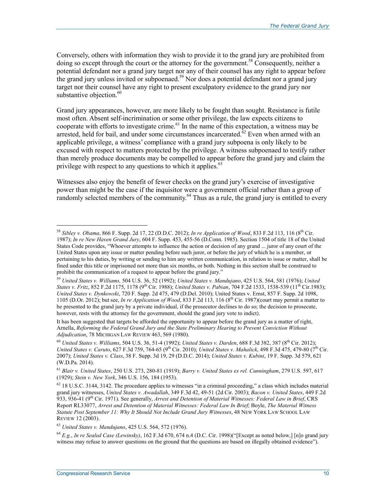Conversely, others with information they wish to provide it to the grand jury are prohibited from doing so except through the court or the attorney for the government.<sup>58</sup> Consequently, neither a potential defendant nor a grand jury target nor any of their counsel has any right to appear before the grand jury unless invited or subpoenaed.<sup>59</sup> Nor does a potential defendant nor a grand jury target nor their counsel have any right to present exculpatory evidence to the grand jury nor substantive objection.<sup>60</sup>

Grand jury appearances, however, are more likely to be fought than sought. Resistance is futile most often. Absent self-incrimination or some other privilege, the law expects citizens to cooperate with efforts to investigate crime.<sup>61</sup> In the name of this expectation, a witness may be arrested, held for bail, and under some circumstances incarcerated.<sup> $\delta$ 2</sup> Even when armed with an applicable privilege, a witness' compliance with a grand jury subpoena is only likely to be excused with respect to matters protected by the privilege. A witness subpoenaed to testify rather than merely produce documents may be compelled to appear before the grand jury and claim the privilege with respect to any questions to which it applies. $63$ 

Witnesses also enjoy the benefit of fewer checks on the grand jury's exercise of investigative power than might be the case if the inquisitor were a government official rather than a group of randomly selected members of the community.<sup>64</sup> Thus as a rule, the grand jury is entitled to every

It has been suggested that targets be afforded the opportunity to appear before the grand jury as a matter of right, Arnella, *Reforming the Federal Grand Jury and the State Preliminary Hearing to Prevent Conviction Without Adjudication*, 78 MICHIGAN LAW REVIEW 463, 569 (1980).

<sup>58</sup> *Sibley v. Obama*, 866 F. Supp. 2d 17, 22 (D.D.C. 2012); *In re Application of Wood*, 833 F.2d 113, 116 (8th Cir. 1987); *In re New Haven Grand Jury*, 604 F. Supp. 453, 455-56 (D.Conn. 1985). Section 1504 of title 18 of the United States Code provides, "Whoever attempts to influence the action or decision of any grand ... juror of any court of the United States upon any issue or matter pending before such juror, or before the jury of which he is a member, or pertaining to his duties, by writing or sending to him any written communication, in relation to issue or matter, shall be fined under this title or imprisoned not more than six months, or both. Nothing in this section shall be construed to prohibit the communication of a request to appear before the grand jury."

<sup>59</sup> *United States v. Williams,* 504 U.S. 36, 52 (1992); *United States v. Mandujano*, 425 U.S. 564, 581 (1976); *United States v. Fritz*, 852 F.2d 1175, 1178 (9<sup>th</sup> Cir. 1988); *United States v. Pabian*, 704 F.2d 1533, 1538-539 (11<sup>th</sup> Cir.1983); *United States v. Dynkowski*, 720 F. Supp. 2d 475, 479 (D.Del. 2010); United States v. Ernst, 857 F. Supp. 2d 1098, 1105 (D.Or. 2012); but see, *In re Application of Wood*, 833 F.2d 113, 116 (8<sup>th</sup> Cir. 1987)(court may permit a matter to be presented to the grand jury by a private individual, if the prosecutor declines to do so; the decision to prosecute, however, rests with the attorney for the government, should the grand jury vote to indict).

<sup>60</sup> *United States v. Williams*, 504 U.S. 36, 51-4 (1992); *United States v. Darden*, 688 F.3d 382, 387 (8th Cir. 2012); *United States v. Caruto*, 627 F.3d 759, 764-65 (9<sup>th</sup> Cir. 2010); *United States v. Mahalick*, 498 F.3d 475, 479-80 (7<sup>th</sup> Cir. 2007); *United States v. Class*, 38 F. Supp. 3d 19, 29 (D.D.C. 2014); *United States v. Kubini*, 19 F. Supp. 3d 579, 621 (W.D.Pa. 2014).

<sup>61</sup> *Blair v. United States*, 250 U.S. 273, 280-81 (1919); *Barry v. United States ex rel. Cunningham*, 279 U.S. 597, 617 (1929); *Stein v. New York*, 346 U.S. 156, 184 (1953).

 $62$  18 U.S.C. 3144, 3142. The procedure applies to witnesses "in a criminal proceeding," a class which includes material grand jury witnesses, *United States v. Awadallah*, 349 F.3d 42, 49-51 (2d Cir. 2003); *Bacon v. United States*, 449 F.2d 933, 936-41 (9th Cir. 1971). See generally, *Arrest and Detention of Material Witnesses: Federal Law in Brief*, CRS Report RL33077, *Arrest and Detention of Material Witnesses: Federal Law In Brief*; Boyle, *The Material Witness Statute Post September 11: Why It Should Not Include Grand Jury Witnesses*, 48 NEW YORK LAW SCHOOL LAW REVIEW 12 (2003).

<sup>63</sup> *United States v. Mandujano*, 425 U.S. 564, 572 (1976).

<sup>64</sup> *E.g.*, *In re Sealed Case (Lewinsky)*, 162 F.3d 670, 674 n.4 (D.C. Cir. 1998)("[Except as noted below,] [n]o grand jury witness may refuse to answer questions on the ground that the questions are based on illegally obtained evidence").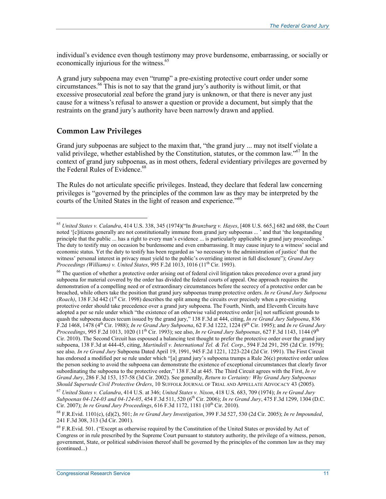individual's evidence even though testimony may prove burdensome, embarrassing, or socially or economically injurious for the witness.<sup>65</sup>

A grand jury subpoena may even "trump" a pre-existing protective court order under some circumstances.66 This is not to say that the grand jury's authority is without limit, or that excessive prosecutorial zeal before the grand jury is unknown, or that there is never any just cause for a witness's refusal to answer a question or provide a document, but simply that the restraints on the grand jury's authority have been narrowly drawn and applied.

## **Common Law Privileges**

 $\overline{a}$ 

Grand jury subpoenas are subject to the maxim that, "the grand jury ... may not itself violate a valid privilege, whether established by the Constitution, statutes, or the common law."67 In the context of grand jury subpoenas, as in most others, federal evidentiary privileges are governed by the Federal Rules of Evidence.<sup>68</sup>

The Rules do not articulate specific privileges. Instead, they declare that federal law concerning privileges is "governed by the principles of the common law as they may be interpreted by the courts of the United States in the light of reason and experience."<sup>69</sup>

<sup>67</sup> *United States v. Calandra*, 414 U.S. at 346; *United States v. Nixon*, 418 U.S. 683, 709 (1974); *In re Grand Jury Subpoenas 04-124-03 and 04-124-05*, 454 F.3d 511, 520 (6th Cir. 2006); *In re Grand Jury*, 475 F.3d 1299, 1304 (D.C. Cir. 2007); *In re Grand Jury Proceedings*, 616 F.3d 1172, 1181 (10<sup>th</sup> Cir. 2010).

<sup>65</sup> *United States v. Calandra*, 414 U.S. 338, 345 (1974)("In *Branzburg v. Hayes*, [408 U.S. 665,] 682 and 688, the Court noted '[c]itizens generally are not constitutionally immune from grand jury subpoenas ... ' and that 'the longstanding principle that the public ... has a right to every man's evidence ... is particularly applicable to grand jury proceedings.' The duty to testify may on occasion be burdensome and even embarrassing. It may cause injury to a witness' social and economic status. Yet the duty to testify has been regarded as 'so necessary to the administration of justice' that the witness' personal interest in privacy must yield to the public's overriding interest in full disclosure"); *Grand Jury Proceedings (Williams) v. United States, 995 F.2d 1013, 1016 (11<sup>th</sup> Cir. 1993).* 

<sup>&</sup>lt;sup>66</sup> The question of whether a protective order arising out of federal civil litigation takes precedence over a grand jury subpoena for material covered by the order has divided the federal courts of appeal. One approach requires the demonstration of a compelling need or of extraordinary circumstances before the secrecy of a protective order can be breached, while others take the position that grand jury subpoenas trump protective orders. *In re Grand Jury Subpoena (Roach)*, 138 F.3d 442 (1<sup>st</sup> Cir. 1998) describes the split among the circuits over precisely when a pre-existing protective order should take precedence over a grand jury subpoena. The Fourth, Ninth, and Eleventh Circuits have adopted a per se rule under which "the existence of an otherwise valid protective order [is] not sufficient grounds to quash the subpoena duces tecum issued by the grand jury," 138 F.3d at 444, citing, *In re Grand Jury Subpoena*, 836 F.2d 1468, 1478 (4th Cir. 1988); *In re Grand Jury Subpoena*, 62 F.3d 1222, 1224 (9th Cir. 1995); and *In re Grand Jury Proceedings*, 995 F.2d 1013, 1020 (11<sup>th</sup> Cir. 1993); see also, *In re Grand Jury Subpoenas*, 627 F.3d 1143, 1144 (9<sup>th</sup> Cir. 2010). The Second Circuit has espoused a balancing test thought to prefer the protective order over the grand jury subpoena, 138 F.3d at 444-45, citing, *Martindell v. International Tel. & Tel. Corp*., 594 F.2d 291, 295 (2d Cir. 1979); see also*, In re Grand Jury* Subpoena Dated April 19, 1991, 945 F.2d 1221, 1223-224 (2d Cir. 1991). The First Circuit has endorsed a modified per se rule under which "[a] grand jury's subpoena trumps a Rule 26(c) protective order unless the person seeking to avoid the subpoena can demonstrate the existence of exceptional circumstances that clearly favor subordinating the subpoena to the protective order," 138 F.3d at 445. The Third Circuit agrees with the First, *In re Grand Jury*, 286 F.3d 153, 157-58 (3d Cir. 2002). See generally, *Return to Certainty: Why Grand Jury Subpoenas Should Supersede Civil Protective Orders*, 10 SUFFOLK JOURNAL OF TRIAL AND APPELLATE ADVOCACY 43 (2005).

<sup>68</sup> F.R.Evid. 1101(c), (d)(2), 501; *In re Grand Jury Investigation*, 399 F.3d 527, 530 (2d Cir. 2005); *In re Impounded*, 241 F.3d 308, 313 (3d Cir. 2001).

 $^{69}$  F.R.Evid. 501. ("Except as otherwise required by the Constitution of the United States or provided by Act of Congress or in rule prescribed by the Supreme Court pursuant to statutory authority, the privilege of a witness, person, government, State, or political subdivision thereof shall be governed by the principles of the common law as they may (continued...)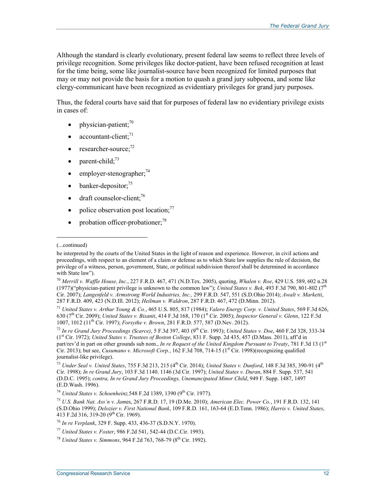Although the standard is clearly evolutionary, present federal law seems to reflect three levels of privilege recognition. Some privileges like doctor-patient, have been refused recognition at least for the time being, some like journalist-source have been recognized for limited purposes that may or may not provide the basis for a motion to quash a grand jury subpoena, and some like clergy-communicant have been recognized as evidentiary privileges for grand jury purposes.

Thus, the federal courts have said that for purposes of federal law no evidentiary privilege exists in cases of:

- physician-patient; $^{70}$
- accountant-client: $71$
- researcher-source; $^{72}$
- parent-child: $73$
- $emplyer-stenographer;$ <sup>74</sup>
- banker-depositor: $75$
- $\bullet$  draft counselor-client;<sup>76</sup>
- police observation post location; $^{77}$
- probation officer-probationer; $^{78}$

1

<sup>71</sup> *United States v. Arthur Young & Co.*, 465 U.S. 805, 817 (1984); *Valero Energy Corp. v. United States*, 569 F.3d 626, 630 (7th Cir. 2009); *United States v. Bisanti*, 414 F.3d 168, 170 (1st Cir. 2005); *Inspector General v. Glenn*, 122 F.3d 1007, 1012 (11th Cir. 1997); *Forsythe v. Brown*, 281 F.R.D. 577, 587 (D.Nev. 2012).

<sup>72</sup> *In re Grand Jury Proceedings (Scarce)*, 5 F.3d 397, 403 (9th Cir. 1993); *United States v. Doe*, 460 F.2d 328, 333-34 (1st Cir. 1972); *United States v. Trustees of Boston College*, 831 F. Supp. 2d 435, 457 (D.Mass. 2011), aff'd in part/rev'd in part on other grounds sub nom., *In re Request of the United Kingdom Pursuant to Treaty*, 781 F.3d 13 (1st Cir. 2013); but see, *Cusumano v. Microsoft Corp.*, 162 F.3d 708, 714-15 (1<sup>st</sup> Cir. 1998)(recognizing qualified journalist-like privilege).

<sup>(...</sup>continued)

be interpreted by the courts of the United States in the light of reason and experience. However, in civil actions and proceedings, with respect to an element of a claim or defense as to which State law supplies the rule of decision, the privilege of a witness, person, government, State, or political subdivision thereof shall be determined in accordance with State law").

<sup>70</sup> *Merrill v. Waffle House, Inc.*, 227 F.R.D. 467, 471 (N.D.Tex. 2005), quoting, *Whalen v. Roe*, 429 U.S. 589, 602 n.28 (1977)("physician-patient privilege is unknown to the common law"); *United States v. Bek*, 493 F.3d 790, 801-802 (7<sup>th</sup>) Cir. 2007); *Langenfeld v. Armstrong World Industries, Inc.,* 299 F.R.D. 547, 551 (S.D.Ohio 2014); *Awalt v. Marketti*, 287 F.R.D. 409, 423 (N.D.Ill. 2012); *Heilman v. Waldron*, 287 F.R.D. 467, 472 (D.Minn. 2012).

<sup>73</sup> *Under Seal v. United States*, 755 F.3d 213, 215 (4th Cir. 2014); *United States v. Dunford*, 148 F.3d 385, 390-91 (4th Cir. 1998); *In re Grand Jury*, 103 F.3d 1140. 1146 (3d Cir. 1997); *United States v. Duran*, 884 F. Supp. 537, 541 (D.D.C. 1995); *contra, In re Grand Jury Proceedings, Unemancipated Minor Child*, 949 F. Supp. 1487, 1497 (E.D.Wash. 1996).

<sup>&</sup>lt;sup>74</sup> *United States v. Schoenheinz*, 548 F.2d 1389, 1390 (9<sup>th</sup> Cir. 1977).

<sup>75</sup> *U.S. Bank Nat. Ass'n v. Jam*es, 267 F.R.D. 17, 19 (D.Me. 2010); *American Elec. Power Co.*, 191 F.R.D. 132, 141 (S.D.Ohio 1999); *Delozier v. First National Bank*, 109 F.R.D. 161, 163-64 (E.D.Tenn. 1986); *Harris v. United States*, 413 F.2d 316, 319-20 (9th Cir. 1969).

<sup>76</sup> *In re Verplank*, 329 F. Supp. 433, 436-37 (S.D.N.Y. 1970).

<sup>77</sup> *United States v. Foster*, 986 F.2d 541, 542-44 (D.C.Cir. 1993).

<sup>78</sup> *United States v. Simmons*, 964 F.2d 763, 768-79 (8th Cir. 1992).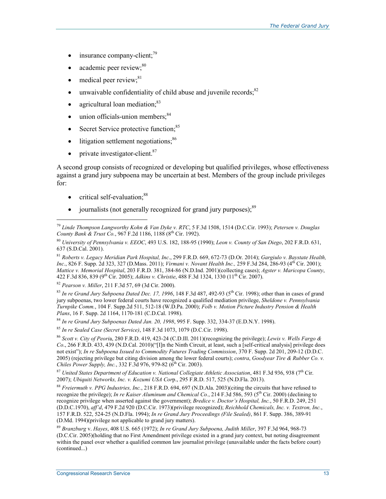- insurance company-client;<sup>79</sup>
- academic peer review;<sup>80</sup>
- medical peer review;<sup>81</sup>
- $\bullet$  unwaivable confidentiality of child abuse and juvenile records; $82$
- agricultural loan mediation; $83$
- $\bullet$  union officials-union members:  $84$
- Secret Service protective function: $85$
- $\bullet$  litigation settlement negotiations;<sup>86</sup>
- $\bullet$  private investigator-client.<sup>87</sup>

A second group consists of recognized or developing but qualified privileges, whose effectiveness against a grand jury subpoena may be uncertain at best. Members of the group include privileges for:

 $\bullet$  critical self-evaluation; $88$ 

 $\overline{a}$ 

• journalists (not generally recognized for grand jury purposes): $89$ 

 $83$  *In re Grand Jury Subpoena Dated Dec. 17, 1996*, 148 F.3d 487, 492-93 ( $5<sup>th</sup>$  Cir. 1998); other than in cases of grand jury subpoenas, two lower federal courts have recognized a qualified mediation privilege, *Sheldone v. Pennsylvania Turnpike Comm.*, 104 F. Supp.2d 511, 512-18 (W.D.Pa. 2000); *Folb v. Motion Picture Industry Pension & Health Plans*, 16 F. Supp. 2d 1164, 1170-181 (C.D.Cal. 1998).

<sup>84</sup> *In re Grand Jury Subpoenas Dated Jan. 20, 1998*, 995 F. Supp. 332, 334-37 (E.D.N.Y. 1998).

<sup>85</sup> *In re Sealed Case (Secret Service)*, 148 F.3d 1073, 1079 (D.C.Cir. 1998).

<sup>86</sup> *Scott v. City of Peori*a, 280 F.R.D. 419, 423-24 (C.D.Ill. 2011)(recognizing the privilege); *Lewis v. Wells Fargo & Co*., 266 F.R.D. 433, 439 (N.D.Cal. 2010)("[I]n the Ninth Circuit, at least, such a [self-critical analysis] privilege does not exist"); *In re Subpoena Issued to Commodity Futures Trading Commission*, 370 F. Supp. 2d 201, 209-12 (D.D.C. 2005) (rejecting privilege but citing division among the lower federal courts); *contra*, *Goodyear Tire & Rubber Co. v. Chiles Power Supply, Inc.*, 332 F.3d 976, 979-82 ( $\delta^{th}$  Cir. 2003).

<sup>87</sup> United States Department of Education v. National Collegiate Athletic Association, 481 F.3d 936, 938 (7<sup>th</sup> Cir. 2007); *Ubiquiti Networks, Inc. v. Kozumi USA Cor*p., 295 F.R.D. 517, 525 (N.D.Fla. 2013).

<sup>88</sup> *Freiermuth v. PPG Industries, Inc.*, 218 F.R.D. 694, 697 (N.D.Ala. 2003)(citing the circuits that have refused to recognize the privilege); *In re Kaiser Aluminum and Chemical Co.*, 214 F.3d 586, 593 (5th Cir. 2000) (declining to recognize privilege when asserted against the government); *Bredice v. Doctor's Hospital, Inc.*, 50 F.R.D. 249, 251 (D.D.C.1970), *aff'd*, 479 F.2d 920 (D.C.Cir. 1973)(privilege recognized); *Reichhold Chemicals, Inc. v. Textron, Inc.*, 157 F.R.D. 522, 524-25 (N.D.Fla. 1994); *In re Grand Jury Proceedings (File Sealed)*, 861 F. Supp. 386, 389-91 (D.Md. 1994)(privilege not applicable to grand jury matters).

<sup>79</sup> *Linde Thompson Langworthy Kohn & Van Dyke v. RTC*, 5 F.3d 1508, 1514 (D.C.Cir. 1993); *Petersen v. Douglas County Bank & Trust Co.*, 967 F.2d 1186, 1188 (8<sup>th</sup> Cir. 1992).

<sup>80</sup> *University of Pennsylvania v. EEOC*, 493 U.S. 182, 188-95 (1990); *Leon v. County of San Diego*, 202 F.R.D. 631, 637 (S.D.Cal. 2001).

<sup>81</sup> *Roberts v. Legacy Meridian Park Hospital, Inc*., 299 F.R.D. 669, 672-73 (D.Or. 2014); *Gargiulo v. Baystate Health, Inc*., 826 F. Supp. 2d 323, 327 (D.Mass. 2011); *Virmani v. Novant Health Inc.,* 259 F.3d 284, 286-93 (4th Cir. 2001); *Mattice v. Memorial Hospital*, 203 F.R.D. 381, 384-86 (N.D.Ind. 2001)(collecting cases); *Agster v. Maricopa County*, 422 F.3d 836, 839 (9<sup>th</sup> Cir. 2005); *Adkins v. Christie*, 488 F.3d 1324, 1330 (11<sup>th</sup> Cir. 2007).

<sup>82</sup> *Pearson v. Miller*, 211 F.3d 57, 69 (3d Cir. 2000).

<sup>89</sup> *Branzburg* v. *Hayes*, 408 U.S. 665 (1972); *In re Grand Jury Subpoena, Judith Miller*, 397 F.3d 964, 968-73 (D.C.Cir. 2005)(holding that no First Amendment privilege existed in a grand jury context, but noting disagreement within the panel over whether a qualified common law journalist privilege (unavailable under the facts before court) (continued...)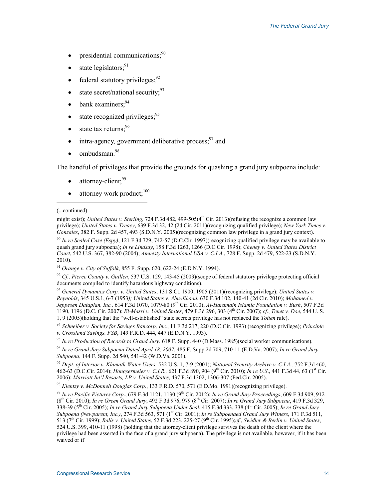- presidential communications; $90$
- state legislators:<sup>91</sup>
- federal statutory privileges; $^{92}$
- state secret/national security;  $93$
- $\bullet$  bank examiners;  $94$
- state recognized privileges;  $95$
- state tax returns:  $96$
- intra-agency, government deliberative process: $97$  and
- ombudsman.<sup>98</sup>

The handful of privileges that provide the grounds for quashing a grand jury subpoena include:

- attorney-client:<sup>99</sup>
- attorney work product; $100$

(...continued)

 $\overline{a}$ 

<sup>90</sup> *In re Sealed Case (Espy)*, 121 F.3d 729, 742-57 (D.C.Cir. 1997)(recognizing qualified privilege may be available to quash grand jury subpoena); *In re Lindsay*, 158 F.3d 1263, 1266 (D.C.Cir. 1998); *Cheney v. United States District Court*, 542 U.S. 367, 382-90 (2004); *Amnesty International USA v. C.I.A*., 728 F. Supp. 2d 479, 522-23 (S.D.N.Y. 2010).

<sup>91</sup> *Orange v. City of Suffolk*, 855 F. Supp. 620, 622-24 (E.D.N.Y. 1994).

<sup>92</sup> *Cf., Pierce County v. Guillen*, 537 U.S. 129, 143-45 (2003)(scope of federal statutory privilege protecting official documents compiled to identify hazardous highway conditions).

<sup>93</sup> *General Dynamics Corp. v. United States*, 131 S.Ct. 1900, 1905 (2011)(recognizing privilege); *United States v. Reynolds*, 345 U.S.1, 6-7 (1953*); United States v. Abu-Jihaad*, 630 F.3d 102, 140-41 (2d Cir. 2010); *Mohamed v. Jeppesen Dataplan, Inc.,* 614 F.3d 1070, 1079-80 (9th Cir. 2010); *Al-Haramain Islamic Foundation v. Bush*, 507 F.3d 1190, 1196 (D.C. Cir. 2007); *El-Masri v. United States*, 479 F.3d 296, 303 (4th Cir. 2007); *cf*., *Tenet v. Doe*, 544 U. S. 1, 9 (2005)(holding that the "well-established" state secrets privilege has not replaced the *Totten* rule).

<sup>94</sup> *Schneiber v. Society for Savings Bancorp, Inc.*, 11 F.3d 217, 220 (D.C.Cir. 1993) (recognizing privilege); *Principle v. Crossland Savings, FSB*, 149 F.R.D. 444, 447 (E.D.N.Y. 1993).

<sup>95</sup> *In re Production of Records to Grand Jury*, 618 F. Supp. 440 (D.Mass. 1985)(social worker communications).

<sup>96</sup> *In re Grand Jury Subpoena Dated April 18, 2007*, 485 F. Supp.2d 709, 710-11 (E.D.Va. 2007); *In re Grand Jury Subpoena*, 144 F. Supp. 2d 540, 541-42 (W.D.Va. 2001).

<sup>97</sup> *Dept. of Interior v. Klamath Water Users,* 532 U.S. 1, 7-9 (2001); *National Security Archive v. C.I.A.,* 752 F.3d 460, 462-63 (D.C.Cir. 2014); *Hongsermeier v. C.I.R.*, 621 F.3d 890, 904 (9<sup>th</sup> Cir. 2010); *In re U.S.*, 441 F.3d 44, 63 (1<sup>st</sup> Cir. 2006); *Marriott Int'l Resorts, LP v. United States*, 437 F.3d 1302, 1306-307 (Fed.Cir. 2005).

<sup>98</sup> *Kientzy v. McDonnell Douglas Corp*., 133 F.R.D. 570, 571 (E.D.Mo. 1991)(recognizing privilege).

<sup>99</sup> *In re Pacific Pictures Corp*., 679 F.3d 1121, 1130 (9th Cir. 2012); *In re Grand Jury Proceedings*, 609 F.3d 909, 912 (8th Cir. 2010); *In re Green Grand Jury*, 492 F.3d 976, 979 (8th Cir. 2007); *In re Grand Jury Subpoena*, 419 F.3d 329, 338-39 (5th Cir. 2005); *In re Grand Jury Subpoena Under Seal*, 415 F.3d 333, 338 (4th Cir. 2005); *In re Grand Jury Subpoena (Newparent, Inc.)*, 274 F.3d 563, 571 (1<sup>st</sup> Cir. 2001); *In re Subpoenaed Grand Jury Witness*, 171 F.3d 511, 513 (7th Cir. 1999); *Ralls v. United States*, 52 F.3d 223, 225-27 (9th Cir. 1995);*cf.*, *Swidler & Berlin v. United States*, 524 U.S. 399, 410-11 (1998) (holding that the attorney-client privilege survives the death of the client where the privilege had been asserted in the face of a grand jury subpoena). The privilege is not available, however, if it has been waived or if

might exist); *United States v. Sterling*, 724 F.3d 482, 499-505(4<sup>th</sup> Cir. 2013)(refusing the recognize a common law privilege); *United States v. Treacy*, 639 F.3d 32, 42 (2d Cir. 2011)(recognizing qualified privilege); *New York Times v. Gonzales*, 382 F. Supp. 2d 457, 493 (S.D.N.Y. 2005)(recognizing common law privilege in a grand jury context).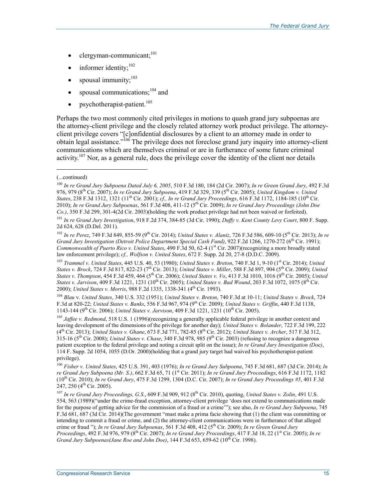- $clergyman-communicant;$ <sup>101</sup>
- informer identity;<sup>102</sup>
- spousal immunity:<sup>103</sup>
- spousal communications; $^{104}$  and
- psychotherapist-patient. $105$

Perhaps the two most commonly cited privileges in motions to quash grand jury subpoenas are the attorney-client privilege and the closely related attorney work product privilege. The attorneyclient privilege covers "[c]onfidential disclosures by a client to an attorney made in order to obtain legal assistance."<sup>106</sup> The privilege does not foreclose grand jury inquiry into attorney-client communications which are themselves criminal or are in furtherance of some future criminal activity.<sup>107</sup> Nor, as a general rule, does the privilege cover the identity of the client nor details

#### (...continued)

 $\overline{a}$ 

<sup>103</sup> *Trammel v. United States*, 445 U.S. 40, 53 (1980); *United States v. Breton*, 740 F.3d 1, 9-10 (1st Cir. 2014); *United States v. Brock*, 724 F.3d 817, 822-23 (7<sup>th</sup> Cir. 2013); *United States v. Miller*, 588 F.3d 897, 904 (5<sup>th</sup> Cir. 2009); *United States v. Thompson*, 454 F.3d 459, 464 (5th Cir. 2006); *United States v. Vo*, 413 F.3d 1010, 1016 (9th Cir. 2005); *United States v. Jarvison*, 409 F.3d 1221, 1231 (10th Cir. 2005); *United States v. Bad Wound*, 203 F.3d 1072, 1075 (8th Cir. 2000); *United States v. Morris*, 988 F.2d 1335, 1338-341 (4<sup>th</sup> Cir. 1993).

<sup>104</sup> *Blau* v. *United States*, 340 U.S. 332 (1951); *United States v. Breton*, 740 F.3d at 10-11; *United States v. Brock*, 724 F.3d at 820-22; *United States v. Banks*, 556 F.3d 967, 974 (9th Cir. 2009); *United States v. Griffin*, 440 F.3d 1138, 1143-144 (9th Cir. 2006); *United States v. Jarvison*, 409 F.3d 1221, 1231 (10th Cir. 2005).

<sup>105</sup> *Jaffee v. Redmond*, 518 U.S. 1 (1996)(recognizing a generally applicable federal privilege in another context and leaving development of the dimensions of the privilege for another day); *United States v. Bolander*, 722 F.3d 199, 222 (4th Cir. 2013); *United States v. Ghane*, 673 F.3d 771, 782-85 (8th Cir. 2012); *United States v. Archer*, 517 F.3d 312,  $315-16$  ( $5<sup>th</sup>$  Cir. 2008); *United States v. Chase*, 340 F.3d 978, 985 (9<sup>th</sup> Cir. 2003) (refusing to recognize a dangerous patient exception to the federal privilege and noting a circuit split on the issue); *In re Grand Jury Investigation (Doe)*, 114 F. Supp. 2d 1054, 1055 (D.Or. 2000)(holding that a grand jury target had waived his psychotherapist-patient privilege).

<sup>106</sup> *Fisher v. United States*, 425 U.S. 391, 403 (1976); *In re Grand Jury Subpoena*, 745 F.3d 681, 687 (3d Cir. 2014); *In re Grand Jury Subpoena (Mr. S.)*, 662 F.3d 65, 71 (1st Cir. 2011); *In re Grand Jury Proceedings*, 616 F.3d 1172, 1182 (10th Cir. 2010); *In re Grand Jury*, 475 F.3d 1299, 1304 (D.C. Cir. 2007); *In re Grand Jury Proceedings #5*, 401 F.3d 247, 250  $(4<sup>th</sup>$  Cir. 2005).

<sup>107</sup> In re Grand Jury Proceedings, G.S., 609 F.3d 909, 912 (8<sup>th</sup> Cir. 2010), quoting, *United States v. Zolin*, 491 U.S. 554, 563 (1989)("under the crime-fraud exception, attorney-client privilege 'does not extend to communications made for the purpose of getting advice for the commission of a fraud or a crime'"); see also, *In re Grand Jury Subpoena*, 745 F.3d 681, 687 (3d Cir. 2014)(The government "must make a prima facie showing that (1) the client was committing or intending to commit a fraud or crime, and (2) the attorney-client communications were in furtherance of that alleged crime or fraud "); *In re Grand Jury Subpoenas*, 561 F.3d 408, 412 (5th Cir. 2009); *In re Green Grand Jury Proceedings*, 492 F.3d 976, 979 (8<sup>th</sup> Cir. 2007); *In re Grand Jury Proceedings*, 417 F.3d 18, 22 (1<sup>st</sup> Cir. 2005); *In re Grand Jury Subpoenas(Jane Roe and John Doe)*, 144 F.3d 653, 659-62 (10<sup>th</sup> Cir. 1998).

<sup>100</sup> *In re Grand Jury Subpoena Dated July 6, 2005*, 510 F.3d 180, 184 (2d Cir. 2007); *In re Green Grand Jury*, 492 F.3d 976, 979 (8th Cir. 2007); *In re Grand Jury Subpoena*, 419 F.3d 329, 339 (5th Cir. 2005); *United Kingdom v. United States*, 238 F.3d 1312, 1321 (11<sup>th</sup> Cir. 2001); *cf., In re Grand Jury Proceedings*, 616 F.3d 1172, 1184-185 (10<sup>th</sup> Cir. 2010); *In re Grand Jury Subpoenas*, 561 F.3d 408, 411-12 (5th Cir. 2009); *In re Grand Jury Proceedings (John Doe Co.)*, 350 F.3d 299, 301-4(2d Cir. 2003)(holding the work product privilege had not been waived or forfeited).

<sup>101</sup> *In re Grand Jury Investigation*, 918 F.2d 374, 384-85 (3d Cir. 1990); *Duffy v. Kent County Levy Court*, 800 F. Supp. 2d 624, 628 (D.Del. 2011).

<sup>102</sup> *In re Perez*, 749 F.3d 849, 855-59 (9th Cir. 2014); *United States v. Alaniz*, 726 F.3d 586, 609-10 (5th Cir. 2013); *In re Grand Jury Investigation (Detroit Police Department Special Cash Fund)*, 922 F.2d 1266, 1270-272 (6<sup>th</sup> Cir. 1991); *Commonwealth of Puerto Rico v. United States*, 490 F.3d 50, 62-4 (1<sup>st</sup> Cir. 2007)(recognizing a more broadly stated law enforcement privilege); *cf., Wolfson v. United States*, 672 F. Supp. 2d 20, 27-8 (D.D.C. 2009).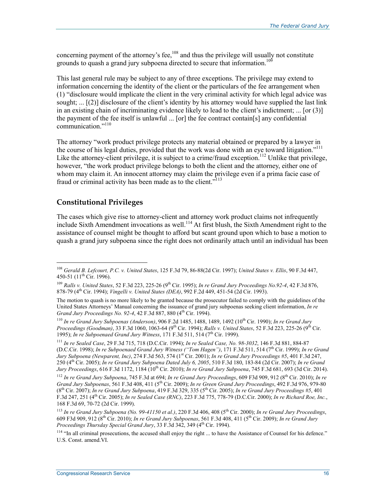concerning payment of the attorney's fee,<sup>108</sup> and thus the privilege will usually not constitute grounds to quash a grand jury subpoena directed to secure that information.<sup>109</sup>

This last general rule may be subject to any of three exceptions. The privilege may extend to information concerning the identity of the client or the particulars of the fee arrangement when (1) "disclosure would implicate the client in the very criminal activity for which legal advice was sought;  $\ldots$  [(2)] disclosure of the client's identity by his attorney would have supplied the last link in an existing chain of incriminating evidence likely to lead to the client's indictment; ... [or (3)] the payment of the fee itself is unlawful ... [or] the fee contract contain[s] any confidential communication<sup>"110</sup>

The attorney "work product privilege protects any material obtained or prepared by a lawyer in the course of his legal duties, provided that the work was done with an eye toward litigation."<sup>111</sup> Like the attorney-client privilege, it is subject to a crime/fraud exception.<sup>112</sup> Unlike that privilege, however, "the work product privilege belongs to both the client and the attorney, either one of whom may claim it. An innocent attorney may claim the privilege even if a prima facie case of fraud or criminal activity has been made as to the client. $113$ 

# **Constitutional Privileges**

1

The cases which give rise to attorney-client and attorney work product claims not infrequently include Sixth Amendment invocations as well.114 At first blush, the Sixth Amendment right to the assistance of counsel might be thought to afford but scant ground upon which to base a motion to quash a grand jury subpoena since the right does not ordinarily attach until an individual has been

<sup>108</sup> *Gerald B. Lefcourt, P.C. v. United States*, 125 F.3d 79, 86-88(2d Cir. 1997); *United States v. Ellis*, 90 F.3d 447, 450-51 (11<sup>th</sup> Cir. 1996).

<sup>&</sup>lt;sup>109</sup> *Ralls v. United States*, 52 F.3d 223, 225-26 (9<sup>th</sup> Cir. 1995); *In re Grand Jury Proceedings No.92-4*, 42 F.3d 876, 878-79 (4th Cir. 1994); *Vingelli v. United States (DEA)*, 992 F.2d 449, 451-54 (2d Cir. 1993).

The motion to quash is no more likely to be granted because the prosecutor failed to comply with the guidelines of the United States Attorneys' Manual concerning the issuance of grand jury subpoenas seeking client information, *In re Grand Jury Proceedings No. 92-4, 42 F.3d 887, 880 (4<sup>th</sup> Cir. 1994).* 

<sup>110</sup> *In re Grand Jury Subpoenas (Anderson)*, 906 F.2d 1485, 1488, 1489, 1492 (10th Cir. 1990); *In re Grand Jury Proceedings (Goodman)*, 33 F.3d 1060, 1063-64 (9<sup>th</sup> Cir. 1994); *Ralls v. United States*, 52 F.3d 223, 225-26 (9<sup>th</sup> Cir. 1995); *In re Subpoenaed Grand Jury Witness*, 171 F.3d 511, 514 (7<sup>th</sup> Cir. 1999).

<sup>111</sup> *In re Sealed Case*, 29 F.3d 715, 718 (D.C.Cir. 1994); *In re Sealed Case, No. 98-3032*, 146 F.3d 881, 884-87 (D.C.Cir. 1998); *In re Subpoenaed Grand Jury Witness ("Tom Hagen")*, 171 F.3d 511, 514 (7th Cir. 1999); *In re Grand Jury Subpoena (Newparent, Inc)*, 274 F.3d 563, 574 (1st Cir. 2001); *In re Grand Jury Proceedings #5*, 401 F.3d 247, 250 (4th Cir. 2005); *In re Grand Jury Subpoena Dated July 6, 2005*, 510 F.3d 180, 183-84 (2d Cir. 2007); *In re Grand Jury Proceedings*, 616 F.3d 1172, 1184 (10th Cir. 2010); *In re Grand Jury Subpoena*, 745 F.3d 681, 693 (3d Cir. 2014).

<sup>112</sup> *In re Grand Jury Subpoena*, 745 F.3d at 694; *In re Grand Jury Proceedings*, 609 F3d 909, 912 (8th Cir. 2010); *In re Grand Jury Subpoenas*, 561 F.3d 408, 411 (5th Cir. 2009); *In re Green Grand Jury Proceedings*, 492 F.3d 976, 979-80 (8th Cir. 2007); *In re Grand Jury Subpoena*, 419 F.3d 329, 335 (5th Cir. 2005); *In re Grand Jury Proceedings #5*, 401 F.3d 247, 251 (4th Cir. 2005); *In re Sealed Case (RNC)*, 223 F.3d 775, 778-79 (D.C.Cir. 2000); *In re Richard Roe, Inc.*, 168 F.3d 69, 70-72 (2d Cir. 1999).

<sup>113</sup> *In re Grand Jury Subpoena (No. 99-41150 et al.)*, 220 F.3d 406, 408 (5th Cir. 2000); *In re Grand Jury Proceedings*, 609 F3d 909, 912 (8th Cir. 2010); *In re Grand Jury Subpoenas*, 561 F.3d 408, 411 (5th Cir. 2009); *In re Grand Jury Proceedings Thursday Special Grand Jury*, 33 F.3d 342, 349 (4th Cir. 1994).

 $114$  "In all criminal prosecutions, the accused shall enjoy the right ... to have the Assistance of Counsel for his defence." U.S. Const. amend.VI.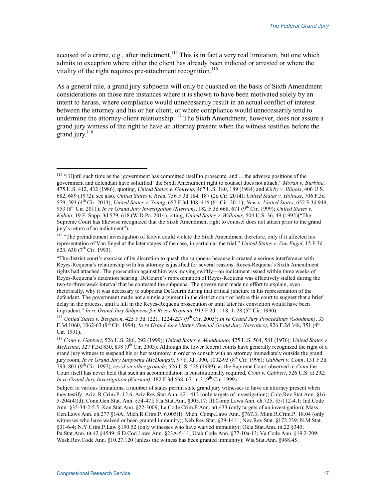accused of a crime, e.g., after indictment.<sup>115</sup> This is in fact a very real limitation, but one which admits to exception where either the client has already been indicted or arrested or where the vitality of the right requires pre-attachment recognition.<sup>116</sup>

As a general rule, a grand jury subpoena will only be quashed on the basis of Sixth Amendment considerations on those rare instances where it is shown to have been motivated solely by an intent to harass, where compliance would unnecessarily result in an actual conflict of interest between the attorney and his or her client, or where compliance would unnecessarily tend to undermine the attorney-client relationship.<sup>117</sup> The Sixth Amendment, however, does not assure a grand jury witness of the right to have an attorney present when the witness testifies before the grand jury. $118$ 

<sup>116</sup> "The preindictment investigation of Kravit could violate the Sixth Amendment therefore, only if it affected his representation of Van Engel at the later stages of the case, in particular the trial." *United States v. Van Engel*, 15 F.3d 623, 630 (7<sup>th</sup> Cir. 1993).

<sup>&</sup>lt;sup>115</sup> "[U]ntil such time as the 'government has committed itself to prosecute, and ... the adverse positions of the government and defendant have solidified' the Sixth Amendment right to counsel does not attach." *Moran v. Burbine*, 475 U.S. 412, 432 (1986), quoting, *United States v. Gouveia*, 467 U.S. 180, 189 (1984) and *Kirby v. Illinois*, 406 U.S. 682, 689 (1972); see also, *United States v. Reed*, 756 F.3d 184, 187 (2d Cir. 2014); *United States v. Holness*, 706 F.3d 579, 593 (4th Cir. 2013); *United States v. Young*, 657 F.3d 408, 416 (6th Cir. 2011); *New v. United States*, 652 F.3d 949, 953 (8th Cir. 2011); *In re Grand Jury Investigation (Kiernan)*, 182 F.3d 668, 671 (9th Cir. 1999); *United States v. Kubini*, 19 F. Supp. 3d 579, 618 (W.D.Pa. 2014), citing, *United States v. Williams*, 504 U.S. 36, 49 (1992)("The Supreme Court has likewise recognized that the Sixth Amendment right to counsel does not attach prior to the grand jury's return of an indictment").

<sup>&</sup>quot;The district court's exercise of its discretion to quash the subpoena because it created a serious interference with Reyes-Requena's relationship with his attorney is justified for several reasons. Reyes-Requena's Sixth Amendment rights had attached. The prosecution against him was moving swiftly—an indictment issued within three weeks of Reyes-Requena's detention hearing. DeGeurin's representation of Reyes-Requena was effectively stalled during the two-to-three week interval that he contested the subpoena. The government made no effort to explain, even rhetorically, why it was necessary to subpoena DeGeurin during that critical juncture in his representation of the defendant. The government made not a single argument in the district court or before this court to suggest that a brief delay in the process, until a lull in the Reyes-Requena prosecution or until after his conviction would have been imprudent." *In re Grand Jury Subpoena for Reyes-Requena*, 913 F.2d 1118, 1128 (5th Cir. 1990).

<sup>&</sup>lt;sup>117</sup> *United States v. Bergeson*, 425 F.3d 1221, 1224-227 (9<sup>th</sup> Cir. 2005); *In re Grand Jury Proceedings (Goodman)*, 33 F.3d 1060, 1062-63 (9th Cir. 1994); *In re Grand Jury Matter (Special Grand Jury Narcotics)*, 926 F.2d 348, 351 (4th Cir. 1991).

<sup>118</sup> *Conn v. Gabbert*, 526 U.S. 286, 292 (1999); *United States v. Mandujano*, 425 U.S. 564, 581 (1976); *United States v. McKenna*, 327 F.3d 830, 838 (9<sup>th</sup> Cir. 2003). Although the lower federal courts have generally recognized the right of a grand jury witness to suspend his or her testimony in order to consult with an attorney immediately outside the grand jury room, *In re Grand Jury Subpoena (McDougal)*, 97 F.3d 1090, 1092-93 (8th Cir. 1996); *Gabbert v. Conn*, 131 F.3d 793, 801 (9th Cir. 1997), *rev'd on other grounds*, 526 U.S. 526 (1999), as the Supreme Court observed in *Conn* the Court itself has never held that such an accommodation is constitutionally required, *Conn v. Gabbert*, 526 U.S. at 292; *In re Grand Jury Investigation (Kiernan)*, 182 F.3d 668, 671 n.3 (9<sup>th</sup> Cir. 1999).

Subject to various limitations, a number of states permit state grand jury witnesses to have an attorney present when they testify: Ariz. R.Crim.P. 12.6, Ariz.Rev.Stat.Ann. §21-412 (only targets of investigation); Colo.Rev.Stat.Ann. §16- 5-204(4)(d); Conn.Gen.Stat. Ann. §54-47f; Fla.Stat.Ann. §905.17; Ill.Comp.Laws Ann. ch.725, §5/112-4.1; Ind.Code Ann. §35-34-2-5.5; Kan.Stat.Ann. §22-3009; La.Code Crim.P.Ann. art.433 (only targets of an investigation); Mass. Gen.Laws Ann. ch.277 §14A; Mich.R.Crim.P. 6.005(I), Mich. Comp.Laws Ann. §767.3; Minn.R.Crim.P. 18.04 (only witnesses who have waived or been granted immunity); Neb.Rev.Stat. §29-1411; Nev.Rev.Stat. §172.239; N.M.Stat. §31-6-4; N.Y.Crim.P.Law §190.52 (only witnesses who have waived immunity); Okla.Stat.Ann. tit.22 §340; Pa.Stat.Ann. tit.42 §4549; S.D.Cod.Laws Ann. §23A-5-11; Utah Code Ann. §77-10a-13; Va.Code Ann. §19.2-209; Wash.Rev.Code Ann. §10.27.120 (unless the witness has been granted immunity); Wis.Stat.Ann. §968.45.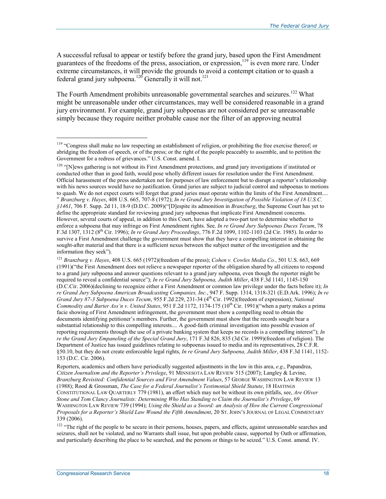A successful refusal to appear or testify before the grand jury, based upon the First Amendment guarantees of the freedoms of the press, association, or expression,<sup>119</sup> is even more rare. Under extreme circumstances, it will provide the grounds to avoid a contempt citation or to quash a federal grand jury subpoena.<sup>120</sup> Generally it will not.<sup>121</sup>

The Fourth Amendment prohibits unreasonable governmental searches and seizures.<sup>122</sup> What might be unreasonable under other circumstances, may well be considered reasonable in a grand jury environment. For example, grand jury subpoenas are not considered per se unreasonable simply because they require neither probable cause nor the filter of an approving neutral

<sup>120</sup> "[N]ews gathering is not without its First Amendment protections, and grand jury investigations if instituted or conducted other than in good faith, would pose wholly different issues for resolution under the First Amendment. Official harassment of the press undertaken not for purposes of law enforcement but to disrupt a reporter's relationship with his news sources would have no justification. Grand juries are subject to judicial control and subpoenas to motions to quash. We do not expect courts will forget that grand juries must operate within the limits of the First Amendment.... " *Branzburg v. Hayes*, 408 U.S. 665, 707-8 (1972); *In re Grand Jury Investigation of Possible Violation of 18 U.S.C. §1461*, 706 F. Supp. 2d 11, 18-9 (D.D.C. 2009)("[D]espite its admonition in *Branzburg*, the Supreme Court has yet to define the appropriate standard for reviewing grand jury subpoenas that implicate First Amendment concerns. However, several courts of appeal, in addition to this Court, have adopted a two-part test to determine whether to enforce a subpoena that may infringe on First Amendment rights. See*, In re Grand Jury Subpoenas Duces Tecum*, 78 F.3d 1307, 1312 (8th Cir. 1996); *In re Grand Jury Proceedings*, 776 F.2d 1099, 1102-1103 (2d Cir. 1985). In order to survive a First Amendment challenge the government must show that they have a compelling interest in obtaining the sought-after material and that there is a sufficient nexus between the subject matter of the investigation and the information they seek").

<sup>121</sup> *Branzburg v. Hayes*, 408 U.S. 665 (1972)(freedom of the press); *Cohen v. Cowles Media Co.*, 501 U.S. 663, 669 (1991)("the First Amendment does not relieve a newspaper reporter of the obligation shared by all citizens to respond to a grand jury subpoena and answer questions relevant to a grand jury subpoena, even though the reporter might be required to reveal a confidential source"); *In re Grand Jury Subpoena, Judith Miller*, 438 F.3d 1141, 1145-150 (D.C.Cir. 2006)(declining to recognize either a First Amendment or common law privilege under the facts before it); *In re Grand Jury Subpoena American Broadcasting Companies, Inc.*, 947 F. Supp. 1314, 1318-321 (E.D.Ark. 1996); *In re Grand Jury 87-3 Subpoena Duces Tecum*, 955 F.2d 229, 231-34 (4th Cir. 1992)(freedom of expression); *National Commodity and Barter Ass'n v. United States*, 951 F.2d 1172, 1174-175 (10th Cir. 1991)("when a party makes a prima facie showing of First Amendment infringement, the government must show a compelling need to obtain the documents identifying petitioner's members. Further, the government must show that the records sought bear a substantial relationship to this compelling interests.... A good-faith criminal investigation into possible evasion of reporting requirements through the use of a private banking system that keeps no records is a compelling interest"); *In re the Grand Jury Empaneling of the Special Grand Jury*, 171 F.3d 826, 835 (3d Cir. 1999)(freedom of religion). The Department of Justice has issued guidelines relating to subpoenas issued to media and its representatives, 28 C.F.R. §50.10, but they do not create enforceable legal rights, *In re Grand Jury Subpoena, Judith Miller*, 438 F.3d 1141, 1152- 153 (D.C. Cir. 2006).

Reporters, academics and others have periodically suggested adjustments in the law in this area, *e.g*., Papandrea, *Citizen Journalism and the Reporter's Privilege*, 91 MINNESOTA LAW REVIEW 515 (2007); Langley & Levine, *Branzburg Revisited: Confidential Sources and First Amendment Values*, 57 GEORGE WASHINGTON LAW REVIEW 13 (1988); Rood & Grossman, *The Case for a Federal Journalist's Testimonial Shield Statute*, 18 HASTINGS CONSTITUTIONAL LAW QUARTERLY 779 (1981), an effort which may not be without its own pitfalls, see, *Are Oliver Stone and Tom Clancy Journalists: Determining Who Has Standing to Claim the Journalist's Privilege*, 69 WASHINGTON LAW REVIEW 739 (1994); *Using the Shield as a Sword: an Analysis of How the Current Congressional Proposals for a Reporter's Shield Law Wound the Fifth Amendment*, 20 ST. JOHN'S JOURNAL OF LEGAL COMMENTARY 339 (2006).

<sup>122</sup> "The right of the people to be secure in their persons, houses, papers, and effects, against unreasonable searches and seizures, shall not be violated, and no Warrants shall issue, but upon probable cause, supported by Oath or affirmation, and particularly describing the place to be searched, and the persons or things to be seized." U.S. Const. amend. IV.

<sup>&</sup>lt;sup>119</sup> "Congress shall make no law respecting an establishment of religion, or prohibiting the free exercise thereof; or abridging the freedom of speech, or of the press; or the right of the people peaceably to assemble, and to petition the Government for a redress of grievances." U.S. Const. amend. I.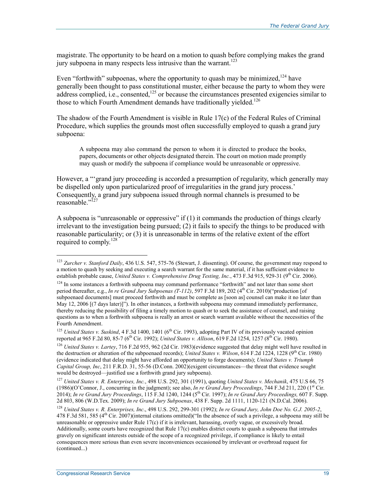magistrate. The opportunity to be heard on a motion to quash before complying makes the grand jury subpoena in many respects less intrusive than the warrant.<sup>123</sup>

Even "forthwith" subpoenas, where the opportunity to quash may be minimized,  $^{124}$  have generally been thought to pass constitutional muster, either because the party to whom they were address complied, i.e., consented,<sup>125</sup> or because the circumstances presented exigencies similar to those to which Fourth Amendment demands have traditionally yielded.<sup>126</sup>

The shadow of the Fourth Amendment is visible in Rule 17(c) of the Federal Rules of Criminal Procedure, which supplies the grounds most often successfully employed to quash a grand jury subpoena:

A subpoena may also command the person to whom it is directed to produce the books, papers, documents or other objects designated therein. The court on motion made promptly may quash or modify the subpoena if compliance would be unreasonable or oppressive.

However, a "'grand jury proceeding is accorded a presumption of regularity, which generally may be dispelled only upon particularized proof of irregularities in the grand jury process.' Consequently, a grand jury subpoena issued through normal channels is presumed to be reasonable."<sup>127</sup>

A subpoena is "unreasonable or oppressive" if (1) it commands the production of things clearly irrelevant to the investigation being pursued; (2) it fails to specify the things to be produced with reasonable particularity; or (3) it is unreasonable in terms of the relative extent of the effort required to comply.<sup>128</sup>

<sup>123</sup> *Zurcher v. Stanford Daily*, 436 U.S. 547, 575-76 (Stewart, J. dissenting). Of course, the government may respond to a motion to quash by seeking and executing a search warrant for the same material, if it has sufficient evidence to establish probable cause, *United States v. Comprehensive Drug Testing, Inc.*, 473 F.3d 915, 929-31 (9<sup>th</sup> Cir. 2006).

<sup>&</sup>lt;sup>124</sup> In some instances a forthwith subpoena may command performance "forthwith" and not later than some short period thereafter, e.g., *In re Grand Jury Subpoenas (T-112)*, 597 F.3d 189, 202 (4th Cir. 2010)("production [of subpoenaed documents] must proceed forthwith and must be complete as [soon as] counsel can make it no later than May 12, 2006 [(7 days later)]"). In other instances, a forthwith subpoena may command immediately performance, thereby reducing the possibility of filing a timely motion to quash or to seek the assistance of counsel, and raising questions as to when a forthwith subpoena is really an arrest or search warrant available without the necessities of the Fourth Amendment.

<sup>&</sup>lt;sup>125</sup> *United States v. Suskind*, 4 F.3d 1400, 1401 (6<sup>th</sup> Cir. 1993), adopting Part IV of its previously vacated opinion reported at 965 F.2d 80, 85-7 (6<sup>th</sup> Cir. 1992); *United States v. Allison*, 619 F.2d 1254, 1257 (8<sup>th</sup> Cir. 1980).

<sup>126</sup> *United States v. Lartey*, 716 F.2d 955, 962 (2d Cir. 1983)(evidence suggested that delay might well have resulted in the destruction or alteration of the subpoenaed records); *United States v. Wilson*, 614 F.2d 1224, 1228 (9<sup>th</sup> Cir. 1980) (evidence indicated that delay might have afforded an opportunity to forge documents); *United States v. Triumph Capital Group, Inc*, 211 F.R.D. 31, 55-56 (D.Conn. 2002)(exigent circumstances—the threat that evidence sought would be destroyed—justified use a forthwith grand jury subpoena).

<sup>127</sup> *United States v. R. Enterprises, Inc.*, 498 U.S. 292, 301 (1991), quoting *United States v. Mechanik*, 475 U.S 66, 75 (1986)(O'Connor, J., concurring in the judgment); see also, *In re Grand Jury Proceedings*, 744 F.3d 211, 220 (1<sup>st</sup> Cir. 2014); *In re Grand Jury Proceedings*, 115 F.3d 1240, 1244 (5th Cir. 1997); *In re Grand Jury Proceedings,* 607 F. Supp. 2d 803, 806 (W.D.Tex. 2009); *In re Grand Jury Subpoenas*, 438 F. Supp. 2d 1111, 1120-121 (N.D.Cal. 2006).

<sup>128</sup> *United States v. R. Enterprises, Inc*., 498 U.S. 292, 299-301 (1992); *In re Grand Jury, John Doe No. G.J. 2005-2*, 478 F.3d 581, 585 ( $4<sup>th</sup>$  Cir. 2007)(internal citations omitted)("In the absence of such a privilege, a subpoena may still be unreasonable or oppressive under Rule 17(c) if it is irrelevant, harassing, overly vague, or excessively broad. Additionally, some courts have recognized that Rule 17(c) enables district courts to quash a subpoena that intrudes gravely on significant interests outside of the scope of a recognized privilege, if compliance is likely to entail consequences more serious than even severe inconveniences occasioned by irrelevant or overbroad request for (continued...)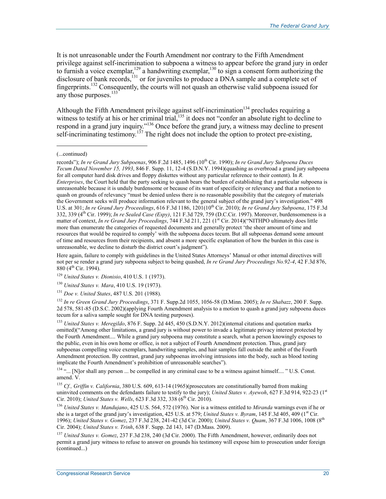It is not unreasonable under the Fourth Amendment nor contrary to the Fifth Amendment privilege against self-incrimination to subpoena a witness to appear before the grand jury in order to furnish a voice exemplar,  $129$  a handwriting exemplar,  $130$  to sign a consent form authorizing the disclosure of bank records,<sup>131</sup> or for juveniles to produce a DNA sample and a complete set of fingerprints.132 Consequently, the courts will not quash an otherwise valid subpoena issued for any those purposes.<sup>133</sup>

Although the Fifth Amendment privilege against self-incrimination<sup>134</sup> precludes requiring a witness to testify at his or her criminal trial, $\frac{135}{135}$  it does not "confer an absolute right to decline to respond in a grand jury inquiry."<sup>136</sup> Once before the grand jury, a witness may decline to present self-incriminating testimony.<sup>137</sup> The right does not include the option to protect pre-existing,

1

Here again, failure to comply with guidelines in the United States Attorneys' Manual or other internal directives will not per se render a grand jury subpoena subject to being quashed, *In re Grand Jury Proceedings No.92-4*, 42 F.3d 876,  $880(4^{th}$  Cir. 1994).

<sup>132</sup> *In re Green Grand Jury Proceedings*, 371 F. Supp.2d 1055, 1056-58 (D.Minn. 2005); *In re Shabazz*, 200 F. Supp. 2d 578, 581-85 (D.S.C. 2002)(applying Fourth Amendment analysis to a motion to quash a grand jury subpoena duces tecum for a saliva sample sought for DNA testing purposes).

<sup>133</sup> *United States v. Meregildo*, 876 F. Supp. 2d 445, 450 (S.D.N.Y. 2012)(internal citations and quotation marks omitted)("Among other limitations, a grand jury is without power to invade a legitimate privacy interest protected by the Fourth Amendment.... While a grand jury subpoena may constitute a search, what a person knowingly exposes to the public, even in his own home or office, is not a subject of Fourth Amendment protection. Thus, grand jury subpoenas compelling voice exemplars, handwriting samples, and hair samples fall outside the ambit of the Fourth Amendment protection. By contrast, grand jury subpoenas involving intrusions into the body, such as blood testing implicate the Fourth Amendment's prohibition of unreasonable searches").

<sup>134</sup> "... [N]or shall any person ... be compelled in any criminal case to be a witness against himself.... "U.S. Const. amend. V.

<sup>135</sup> *Cf., Griffin v. California*, 380 U.S. 609, 613-14 (1965)(prosecutors are constitutionally barred from making uninvited comments on the defendants failure to testify to the jury); *United States v. Ayewoh*, 627 F.3d 914, 922-23 (1st Cir. 2010); *United States v. Wells*, 623 F.3d 332, 338 (6<sup>th</sup> Cir. 2010).

<sup>136</sup> *United States v. Mandujano*, 425 U.S. 564, 572 (1976). Nor is a witness entitled to *Miranda* warnings even if he or she is a target of the grand jury's investigation, 425 U.S. at 579; *United States v. Byram*, 145 F.3d 405, 409 (1<sup>st</sup> Cir. 1996); *United States v. Gomez*, 237 F.3d 238, 241-42 (3d Cir. 2000); *United States v. Quam*, 367 F.3d 1006, 1008 (8th Cir. 2004); *United States v. Trinh*, 638 F. Supp. 2d 143, 147 (D.Mass. 2009).

<sup>137</sup> *United States v. Gomez*, 237 F.3d 238, 240 (3d Cir. 2000). The Fifth Amendment, however, ordinarily does not permit a grand jury witness to refuse to answer on grounds his testimony will expose him to prosecution under foreign (continued...)

<sup>(...</sup>continued)

records"); *In re Grand Jury Subpoenas*, 906 F.2d 1485, 1496 (10<sup>th</sup> Cir. 1990); *In re Grand Jury Subpoena Duces Tecum Dated November 15, 1993*, 846 F. Supp. 11, 12-4 (S.D.N.Y. 1994)(quashing as overbroad a grand jury subpoena for all computer hard disk drives and floppy diskettes without any particular reference to their content). In *R. Enterprises*, the Court held that the party seeking to quash bears the burden of establishing that a particular subpoena is unreasonable because it is unduly burdensome or because of its want of specificity or relevancy and that a motion to quash on grounds of relevancy "must be denied unless there is no reasonable possibility that the category of materials the Government seeks will produce information relevant to the general subject of the grand jury's investigation." 498 U.S. at 301; *In re Grand Jury Proceedings*, 616 F.3d 1186, 1201(10<sup>th</sup> Cir. 2010); *In re Grand Jury Subpoena*, 175 F.3d 332, 339 (4th Cir. 1999); *In re Sealed Case (Espy)*, 121 F.3d 729, 759 (D.C.Cir. 1997). Moreover, burdensomeness is a matter of context, *In re Grand Jury Proceedings*, 744 F.3d 211, 221 (1<sup>st</sup> Cir. 2014)("NITHPO ultimately does little more than enumerate the categories of requested documents and generally protect 'the sheer amount of time and resources that would be required to comply' with the subpoena duces tecum. But all subpoenas demand some amount of time and resources from their recipients, and absent a more specific explanation of how the burden in this case is unreasonable, we decline to disturb the district court's judgment").

<sup>129</sup> *United States v. Dionisio*, 410 U.S. 1 (1973).

<sup>130</sup> *United States v. Mara*, 410 U.S. 19 (1973).

<sup>131</sup> *Doe v. United States*, 487 U.S. 201 (1988).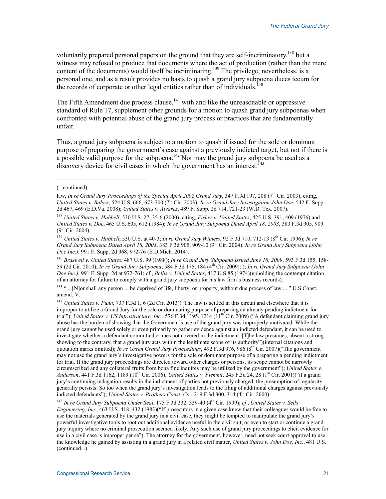voluntarily prepared personal papers on the ground that they are self-incriminatory,<sup>138</sup> but a witness may refused to produce that documents where the act of production (rather than the mere content of the documents) would itself be incriminating.<sup>139</sup> The privilege, nevertheless, is a personal one, and as a result provides no basis to quash a grand jury subpoena duces tecum for the records of corporate or other legal entities rather than of individuals.<sup>140</sup>

The Fifth Amendment due process clause,<sup>141</sup> with and like the unreasonable or oppressive standard of Rule 17, supplement other grounds for a motion to quash grand jury subpoenas when confronted with potential abuse of the grand jury process or practices that are fundamentally unfair.

Thus, a grand jury subpoena is subject to a motion to quash if issued for the sole or dominant purpose of preparing the government's case against a previously indicted target, but not if there is a possible valid purpose for the subpoena.<sup>142</sup> Nor may the grand jury subpoena be used as a discovery device for civil cases in which the government has an interest.<sup>143</sup>

1

<sup>141</sup> "... [N]or shall any person ... be deprived of life, liberty, or property, without due process of law.... " U.S.Const. amend. V.

<sup>142</sup> *United States v. Punn*, 737 F.3d 1, 6 (2d Cir. 2013)("The law is settled in this circuit and elsewhere that it is improper to utilize a Grand Jury for the sole or dominating purpose of preparing an already pending indictment for trial"); *United States v. US Infrastructure, Inc.*, 576 F.3d 1195, 1214 (11<sup>th</sup> Cir. 2009) ("A defendant claiming grand jury abuse has the burden of showing that the Government's use of the grand jury was improperly motivated. While the grand jury cannot be used solely or even primarily to gather evidence against an indicted defendant, it can be used to investigate whether a defendant committed crimes not covered in the indictment. [T]he law presumes, absent a strong showing to the contrary, that a grand jury acts within the legitimate scope of its authority")(internal citations and quotation marks omitted); *In re Green Grand Jury Proceedings*, 492 F.3d 976, 986 (8th Cir. 2007)("The government may not use the grand jury's investigative powers for the sole or dominant purpose of a preparing a pending indictment for trial. If the grand jury proceedings are directed toward other charges or persons, its scope cannot be narrowly circumscribed and any collateral fruits from bona fine inquires may be utilized by the government"); *United States v. Anderson*, 441 F.3d 1162, 1189 (10<sup>th</sup> Cir. 2006); *United States v. Flemmi*, 245 F.3d 24, 28 (1<sup>st</sup> Cir. 2001)("if a grand jury's continuing indagation results in the indictment of parties not previously charged, the presumption of regularity generally persists. So too when the grand jury's investigation leads to the filing of additional charges against previously indicted defendants"); *United States v. Brothers Const. Co.*, 219 F.3d 300, 314 (4<sup>th</sup> Cir. 2000).

<sup>143</sup> *In re Grand Jury Subpoena Under Seal*, 175 F.3d 332, 339-40 (4th Cir. 1999); *cf*., *United States v. Sells Engineering, Inc.*, 463 U.S. 418, 432 (1983)("If prosecutors in a given case knew that their colleagues would be free to use the materials generated by the grand jury in a civil case, they might be tempted to manipulate the grand jury's powerful investigative tools to root out additional evidence useful in the civil suit, or even to start or continue a grand jury inquiry where no criminal prosecution seemed likely. Any such use of grand jury proceedings to elicit evidence for use in a civil case is improper per se"). The attorney for the government, however, need not seek court approval to use the knowledge he gained by assisting in a grand jury in a related civil matter, *United States v. John Doe, Inc.*, 481 U.S. (continued...)

<sup>(...</sup>continued)

law, *In re Grand Jury Proceedings of the Special April 2002 Grand Jury*, 347 F.3d 197, 208 (7<sup>th</sup> Cir. 2003), citing, *United States v. Balsys*, 524 U.S. 666, 673-700 (7th Cir. 2003); *In re Grand Jury Investigation John Doe*, 542 F. Supp. 2d 467, 469 (E.D.Va. 2008); *United States v. Alvarez*, 489 F. Supp. 2d 714, 721-23 (W.D. Tex. 2007).

<sup>138</sup> *United States v. Hubbell*, 530 U.S. 27, 35-6 (2000), citing, *Fisher v. United States*, 425 U.S. 391, 409 (1976) and *United States v. Doe*, 465 U.S. 605, 612 (1984); *In re Grand Jury Subpoena Dated April 18, 2003*, 383 F.3d 905, 909  $(9^{th}$  Cir. 2004).

<sup>139</sup> *United States v. Hubbell*, 530 U.S. at 40-3; *In re Grand Jury Witness*, 92 F.3d 710, 712-13 (8th Cir. 1996); *In re Grand Jury Subpoena Dated April 18, 2003*, 383 F.3d 905, 909-10 (9th Cir. 2004); *In re Grand Jury Subpoena (John Doe Inc.)*, 991 F. Supp. 2d 968, 972-76 (E.D.Mich. 2014).

<sup>140</sup> *Braswell v. United States*, 487 U.S. 99 (1988); *In re Grand Jury Subpoena Issued June 18, 2009*, 593 F.3d 155, 158- 59 (2d Cir. 2010); *In re Grand Jury Subpoena*, 584 F.3d 175, 184 (4th Cir. 2009); ); *In re Grand Jury Subpoena (John Doe Inc.)*, 991 F. Supp. 2d at 972-761; cf., *Bellis v. United States*, 417 U.S.85 (1974)(upholding the contempt citation of an attorney for failure to comply with a grand jury subpoena for his law firm's business records).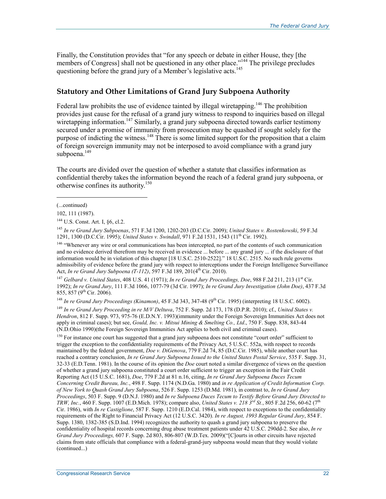Finally, the Constitution provides that "for any speech or debate in either House, they [the members of Congress] shall not be questioned in any other place."<sup>144</sup> The privilege precludes questioning before the grand jury of a Member's legislative acts.<sup>145</sup>

### **Statutory and Other Limitations of Grand Jury Subpoena Authority**

Federal law prohibits the use of evidence tainted by illegal wiretapping.<sup>146</sup> The prohibition provides just cause for the refusal of a grand jury witness to respond to inquiries based on illegal wiretapping information.<sup>147</sup> Similarly, a grand jury subpoena directed towards earlier testimony secured under a promise of immunity from prosecution may be quashed if sought solely for the purpose of indicting the witness.<sup>148</sup> There is some limited support for the proposition that a claim of foreign sovereign immunity may not be interposed to avoid compliance with a grand jury subpoena.<sup>149</sup>

The courts are divided over the question of whether a statute that classifies information as confidential thereby takes the information beyond the reach of a federal grand jury subpoena, or otherwise confines its authority.<sup>150</sup>

(...continued)

1

102, 111 (1987).

144 U.S. Const. Art. I, §6, cl.2.

<sup>145</sup> *In re Grand Jury Subpoenas*, 571 F.3d 1200, 1202-203 (D.C.Cir. 2009); *United States v. Rostenkowski*, 59 F.3d 1291, 1300 (D.C.Cir. 1995); *United States v. Swindall*, 971 F.2d 1531, 1543 (11th Cir. 1992).

<sup>146</sup> "Whenever any wire or oral communications has been intercepted, no part of the contents of such communication and no evidence derived therefrom may be received in evidence ... before ... any grand jury ... if the disclosure of that information would be in violation of this chapter [18 U.S.C. 2510-2522]." 18 U.S.C. 2515. No such rule governs admissibility of evidence before the grand jury with respect to interceptions under the Foreign Intelligence Surveillance Act, *In re Grand Jury Subpoena (T-112)*, 597 F.3d 189, 201(4<sup>th</sup> Cir. 2010).

<sup>147</sup> *Gelbard v. United States,* 408 U.S. 41 (1971); *In re Grand Jury Proceedings, Doe, 988 F.2d 211, 213* (1<sup>st</sup> Cir. 1992); *In re Grand Jury*, 111 F.3d 1066, 1077-79 (3d Cir. 1997); *In re Grand Jury Investigation (John Doe)*, 437 F.3d 855, 857 (9th Cir. 2006).

<sup>148</sup> *In re Grand Jury Proceedings (Kinamon)*, 45 F.3d 343, 347-48 (9<sup>th</sup> Cir. 1995) (interpreting 18 U.S.C. 6002).

<sup>149</sup> *In re Grand Jury Proceeding in re M/V Deltuva*, 752 F. Supp. 2d 173, 178 (D.P.R. 2010); cf., *United States v. Hendron*, 812 F. Supp. 973, 975-76 (E.D.N.Y. 1993)(immunity under the Foreign Sovereign Immunities Act does not apply in criminal cases); but see, *Gould, Inc. v. Mitsui Mining & Smelting Co., Ltd*., 750 F. Supp. 838, 843-44 (N.D.Ohio 1990)(the Foreign Sovereign Immunities Act applies to both civil and criminal cases).

<sup>150</sup> For instance one court has suggested that a grand jury subpoena does not constitute "court order" sufficient to trigger the exception to the confidentiality requirements of the Privacy Act, 5 U.S.C. 552a, with respect to records maintained by the federal government, *Doe v. DiGenova*, 779 F.2d 74, 85 (D.C.Cir. 1985), while another court has reached a contrary conclusion, *In re Grand Jury Subpoena Issued to the United States Postal Service*, 535 F. Supp. 31, 32-33 (E.D.Tenn. 1981). In the course of its opinion the *Doe* court noted a similar divergence of views on the question of whether a grand jury subpoena constituted a court order sufficient to trigger an exception in the Fair Credit Reporting Act (15 U.S.C. 1681), *Doe*, 779 F.2d at 81 n.16, citing, *In re Grand Jury Subpoena Duces Tecum Concerning Credit Bureau, Inc.*, 498 F. Supp. 1174 (N.D.Ga. 1980) and *in re Application of Credit Information Corp. of New York to Quash Grand Jury Subpoena*, 526 F. Supp. 1253 (D.Md. 1981), in contrast to, *In re Grand Jury Proceedings*, 503 F. Supp. 9 (D.N.J. 1980) and *In re Subpoena Duces Tecum to Testify Before Grand Jury Directed to TRW, Inc.*, 460 F. Supp. 1007 (E.D.Mich. 1978); compare also, *United States v. 218 3rd St.*, 805 F.2d 256, 60-62 (7th Cir. 1986), with *In re Castiglione*, 587 F. Supp. 1210 (E.D.Cal. 1984), with respect to exceptions to the confidentiality requirements of the Right to Financial Privacy Act (12 U.S.C. 3420). *In re August, 1993 Regular Grand Jury*, 854 F. Supp. 1380, 1382-385 (S.D.Ind. 1994) recognizes the authority to quash a grand jury subpoena to preserve the confidentiality of hospital records concerning drug abuse treatment patients under 42 U.S.C. 290dd-2. See also, *In re Grand Jury Proceedings,* 607 F. Supp. 2d 803, 806-807 (W.D.Tex. 2009)("[C]ourts in other circuits have rejected claims from state officials that compliance with a federal-grand-jury subpoena would mean that they would violate (continued...)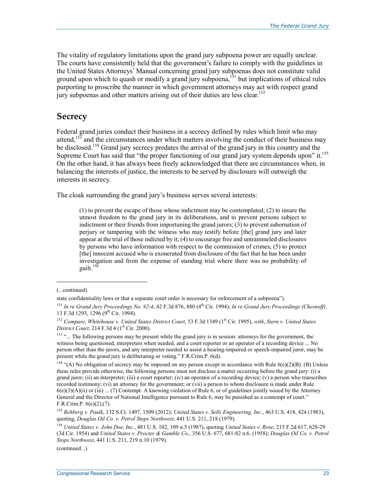The vitality of regulatory limitations upon the grand jury subpoena power are equally unclear. The courts have consistently held that the government's failure to comply with the guidelines in the United States Attorneys' Manual concerning grand jury subpoenas does not constitute valid ground upon which to quash or modify a grand jury subpoena,<sup>151</sup> but implications of ethical rules purporting to proscribe the manner in which government attorneys may act with respect grand jury subpoenas and other matters arising out of their duties are less clear.<sup>152</sup>

# **Secrecy**

Federal grand juries conduct their business in a secrecy defined by rules which limit who may attend,  $15\overline{3}$  and the circumstances under which matters involving the conduct of their business may be disclosed.<sup>154</sup> Grand jury secrecy predates the arrival of the grand jury in this country and the Supreme Court has said that "the proper functioning of our grand jury system depends upon" it.<sup>155</sup> On the other hand, it has always been freely acknowledged that there are circumstances when, in balancing the interests of justice, the interests to be served by disclosure will outweigh the interests in secrecy.

The cloak surrounding the grand jury's business serves several interests:

(1) to prevent the escape of those whose indictment may be contemplated; (2) to insure the utmost freedom to the grand jury in its deliberations, and to prevent persons subject to indictment or their friends from importuning the grand jurors; (3) to prevent subornation of perjury or tampering with the witness who may testify before [the] grand jury and later appear at the trial of those indicted by it; (4) to encourage free and untrammeled disclosures by persons who have information with respect to the commission of crimes; (5) to protect [the] innocent accused who is exonerated from disclosure of the fact that he has been under investigation and from the expense of standing trial where there was no probability of guilt. $156$ 

1

(continued...)

<sup>(...</sup>continued)

state confidentiality laws or that a separate court order is necessary for enforcement of a subpoena").

<sup>151</sup> *In re Grand Jury Proceedings No. 92-4*, 42 F.3d 876, 880 (4th Cir. 1994); *In re Grand Jury Proceedings (Chesnoff)*, 13 F.3d 1293, 1296 (9<sup>th</sup> Cir. 1994).

<sup>&</sup>lt;sup>152</sup> Compare, Whitehouse v. United States District Court, 53 F.3d 1349 (1st Cir. 1995), with, Stern v. United States *District Court*, 214 F.3d 4 (1<sup>st</sup> Cir. 2000).

<sup>&</sup>lt;sup>153</sup> "... The following persons may be present while the grand jury is in session: attorneys for the government, the witness being questioned, interpreters when needed, and a court reporter or an operator of a recording device ... No person other than the jurors, and any interpreter needed to assist a hearing-impaired or speech-impaired juror, may be present while the grand jury is deliberating or voting." F.R.Crim.P. 6(d).

<sup>&</sup>lt;sup>154</sup> "(A) No obligation of secrecy may be imposed on any person except in accordance with Rule  $6(e)(2)(B)$ . (B) Unless these rules provide otherwise, the following persons must not disclose a matter occurring before the grand jury: (i) a grand juror; (ii) an interpreter; (iii) a court reporter; (iv) an operator of a recording device; (v) a person who transcribes recorded testimony; (vi) an attorney for the government; or (vii) a person to whom disclosure is made under Rule  $6(e)(3)(A)(ii)$  or (iii) ... (7) Contempt. A knowing violation of Rule 6, or of guidelines jointly issued by the Attorney General and the Director of National Intelligence pursuant to Rule 6, may be punished as a contempt of court." F.R.Crim.P. 6(e)(2),(7).

<sup>155</sup> *Rehberg v. Paulk*, 132 S.Ct. 1497, 1509 (2012); *United States v. Sells Engineering, Inc.*, 463 U.S. 418, 424 (1983), quoting, *Douglas Oil Co. v. Petrol Stops Northwest*, 441 U.S. 211, 218 (1979).

<sup>156</sup> *United States v. John Doe, Inc.*, 481 U.S. 102, 109 n.5 (1987), quoting *United States v. Rose*, 215 F.2d 617, 628-29 (3d Cir. 1954) and *United States v. Procter & Gamble Co*., 356 U.S. 677, 681-82 n.6. (1958); *Douglas Oil Co. v. Petrol Stops Northwest*, 441 U.S. 211, 219 n.10 (1979).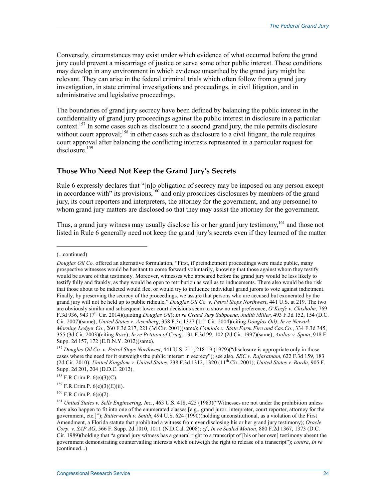Conversely, circumstances may exist under which evidence of what occurred before the grand jury could prevent a miscarriage of justice or serve some other public interest. These conditions may develop in any environment in which evidence unearthed by the grand jury might be relevant. They can arise in the federal criminal trials which often follow from a grand jury investigation, in state criminal investigations and proceedings, in civil litigation, and in administrative and legislative proceedings.

The boundaries of grand jury secrecy have been defined by balancing the public interest in the confidentiality of grand jury proceedings against the public interest in disclosure in a particular context.<sup>157</sup> In some cases such as disclosure to a second grand jury, the rule permits disclosure without court approval;  $158$  in other cases such as disclosure to a civil litigant, the rule requires court approval after balancing the conflicting interests represented in a particular request for disclosure.<sup>159</sup>

## **Those Who Need Not Keep the Grand Jury's Secrets**

Rule 6 expressly declares that "[n]o obligation of secrecy may be imposed on any person except in accordance with" its provisions,<sup>160</sup> and only proscribes disclosures by members of the grand jury, its court reporters and interpreters, the attorney for the government, and any personnel to whom grand jury matters are disclosed so that they may assist the attorney for the government.

Thus, a grand jury witness may usually disclose his or her grand jury testimony,<sup>161</sup> and those not listed in Rule 6 generally need not keep the grand jury's secrets even if they learned of the matter

<sup>(...</sup>continued)

*Douglas Oil Co.* offered an alternative formulation, "First, if preindictment proceedings were made public, many prospective witnesses would be hesitant to come forward voluntarily, knowing that those against whom they testify would be aware of that testimony. Moreover, witnesses who appeared before the grand jury would be less likely to testify fully and frankly, as they would be open to retribution as well as to inducements. There also would be the risk that those about to be indicted would flee, or would try to influence individual grand jurors to vote against indictment. Finally, by preserving the secrecy of the proceedings, we assure that persons who are accused but exonerated by the grand jury will not be held up to public ridicule," *Douglas Oil Co. v. Petrol Stops Northwest*, 441 U.S. at 219. The two are obviously similar and subsequent lower court decisions seem to show no real preference, *O'Keefe v. Chisholm*, 769 F.3d 936, 943 (7th Cir. 2014)(quoting *Douglas Oil*); *In re Grand Jury Subpoena, Judith Miller*, 493 F.3d 152, 154 (D.C. Cir. 2007)(same); *United States v. Aisenberg*, 358 F.3d 1327 (11th Cir. 2004)(citing *Douglas Oil)*; *In re Newark Morning Ledger Co.*, 260 F.3d 217, 221 (3d Cir. 2001)(same); *Camiolo v. State Farm Fire and Cas.Co.*, 334 F.3d 345, 355 (3d Cir. 2003)(citing *Rose*); *In re Petition of Craig*, 131 F.3d 99, 102 (2d Cir. 1997)(same); *Anilao v. Spota*, 918 F. Supp. 2d 157, 172 (E.D.N.Y. 2012)(same).

<sup>157</sup> *Douglas Oil Co. v. Petrol Stops Northwest*, 441 U.S. 211, 218-19 (1979)("disclosure is appropriate only in those cases where the need for it outweighs the public interest in secrecy"); see also, *SEC v. Rajaratnam*, 622 F.3d 159, 183 (2d Cir. 2010); *United Kingdom v. United States*, 238 F.3d 1312, 1320 (11th Cir. 2001); *United States v. Borda*, 905 F. Supp. 2d 201, 204 (D.D.C. 2012).

 $158$  F.R.Crim.P. 6(e)(3)(C).

 $^{159}$  F.R.Crim.P. 6(e)(3)(E)(ii).

<sup>160</sup> F.R.Crim.P. 6(e)(2).

<sup>161</sup> *United States v. Sells Engineering, Inc.*, 463 U.S. 418, 425 (1983)("Witnesses are not under the prohibition unless they also happen to fit into one of the enumerated classes [e.g., grand juror, interpreter, court reporter, attorney for the government, etc.]"); *Butterworth v. Smith*, 494 U.S. 624 (1990)(holding unconstitutional, as a violation of the First Amendment, a Florida statute that prohibited a witness from ever disclosing his or her grand jury testimony); *Oracle Corp. v. SAP AG*, 566 F. Supp. 2d 1010, 1011 (N.D.Cal. 2008); *cf., In re Sealed Motion*, 880 F.2d 1367, 1373 (D.C. Cir. 1989)(holding that "a grand jury witness has a general right to a transcript of [his or her own] testimony absent the government demonstrating countervailing interests which outweigh the right to release of a transcript"); *contra*, *In re*  (continued...)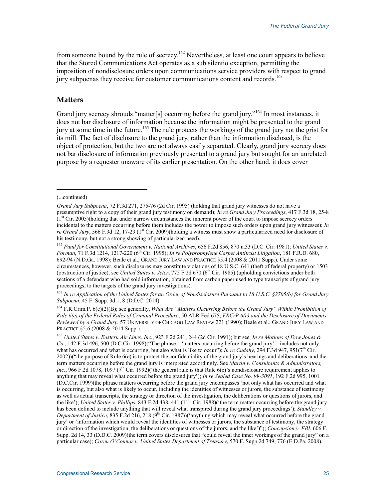from someone bound by the rule of secrecy.<sup>162</sup> Nevertheless, at least one court appears to believe that the Stored Communications Act operates as a sub silentio exception, permitting the imposition of nondisclosure orders upon communications service providers with respect to grand jury subpoenas they receive for customer communications content and records.<sup>163</sup>

#### **Matters**

Grand jury secrecy shrouds "matter[s] occurring before the grand jury."<sup>164</sup> In most instances, it does not bar disclosure of information because the information might be presented to the grand jury at some time in the future.165 The rule protects the workings of the grand jury not the grist for its mill. The fact of disclosure to the grand jury, rather than the information disclosed, is the object of protection, but the two are not always easily separated. Clearly, grand jury secrecy does not bar disclosure of information previously presented to a grand jury but sought for an unrelated purpose by a requester unaware of its earlier presentation. On the other hand, it does cover

#### (...continued)

1

<sup>163</sup> *In re Application of the United States for an Order of Nondisclosure Pursuant to 18 U.S.C. §2705(b) for Grand Jury Subpoena*, 45 F. Supp. 3d 1, 8 (D.D.C. 2014).

164 F.R.Crim.P. 6(e)(2)(B); see generally, *What Are "Matters Occurring Before the Grand Jury" Within Prohibition of Rule 6(e) of the Federal Rules of Criminal Procedure*, 50 ALR Fed 675; *FRCrP 6(e) and the Disclosure of Documents Reviewed by a Grand Jury*, 57 UNIVERSITY OF CHICAGO LAW REVIEW 221 (1990); Beale et al., GRAND JURY LAW AND PRACTICE §5.6 (2008 & 2014 Supp.).

<sup>165</sup> *United States v. Eastern Air Lines, Inc.*, 923 F.2d 241, 244 (2d Cir. 1991); but see, *In re Motions of Dow Jones & Co.*, 142 F.3d 496, 500 (D.C.Cir. 1998)("The phrase—'matters occurring before the grand jury'—includes not only what has occurred and what is occurring, but also what is like to occur"); *In re Cudahy*, 294 F.3d 947, 951(7<sup>th</sup> Cir. 2002))("the purpose of Rule 6(e) is to protect the confidentiality of the grand jury's hearings and deliberations, and the term matters occurring before the grand jury is interpreted accordingly. See *Martin v. Consultants & Administrators, Inc.*, 966 F.2d 1078, 1097 (7<sup>th</sup> Cir. 1992)('the general rule is that Rule 6(e)'s nondisclosure requirement applies to anything that may reveal what occurred before the grand jury'); *In re Sealed Case No. 99-3091*, 192 F.2d 995, 1001 (D.C.Cir. 1999)(the phrase matters occurring before the grand jury encompasses 'not only what has occurred and what is occurring, but also what is likely to occur, including the identities of witnesses or jurors, the substance of testimony as well as actual transcripts, the strategy or direction of the investigation, the deliberations or questions of jurors, and the like'); *United States v. Phillips*, 843 F.2d 438, 441 (11<sup>th</sup> Cir. 1988)('the term matter occurring before the grand jury has been defined to include anything that will reveal what transpired during the grand jury proceedings'); *Standley v. Department of Justice*, 835 F.2d 216, 218 (9th Cir. 1987))('anything which may reveal what occurred before the grand jury' or 'information which would reveal the identities of witnesses or jurors, the substance of testimony, the strategy or direction of the investigation, the deliberations or questions of the jurors, and the like')"); *Concepcion v. FBI*, 606 F. Supp. 2d 14, 33 (D.D.C. 2009)(the term covers disclosures that "could reveal the inner workings of the grand jury" on a particular case); *Cozen O'Connor v. United States Department of Treasury*, 570 F. Supp.2d 749, 776 (E.D.Pa. 2008).

*Grand Jury Subpoena*, 72 F.3d 271, 275-76 (2d Cir. 1995) (holding that grand jury witnesses do not have a presumptive right to a copy of their grand jury testimony on demand); *In re Grand Jury Proceedings*, 417 F.3d 18, 25-8  $(1<sup>st</sup> Cir. 2005)$ (holding that under narrow circumstances the inherent power of the court to impose secrecy orders incidental to the matters occurring before them includes the power to impose such orders upon grand jury witnesses); *In re Grand Jury*, 566 F.3d 12, 17-23 (1<sup>st</sup> Cir. 2009)(holding a witness must show a particularized need for disclosure of his testimony, but not a strong showing of particularized need).

<sup>162</sup> *Fund for Constitutional Government v. National Archives*, 656 F.2d 856, 870 n.33 (D.C. Cir. 1981); *United States v. Forman*, 71 F.3d 1214, 1217-220 (6<sup>th</sup> Cir. 1995); *In re Polyprophylene Carpet Antitrust Litigation*, 181 F.R.D. 680, 692-94 (N.D.Ga. 1998); Beale et al., GRAND JURY LAW AND PRACTICE §5.4 (2008 & 2011 Supp.). Under some circumstances, however, such disclosures may constitute violations of 18 U.S.C. 641 (theft of federal property) or 1503 (obstruction of justice), see *United States v. Jeter*, 775 F.2d 670 (6<sup>th</sup> Cir. 1985) (upholding convictions under both sections of a defendant who had sold information, obtained from carbon paper used to type transcripts of grand jury proceedings, to the targets of the grand jury investigations).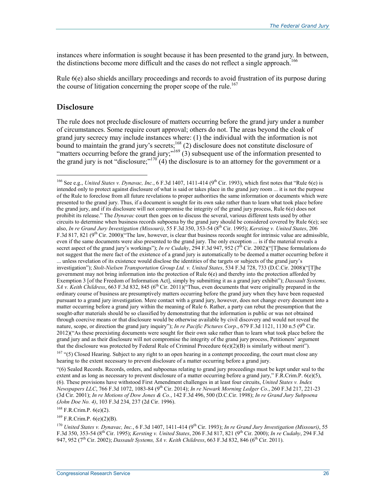instances where information is sought because it has been presented to the grand jury. In between, the distinctions become more difficult and the cases do not reflect a single approach.<sup>166</sup>

Rule 6(e) also shields ancillary proceedings and records to avoid frustration of its purpose during the course of litigation concerning the proper scope of the rule.<sup>167</sup>

#### **Disclosure**

 $\overline{a}$ 

The rule does not preclude disclosure of matters occurring before the grand jury under a number of circumstances. Some require court approval; others do not. The areas beyond the cloak of grand jury secrecy may include instances where: (1) the individual with the information is not bound to maintain the grand jury's secrets;<sup>168</sup> (2) disclosure does not constitute disclosure of "matters occurring before the grand jury;"<sup>169</sup> (3) subsequent use of the information presented to the grand jury is not "disclosure;" $170^\circ$  (4) the disclosure is to an attorney for the government or a

<sup>&</sup>lt;sup>166</sup> See e.g., *United States v. Dynavac, Inc.*, 6 F.3d 1407, 1411-414 (9<sup>th</sup> Cir. 1993), which first notes that "Rule 6(e) is intended only to protect against disclosure of what is said or takes place in the grand jury room ... it is not the purpose of the Rule to foreclose from all future revelations to proper authorities the same information or documents which were presented to the grand jury. Thus, if a document is sought for its own sake rather than to learn what took place before the grand jury, and if its disclosure will not compromise the integrity of the grand jury process, Rule 6(e) does not prohibit its release." The *Dynavac* court then goes on to discuss the several, various different tests used by other circuits to determine when business records subpoena by the grand jury should be considered covered by Rule 6(e); see also, *In re Grand Jury Investigation (Missouri)*, 55 F.3d 350, 353-54 (8th Cir. 1995); *Kersting v. United States*, 206 F.3d 817, 821 ( $9<sup>th</sup>$  Cir. 2000)("The law, however, is clear that business records sought for intrinsic value are admissible, even if the same documents were also presented to the grand jury. The only exception ... is if the material reveals a secret aspect of the grand jury's workings"); *In re Cudahy*, 294 F.3d 947, 952 (7<sup>th</sup> Cir. 2002)("[T]hese formulations do not suggest that the mere fact of the existence of a grand jury is automatically to be deemed a matter occurring before it ... unless revelation of its existence would disclose the identities of the targets or subjects of the grand jury's investigation"); *Stolt-Nielsen Transportation Group Ltd. v. United States*, 534 F.3d 728, 733 (D.C.Cir. 2008)("[T]he government may not bring information into the protection of Rule 6(e) and thereby into the protection afforded by Exemption 3 [of the Freedom of Information Act], simply by submitting it as a grand jury exhibit"); *Dassault Systems, SA v. Keith Childress*, 663 F.3d 832, 845 (6<sup>th</sup> Cir. 2011)("Thus, even documents that were originally prepared in the ordinary course of business are presumptively matters occurring before the grand jury when they have been requested pursuant to a grand jury investigation. Mere contact with a grand jury, however, does not change every document into a matter occurring before a grand jury within the meaning of Rule 6. Rather, a party can rebut the presumption that the sought-after materials should be so classified by demonstrating that the information is public or was not obtained through coercive means or that disclosure would be otherwise available by civil discovery and would not reveal the nature, scope, or direction the grand jury inquiry"); *In re Pacific Pictures Corp.*, 679 F.3d 1121, 1130 n.5 ( $9<sup>th</sup>$  Cir. 2012)("As these preexisting documents were sought for their own sake rather than to learn what took place before the grand jury and as their disclosure will not compromise the integrity of the grand jury process, Petitioners' argument that the disclosure was protected by Federal Rule of Criminal Procedure  $6(e)(2)(B)$  is similarly without merit").

<sup>&</sup>lt;sup>167</sup> "(5) Closed Hearing. Subject to any right to an open hearing in a contempt proceeding, the court must close any hearing to the extent necessary to prevent disclosure of a matter occurring before a grand jury.

<sup>&</sup>quot;(6) Sealed Records. Records, orders, and subpoenas relating to grand jury proceedings must be kept under seal to the extent and as long as necessary to prevent disclosure of a matter occurring before a grand jury," F.R.Crim.P. 6(e)(5), (6). These provisions have withstood First Amendment challenges in at least four circuits, *United States v. Index Newspapers LLC*, 766 F.3d 1072, 1083-84 (9th Cir. 2014); *In re Newark Morning Ledger Co.*, 260 F.3d 217, 221-23 (3d Cir. 2001); *In re Motions of Dow Jones & Co.*, 142 F.3d 496, 500 (D.C.Cir. 1998); *In re Grand Jury Subpoena (John Doe No. 4)*, 103 F.3d 234, 237 (2d Cir. 1996).

<sup>168</sup> F.R.Crim.P. 6(e)(2).

 $169$  F.R.Crim.P.  $6(e)(2)(B)$ .

<sup>&</sup>lt;sup>170</sup> *United States v. Dynavac, Inc.*, 6 F.3d 1407, 1411-414 (9<sup>th</sup> Cir. 1993); *In re Grand Jury Investigation (Missouri)*, 55 F.3d 350, 353-54 (8th Cir. 1995); *Kersting v. United States*, 206 F.3d 817, 821 (9th Cir. 2000); *In re Cudahy*, 294 F.3d 947, 952 (7th Cir. 2002); *Dassault Systems, SA v. Keith Childress*, 663 F.3d 832, 846 (6th Cir. 2011).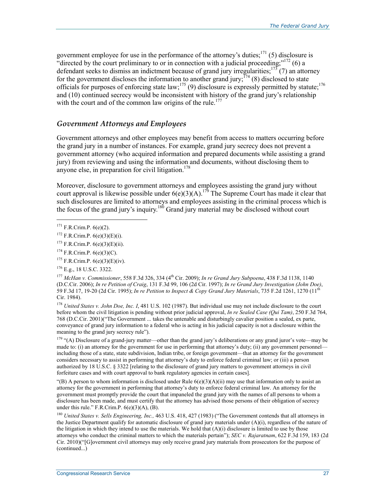government employee for use in the performance of the attorney's duties; $171$  (5) disclosure is "directed by the court preliminary to or in connection with a judicial proceeding;" $^{172}$  (6) a defendant seeks to dismiss an indictment because of grand jury irregularities;<sup>173</sup> (7) an attorney for the government discloses the information to another grand jury;  $^{174}$  (8) disclosed to state officials for purposes of enforcing state law;<sup>175</sup> (9) disclosure is expressly permitted by statute;<sup>176</sup> and (10) continued secrecy would be inconsistent with history of the grand jury's relationship with the court and of the common law origins of the rule.<sup>177</sup>

### *Government Attorneys and Employees*

Government attorneys and other employees may benefit from access to matters occurring before the grand jury in a number of instances. For example, grand jury secrecy does not prevent a government attorney (who acquired information and prepared documents while assisting a grand jury) from reviewing and using the information and documents, without disclosing them to anyone else, in preparation for civil litigation.<sup>178</sup>

Moreover, disclosure to government attorneys and employees assisting the grand jury without court approval is likewise possible under  $6(e)(3)(A)$ .<sup>179</sup> The Supreme Court has made it clear that such disclosures are limited to attorneys and employees assisting in the criminal process which is the focus of the grand jury's inquiry.<sup>180</sup> Grand jury material may be disclosed without court

 $\overline{a}$ 

<sup>178</sup> *United States v. John Doe, Inc. I*, 481 U.S. 102 (1987). But individual use may not include disclosure to the court before whom the civil litigation is pending without prior judicial approval, *In re Sealed Case (Qui Tam)*, 250 F.3d 764, 768 (D.C.Cir. 2001)("The Government ... takes the untenable and disturbingly cavalier position a sealed, ex parte, conveyance of grand jury information to a federal who is acting in his judicial capacity is not a disclosure within the meaning to the grand jury secrecy rule").

<sup>179</sup> "(A) Disclosure of a grand-jury matter—other than the grand jury's deliberations or any grand juror's vote—may be made to: (i) an attorney for the government for use in performing that attorney's duty; (ii) any government personnel including those of a state, state subdivision, Indian tribe, or foreign government—that an attorney for the government considers necessary to assist in performing that attorney's duty to enforce federal criminal law; or (iii) a person authorized by 18 U.S.C. § 3322 [relating to the disclosure of grand jury matters to government attorneys in civil forfeiture cases and with court approval to bank regulatory agencies in certain cases].

"(B) A person to whom information is disclosed under Rule  $6(e)(3)(A)(ii)$  may use that information only to assist an attorney for the government in performing that attorney's duty to enforce federal criminal law. An attorney for the government must promptly provide the court that impaneled the grand jury with the names of all persons to whom a disclosure has been made, and must certify that the attorney has advised those persons of their obligation of secrecy under this rule." F.R.Crim.P.  $6(e)(3)(A)$ , (B).

<sup>180</sup> *United States v. Sells Engineering, Inc.,* 463 U.S. 418, 427 (1983) ("The Government contends that all attorneys in the Justice Department qualify for automatic disclosure of grand jury materials under (A)(i), regardless of the nature of the litigation in which they intend to use the materials. We hold that  $(A)(i)$  disclosure is limited to use by those attorneys who conduct the criminal matters to which the materials pertain"); *SEC v. Rajaratnam*, 622 F.3d 159, 183 (2d Cir. 2010)("[G]overnment civil attorneys may only receive grand jury materials from prosecutors for the purpose of (continued...)

 $171$  F.R.Crim.P. 6(e)(2).

 $172$  F.R.Crim.P. 6(e)(3)(E)(i).

 $173$  F.R.Crim.P. 6(e)(3)(E)(ii).

 $174$  F.R.Crim.P. 6(e)(3)(C).

 $175$  F.R.Crim.P. 6(e)(3)(E)(iv).

<sup>176</sup> E.g., 18 U.S.C. 3322.

<sup>177</sup> *McHan v. Commissioner*, 558 F.3d 326, 334 (4th Cir. 2009); *In re Grand Jury Subpoena*, 438 F.3d 1138, 1140 (D.C.Cir. 2006); *In re Petition of Craig*, 131 F.3d 99, 106 (2d Cir. 1997); *In re Grand Jury Investigation (John Doe)*, 59 F.3d 17, 19-20 (2d Cir. 1995); *In re Petition to Inspect & Copy Grand Jury Materials*, 735 F.2d 1261, 1270 (11th Cir. 1984).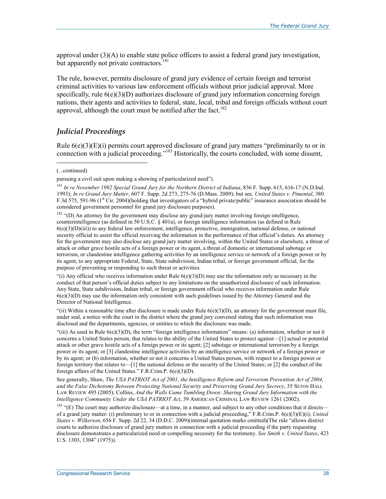approval under  $(3)(A)$  to enable state police officers to assist a federal grand jury investigation, but apparently not private contractors.<sup>181</sup>

The rule, however, permits disclosure of grand jury evidence of certain foreign and terrorist criminal activities to various law enforcement officials without prior judicial approval. More specifically, rule  $6(e)(3)(D)$  authorizes disclosure of grand jury information concerning foreign nations, their agents and activities to federal, state, local, tribal and foreign officials without court approval, although the court must be notified after the fact.<sup>182</sup>

### *Judicial Proceedings*

Rule 6(e)(3)(E)(i) permits court approved disclosure of grand jury matters "preliminarily to or in connection with a judicial proceeding."183 Historically, the courts concluded, with some dissent,

1

<sup>182</sup> "(D) An attorney for the government may disclose any grand-jury matter involving foreign intelligence, counterintelligence (as defined in 50 U.S.C. § 401a), or foreign intelligence information (as defined in Rule 6(e)(3)(D)(iii)) to any federal law enforcement, intelligence, protective, immigration, national defense, or national security official to assist the official receiving the information in the performance of that official's duties. An attorney for the government may also disclose any grand jury matter involving, within the United States or elsewhere, a threat of attack or other grave hostile acts of a foreign power or its agent, a threat of domestic or international sabotage or terrorism, or clandestine intelligence gathering activities by an intelligence service or network of a foreign power or by its agent, to any appropriate Federal, State, State subdivision, Indian tribal, or foreign government official, for the purpose of preventing or responding to such threat or activities.

"(i) Any official who receives information under Rule  $6(e)(3)(D)$  may use the information only as necessary in the conduct of that person's official duties subject to any limitations on the unauthorized disclosure of such information. Any State, State subdivision, Indian tribal, or foreign government official who receives information under Rule  $6(e)(3)(D)$  may use the information only consistent with such guidelines issued by the Attorney General and the Director of National Intelligence.

"(ii) Within a reasonable time after disclosure is made under Rule  $6(e)(3)(D)$ , an attorney for the government must file, under seal, a notice with the court in the district where the grand jury convened stating that such information was disclosed and the departments, agencies, or entities to which the disclosure was made.

"(iii) As used in Rule  $6(e)(3)(D)$ , the term "foreign intelligence information" means: (a) information, whether or not it concerns a United States person, that relates to the ability of the United States to protect against—[1] actual or potential attack or other grave hostile acts of a foreign power or its agent; [2] sabotage or international terrorism by a foreign power or its agent; or [3] clandestine intelligence activities by an intelligence service or network of a foreign power or by its agent; or (b) information, whether or not it concerns a United States person, with respect to a foreign power or foreign territory that relates to—[1] the national defense or the security of the United States; or [2] the conduct of the foreign affairs of the United States." F.R.Crim.P. 6(e)(3)(D).

See generally, Shaw, *The USA PATRIOT Act of 2001, the Intelligence Reform and Terrorism Prevention Act of 2004, and the False Dichotomy Between Protecting National Security and Preserving Grand Jury Secrecy*, 35 SETON HALL LAW REVIEW 495 (2005); Collins, *And the Walls Came Tumbling Down: Sharing Grand Jury Information with the Intelligence Community Under the USA PATRIOT Act*, 39 AMERICAN CRIMINAL LAW REVIEW 1261 (2002).

183 "(E) The court may authorize disclosure—at a time, in a manner, and subject to any other conditions that it directs of a grand jury matter: (i) preliminary to or in connection with a judicial proceeding," F.R.Crim.P. 6(e)(3)(E)(i); *United States v. Wilkerson*, 656 F. Supp. 2d 22, 34 (D.D.C. 2009)(internal quotation marks omitted)(The rule "allows district courts to authorize disclosure of grand jury matters in connection with a judicial proceeding if the party requesting disclosure demonstrates a particularized need or compelling necessity for the testimony. *See Smith v. United States*, 423 U.S. 1303, 1304" (1975)).

<sup>(...</sup>continued)

pursuing a civil suit upon making a showing of particularized need").

<sup>&</sup>lt;sup>181</sup> In re November 1992 Special Grand Jury for the Northern District of Indiana, 836 F. Supp. 615, 616-17 (N.D.Ind. 1993); *In re Grand Jury Matter*, 607 F. Supp. 2d 273, 275-76 (D.Mass. 2009); but see*, United States v. Pimental*, 380 F.3d 575, 591-96 ( $1<sup>st</sup>$  Cir. 2004)(holding that investigators of a "hybrid private/public" insurance association should be considered government personnel for grand jury disclosure purposes).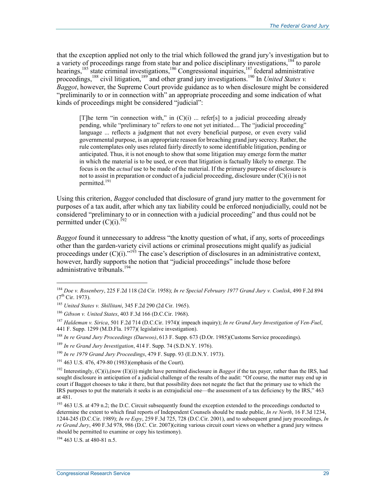that the exception applied not only to the trial which followed the grand jury's investigation but to a variety of proceedings range from state bar and police disciplinary investigations,<sup>184</sup> to parole hearings,<sup>185</sup> state criminal investigations,<sup>186</sup> Congressional inquiries,<sup>187</sup> federal administrative proceedings,<sup>188</sup> civil litigation,<sup>189</sup> and other grand jury investigations.<sup>190</sup> In *United States v. Baggot*, however, the Supreme Court provide guidance as to when disclosure might be considered "preliminarily to or in connection with" an appropriate proceeding and some indication of what kinds of proceedings might be considered "judicial":

[T]he term "in connection with," in  $(C)(i)$  ... refer[s] to a judicial proceeding already pending, while "preliminary to" refers to one not yet initiated.... The "judicial proceeding" language ... reflects a judgment that not every beneficial purpose, or even every valid governmental purpose, is an appropriate reason for breaching grand jury secrecy. Rather, the rule contemplates only uses related fairly directly to some identifiable litigation, pending or anticipated. Thus, it is not enough to show that some litigation may emerge form the matter in which the material is to be used, or even that litigation is factually likely to emerge. The focus is on the *actual* use to be made of the material. If the primary purpose of disclosure is not to assist in preparation or conduct of a judicial proceeding, disclosure under (C)(i) is not permitted.<sup>191</sup>

Using this criterion, *Baggot* concluded that disclosure of grand jury matter to the government for purposes of a tax audit, after which any tax liability could be enforced nonjudicially, could not be considered "preliminary to or in connection with a judicial proceeding" and thus could not be permitted under  $(C)(i)$ .<sup>192</sup>

*Baggot* found it unnecessary to address "the knotty question of what, if any, sorts of proceedings other than the garden-variety civil actions or criminal prosecutions might qualify as judicial proceedings under  $(C)(i)$ ."<sup>193</sup> The case's description of disclosures in an administrative context, however, hardly supports the notion that "judicial proceedings" include those before administrative tribunals.<sup>194</sup>

194 463 U.S. at 480-81 n.5.

<sup>184</sup> *Doe v. Rosenbery*, 225 F.2d 118 (2d Cir. 1958); *In re Special February 1977 Grand Jury v. Conlisk*, 490 F.2d 894  $(7^{th}$  Cir. 1973).

<sup>185</sup> *United States v. Shillitani*, 345 F.2d 290 (2d Cir. 1965).

<sup>186</sup> *Gibson v. United States*, 403 F.3d 166 (D.C.Cir. 1968).

<sup>187</sup> *Haldeman v. Sirica*, 501 F.2d 714 (D.C.Cir. 1974)( impeach inquiry); *In re Grand Jury Investigation of Ven-Fuel*, 441 F. Supp. 1299 (M.D.Fla. 1977)( legislative investigation).

<sup>188</sup> *In re Grand Jury Proceedings (Daewoo)*, 613 F. Supp. 673 (D.Or. 1985)(Customs Service proceedings).

<sup>189</sup> *In re Grand Jury Investigation*, 414 F. Supp. 74 (S.D.N.Y. 1976).

<sup>190</sup> *In re 1979 Grand Jury Proceedings*, 479 F. Supp. 93 (E.D.N.Y. 1973).

<sup>191 463</sup> U.S. 476, 479-80 (1983)(emphasis of the Court).

<sup>192</sup> Interestingly, (C)(i),(now (E)(i)) might have permitted disclosure in *Baggot* if the tax payer, rather than the IRS, had sought disclosure in anticipation of a judicial challenge of the results of the audit: "Of course, the matter may end up in court if Baggot chooses to take it there, but that possibility does not negate the fact that the primary use to which the IRS purposes to put the materials it seeks is an extrajudicial one—the assessment of a tax deficiency by the IRS," 463 at 481.

<sup>&</sup>lt;sup>193</sup> 463 U.S. at 479 n.2; the D.C. Circuit subsequently found the exception extended to the proceedings conducted to determine the extent to which final reports of Independent Counsels should be made public, *In re North*, 16 F.3d 1234, 1244-245 (D.C.Cir. 1989); *In re Espy*, 259 F.3d 725, 728 (D.C.Cir. 2001), and to subsequent grand jury proceedings, *In re Grand Jury*, 490 F.3d 978, 986 (D.C. Cir. 2007)(citing various circuit court views on whether a grand jury witness should be permitted to examine or copy his testimony).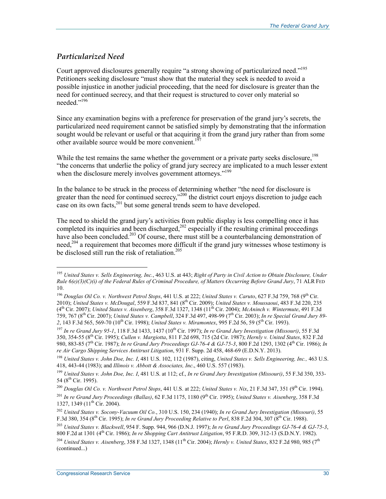## *Particularized Need*

1

Court approved disclosures generally require "a strong showing of particularized need."<sup>195</sup> Petitioners seeking disclosure "must show that the material they seek is needed to avoid a possible injustice in another judicial proceeding, that the need for disclosure is greater than the need for continued secrecy, and that their request is structured to cover only material so needed<sup>"196</sup>

Since any examination begins with a preference for preservation of the grand jury's secrets, the particularized need requirement cannot be satisfied simply by demonstrating that the information sought would be relevant or useful or that acquiring it from the grand jury rather than from some other available source would be more convenient.<sup>197</sup>

While the test remains the same whether the government or a private party seeks disclosure.<sup>198</sup> "the concerns that underlie the policy of grand jury secrecy are implicated to a much lesser extent when the disclosure merely involves government attorneys."<sup>199</sup>

In the balance to be struck in the process of determining whether "the need for disclosure is greater than the need for continued secrecy,"<sup>200</sup> the district court enjoys discretion to judge each case on its own facts, $2^{01}$  but some general trends seem to have developed.

The need to shield the grand jury's activities from public display is less compelling once it has completed its inquiries and been discharged,<sup>202</sup> especially if the resulting criminal proceedings have also been concluded.<sup>203</sup> Of course, there must still be a counterbalancing demonstration of need,<sup>204</sup> a requirement that becomes more difficult if the grand jury witnesses whose testimony is be disclosed still run the risk of retaliation.<sup>205</sup>

<sup>195</sup> *United States v. Sells Engineering, Inc.*, 463 U.S. at 443; *Right of Party in Civil Action to Obtain Disclosure, Under Rule 6(e)(3)(C)(i) of the Federal Rules of Criminal Procedure, of Matters Occurring Before Grand Jury*, 71 ALR FED 10.

<sup>196</sup> *Douglas Oil Co. v. Northwest Petrol Stops*, 441 U.S. at 222; *United States v. Caruto*, 627 F.3d 759, 768 (9th Cir. 2010); *United States v. McDougal*, 559 F.3d 837, 841 (8th Cir. 2009); *United States v. Moussaoui*, 483 F.3d 220, 235 (4th Cir. 2007); *United States v. Aisenberg*, 358 F.3d 1327, 1348 (11th Cir. 2004); *McAninch v. Wintermute*, 491 F.3d 759, 767 (8th Cir. 2007); *United States v. Campbell*, 324 F.3d 497, 498-99 (7th Cir. 2003); *In re Special Grand Jury 89-* 2, 143 F.3d 565, 569-70 (10<sup>th</sup> Cir. 1998); *United States v. Miramontex*, 995 F.2d 56, 59 (5<sup>th</sup> Cir. 1993).

<sup>197</sup> *In re Grand Jury 95-1*, 118 F.3d 1433, 1437 (10th Cir. 1997); *In re Grand Jury Investigation (Missouri)*, 55 F.3d 350, 354-55 (8th Cir. 1995); *Cullen v. Margiotta*, 811 F.2d 698, 715 (2d Cir. 1987); *Hernly v. United States*, 832 F.2d 980, 883-85 (7th Cir. 1987); *In re Grand Jury Proceedings GJ-76-4 & GJ-75-3*, 800 F.2d 1293, 1302 (4th Cir. 1986); *In re Air Cargo Shipping Services Antitrust Litigation*, 931 F. Supp. 2d 458, 468-69 (E.D.N.Y. 2013).

<sup>198</sup> *United States v. John Doe, Inc. I*, 481 U.S. 102, 112 (1987), citing, *United States v. Sells Engineering, Inc.,* 463 U.S. 418, 443-44 (1983); and *Illinois v. Abbott & Associates, Inc*., 460 U.S. 557 (1983).

<sup>199</sup> *United States v. John Doe, Inc. I*, 481 U.S. at 112; cf., *In re Grand Jury Investigation (Missouri)*, 55 F.3d 350, 353- 54 (8<sup>th</sup> Cir. 1995).

<sup>&</sup>lt;sup>200</sup> *Douglas Oil Co. v. Northwest Petrol Stops*, 441 U.S. at 222; *United States v. Nix*, 21 F.3d 347, 351 (9<sup>th</sup> Cir. 1994). <sup>201</sup> In re Grand Jury Proceedings (Ballas), 62 F.3d 1175, 1180 (9<sup>th</sup> Cir. 1995); *United States v. Aisenberg*, 358 F.3d 1327, 1349 (11<sup>th</sup> Cir. 2004).

<sup>202</sup> *United States v. Socony-Vacuum Oil Co.*, 310 U.S. 150, 234 (1940); *In re Grand Jury Investigation (Missouri)*, 55 F.3d 380, 354 (8th Cir. 1995); *In re Grand Jury Proceeding Relative to Perl*, 838 F.2d 304, 307 (8th Cir. 1988).

<sup>203</sup> *United States v. Blackwell*, 954 F. Supp. 944, 966 (D.N.J. 1997); *In re Grand Jury Proceedings GJ-76-4 & GJ-75-3*, 800 F.2d at 1301 (4th Cir. 1986); *In re Shopping Cart Antitrust Litigation*, 95 F.R.D. 309, 312-13 (S.D.N.Y. 1982).

<sup>&</sup>lt;sup>204</sup> *United States v. Aisenberg*, 358 F.3d 1327, 1348 (11<sup>th</sup> Cir. 2004); *Hernly v. United States*, 832 F.2d 980, 985 (7<sup>th</sup> (continued...)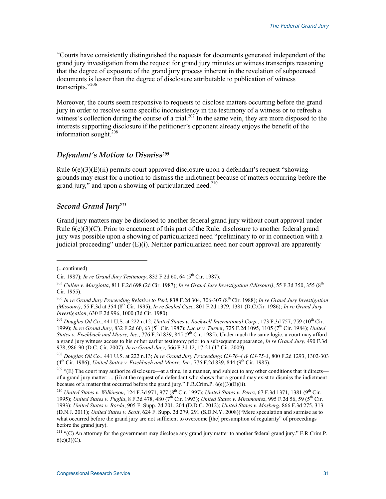"Courts have consistently distinguished the requests for documents generated independent of the grand jury investigation from the request for grand jury minutes or witness transcripts reasoning that the degree of exposure of the grand jury process inherent in the revelation of subpoenaed documents is lesser than the degree of disclosure attributable to publication of witness transcripts."<sup>206</sup>

Moreover, the courts seem responsive to requests to disclose matters occurring before the grand jury in order to resolve some specific inconsistency in the testimony of a witness or to refresh a witness's collection during the course of a trial.<sup>207</sup> In the same vein, they are more disposed to the interests supporting disclosure if the petitioner's opponent already enjoys the benefit of the information sought. $^{208}$ 

### *Defendant's Motion to Dismiss209*

Rule  $6(e)(3)(E)(ii)$  permits court approved disclosure upon a defendant's request "showing" grounds may exist for a motion to dismiss the indictment because of matters occurring before the grand jury," and upon a showing of particularized need.<sup>210</sup>

## *Second Grand Jury211*

Grand jury matters may be disclosed to another federal grand jury without court approval under Rule  $6(e)(3)(C)$ . Prior to enactment of this part of the Rule, disclosure to another federal grand jury was possible upon a showing of particularized need "preliminary to or in connection with a judicial proceeding" under  $(E)(i)$ . Neither particularized need nor court approval are apparently

<sup>(...</sup>continued)

Cir. 1987); *In re Grand Jury Testimony*, 832 F.2d 60, 64 (5th Cir. 1987).

<sup>205</sup> *Cullen v. Margiotta*, 811 F.2d 698 (2d Cir. 1987); *In re Grand Jury Investigation (Missouri)*, 55 F.3d 350, 355 (8th Cir. 1955).

<sup>&</sup>lt;sup>206</sup> *In re Grand Jury Proceeding Relative to Perl.* 838 F.2d 304, 306-307 (8<sup>th</sup> Cir. 1988); *In re Grand Jury Investigation (Missouri)*, 55 F.3d at 354 (8th Cir. 1995); *In re Sealed Case*, 801 F.2d 1379, 1381 (D.C.Cir. 1986); *In re Grand Jury Investigation*, 630 F.2d 996, 1000 (3d Cir. 1980).

<sup>&</sup>lt;sup>207</sup> Douglas Oil Co., 441 U.S. at 222 n.12; *United States v. Rockwell International Corp.*, 173 F.3d 757, 759 (10<sup>th</sup> Cir. 1999); *In re Grand Jury*, 832 F.2d 60, 63 (5th Cir. 1987); *Lucas v. Turner,* 725 F.2d 1095, 1105 (7th Cir. 1984); *United States v. Fischbach and Moore, Inc., 776 F.2d 839, 845 (9<sup>th</sup> Cir. 1985). Under much the same logic, a court may afford* a grand jury witness access to his or her earlier testimony prior to a subsequent appearance, *In re Grand Jury*, 490 F.3d 978, 986-90 (D.C. Cir. 2007); *In re Grand Jury*, 566 F.3d 12, 17-21 (1<sup>st</sup> Cir. 2009).

<sup>208</sup> *Douglas Oil Co.*, 441 U.S. at 222 n.13; *In re Grand Jury Proceedings GJ-76-4 & GJ-75-3*, 800 F.2d 1293, 1302-303  $(4<sup>th</sup> Cir. 1986)$ ; *United States v. Fischbach and Moore, Inc.*, 776 F.2d 839, 844 (9<sup>th</sup> Cir. 1985).

 $209$  "(E) The court may authorize disclosure—at a time, in a manner, and subject to any other conditions that it directs of a grand jury matter: ... (ii) at the request of a defendant who shows that a ground may exist to dismiss the indictment because of a matter that occurred before the grand jury." F.R.Crim.P.  $6(e)(3)(E)(ii)$ .

<sup>&</sup>lt;sup>210</sup> *United States v. Wilkinson, 124 F.3d 971, 977 (8<sup>th</sup> Cir. 1997); <i>United States v. Perez, 67 F.3d 1371, 1381* (9<sup>th</sup> Cir. 1995); *United States v. Puglia*, 8 F.3d 478, 480 (7<sup>th</sup> Cir. 1993); *United States v. Miramontez*, 995 F.2d 56, 59 (5<sup>th</sup> Cir. 1993); *United States v. Borda*, 905 F. Supp. 2d 201, 204 (D.D.C. 2012); *United States v. Mosberg*, 866 F.3d 275, 313 (D.N.J. 2011); *United States v. Scott*, 624 F. Supp. 2d 279, 291 (S.D.N.Y. 2008)("Mere speculation and surmise as to what occurred before the grand jury are not sufficient to overcome [the] presumption of regularity" of proceedings before the grand jury).

<sup>&</sup>lt;sup>211</sup> "(C) An attorney for the government may disclose any grand jury matter to another federal grand jury." F.R.Crim.P.  $6(e)(3)(C)$ .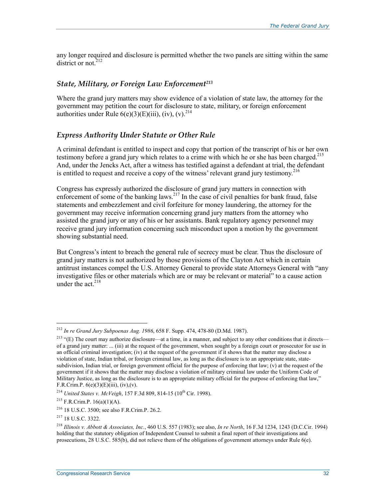any longer required and disclosure is permitted whether the two panels are sitting within the same district or not. $212$ 

### *State, Military, or Foreign Law Enforcement213*

Where the grand jury matters may show evidence of a violation of state law, the attorney for the government may petition the court for disclosure to state, military, or foreign enforcement authorities under Rule  $6(e)(3)(E)(iii)$ , (iv), (v).<sup>214</sup>

### *Express Authority Under Statute or Other Rule*

A criminal defendant is entitled to inspect and copy that portion of the transcript of his or her own testimony before a grand jury which relates to a crime with which he or she has been charged.<sup>215</sup> And, under the Jencks Act, after a witness has testified against a defendant at trial, the defendant is entitled to request and receive a copy of the witness' relevant grand jury testimony.<sup>216</sup>

Congress has expressly authorized the disclosure of grand jury matters in connection with enforcement of some of the banking laws.<sup>217</sup> In the case of civil penalties for bank fraud, false statements and embezzlement and civil forfeiture for money laundering, the attorney for the government may receive information concerning grand jury matters from the attorney who assisted the grand jury or any of his or her assistants. Bank regulatory agency personnel may receive grand jury information concerning such misconduct upon a motion by the government showing substantial need.

But Congress's intent to breach the general rule of secrecy must be clear. Thus the disclosure of grand jury matters is not authorized by those provisions of the Clayton Act which in certain antitrust instances compel the U.S. Attorney General to provide state Attorneys General with "any investigative files or other materials which are or may be relevant or material" to a cause action under the act  $^{218}$ 

 $\overline{a}$ 

<sup>212</sup> *In re Grand Jury Subpoenas Aug. 1986*, 658 F. Supp. 474, 478-80 (D.Md. 1987).

<sup>&</sup>lt;sup>213</sup> "(E) The court may authorize disclosure—at a time, in a manner, and subject to any other conditions that it directs of a grand jury matter: ... (iii) at the request of the government, when sought by a foreign court or prosecutor for use in an official criminal investigation; (iv) at the request of the government if it shows that the matter may disclose a violation of state, Indian tribal, or foreign criminal law, as long as the disclosure is to an appropriate state, statesubdivision, Indian trial, or foreign government official for the purpose of enforcing that law; (v) at the request of the government if it shows that the matter may disclose a violation of military criminal law under the Uniform Code of Military Justice, as long as the disclosure is to an appropriate military official for the purpose of enforcing that law," F.R.Crim.P.  $6(e)(3)(E)(iii)$ , (iv), (v).

<sup>&</sup>lt;sup>214</sup> *United States v. McVeigh*, 157 F.3d 809, 814-15 (10<sup>th</sup> Cir. 1998).

 $215$  F.R.Crim.P. 16(a)(1)(A).

<sup>216 18</sup> U.S.C. 3500; see also F.R.Crim.P. 26.2.

<sup>217 18</sup> U.S.C. 3322.

<sup>218</sup> *Illinois v. Abbott & Associates, Inc.*, 460 U.S. 557 (1983); see also, *In re North*, 16 F.3d 1234, 1243 (D.C.Cir. 1994) holding that the statutory obligation of Independent Counsel to submit a final report of their investigations and prosecutions, 28 U.S.C. 585(b), did not relieve them of the obligations of government attorneys under Rule 6(e).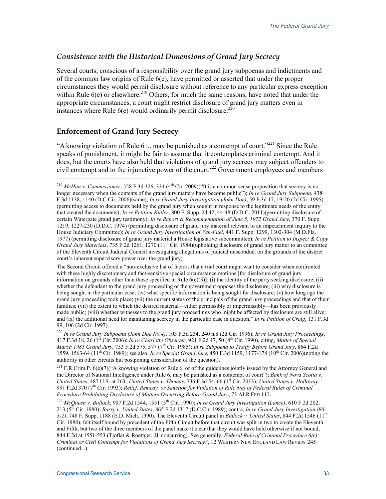# *Consistence with the Historical Dimensions of Grand Jury Secrecy*

Several courts, conscious of a responsibility over the grand jury subpoenas and indictments and of the common law origins of Rule 6(e), have permitted or asserted that under the proper circumstances they would permit disclosure without reference to any particular express exception within Rule 6(e) or elsewhere.<sup>219</sup> Others, for much the same reasons, have noted that under the appropriate circumstances, a court might restrict disclosure of grand jury matters even in instances where Rule  $6(e)$  would ordinarily permit disclosure.<sup>220</sup>

# **Enforcement of Grand Jury Secrecy**

 $\overline{a}$ 

"A knowing violation of Rule 6 ... may be punished as a contempt of court."<sup>221</sup> Since the Rule speaks of punishment, it might be fair to assume that it contemplates criminal contempt. And it does, but the courts have also held that violations of grand jury secrecy may subject offenders to civil contempt and to the injunctive power of the court.<sup>222</sup> Government employees and members

The Second Circuit offered a "non-exclusive list of factors that a trial court might want to consider when confronted with these highly discretionary and fact-sensitive special circumstance motions [for disclosure of grand jury information on grounds other than those specified in Rule  $6(e)(3)$ : (i) the identity of the party seeking disclosure; (ii) whether the defendant to the grand jury proceeding or the government opposes the disclosure; (iii) why disclosure is being sought in the particular case; (iv) what specific information is being sought for disclosure; (v) how long ago the grand jury proceeding took place; (vii) the current status of the principals of the grand jury proceedings and that of their families; (vii) the extent to which the desired material—either permissibly or impermissibly—has been previously made public; (viii) whether witnesses to the grand jury proceedings who might be affected by disclosure are still alive; and (ix) the additional need for maintaining secrecy in the particular case in question," *In re Petition of Craig*, 131 F.3d 99, 106 (2d Cir. 1997).

 $221$  F.R.Crim.P. 6(e)(7)("A knowing violation of Rule 6, or of the guidelines jointly issued by the Attorney General and the Director of National Intelligence under Rule 6, may be punished as a contempt of court"); *Bank of Nova Scotia v. United States*, 487 U.S. at 263*; United States v. Thomas*, 736 F.3d 54, 66 (1st Cir. 2013); *United States v. Holloway*, 991 F.2d 370 (7<sup>th</sup> Cir. 1993); *Relief, Remedy, or Sanction for Violation of Rule 6(e) of Federal Rules of Criminal Procedure Prohibiting Disclosure of Matters Occurring Before Grand Jury*, 73 ALR FED 112.

<sup>222</sup> *McQueen v. Bullock*, 907 F.2d 1544, 1551 (5th Cir. 1990); *In re Grand Jury Investigation (Lance)*, 610 F.2d 202, 213 (5th Cir. 1980); *Barry v. United States*, 865 F.2d 1317 (D.C.Cir. 1989); contra, *In re Grand Jury Investigation (90- 3-2)*, 748 F. Supp. 1188 (E.D. Mich. 1990). The Eleventh Circuit panel in *Blalock v. United States*, 844 F.2d 1546 (11th Cir. 1988), felt itself bound by precedent of the Fifth Circuit before that circuit was split in two to create the Eleventh and Fifth, but two of the three members of the panel make it clear that they would have held otherwise if not bound, 844 F.2d at 1551-553 (Tjoflat & Roettger, JJ. concurring). See generally, *Federal Rule of Criminal Procedure 6(e): Criminal or Civil Contempt for Violations of Grand Jury Secrecy?*, 12 WESTERN NEW ENGLAND LAW REVIEW 245 (continued...)

<sup>&</sup>lt;sup>219</sup> *McHan v. Commissioner*, 558 F.3d 326, 334 ( $4<sup>th</sup>$  Cir. 2009)("It is a common sense proposition that secrecy is no longer necessary when the contents of the grand jury matters have become public"); *In re Grand Jury Subpoena*, 438 F.3d 1138, 1140 (D.C.Cir. 2006)(same); *In re Grand Jury Investigation (John Doe)*, 59 F.3d 17, 19-20 (2d Cir. 1995) (permitting access to documents held by the grand jury when sought in response to the legitimate needs of the entity that created the documents); *In re Petition Kutler*, 800 F. Supp. 2d 42, 44-48 (D.D.C. 2011)(permitting disclosure of certain Watergate grand jury testimony); *In re Report & Recommendation of June 5, 1972 Grand Jury*, 370 F. Supp. 1219, 1227-230 (D.D.C. 1974) (permitting disclosure of grand jury material relevant to an impeachment inquiry to the House Judiciary Committee); *In re Grand Jury Investigation of Ven-Fuel*, 441 F. Supp. 1299, 1302-304 (M.D.Fla. 1977) (permitting disclosure of grand jury material a House legislative subcommittee); *In re Petition to Inspect & Copy Grand Jury Materials*, 735 F.2d 1261, 1270 (11<sup>th</sup> Cir. 1984)(upholding disclosure of grand jury matter to an committee of the Eleventh Circuit Judicial Council investigating allegations of judicial misconduct on the grounds of the district court's inherent supervisory power over the grand jury).

<sup>220</sup> *In re Grand Jury Subpoena (John Doe No.4)*, 103 F.3d 234, 240 n.8 (2d Cir. 1996); *In re Grand Jury Proceedings*, 417 F.3d 18, 26 (1st Cir. 2006); *In re Charlotte Observer*, 921 F.2d 47, 50 (4th Cir. 1990), citing, *Matter of Special March 1981 Grand Jury*, 753 F.2d 575, 577 (7th Cir. 1985); *In re Subpoena to Testify Before Grand Jury*, 864 F.2d 1559, 1563-64 (11th Cir. 1989); see also, *In re Special Grand Jury*, 450 F.3d 1159, 1177-178 (10th Cir. 2006)(noting the authority in other circuits but postponing consideration of the question).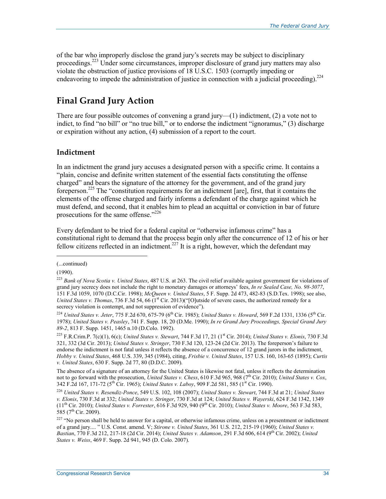of the bar who improperly disclose the grand jury's secrets may be subject to disciplinary proceedings.<sup>223</sup> Under some circumstances, improper disclosure of grand jury matters may also violate the obstruction of justice provisions of 18 U.S.C. 1503 (corruptly impeding or endeavoring to impede the administration of justice in connection with a judicial proceeding).<sup>224</sup>

# **Final Grand Jury Action**

There are four possible outcomes of convening a grand jury— $(1)$  indictment,  $(2)$  a vote not to indict, to find "no bill" or "no true bill," or to endorse the indictment "ignoramus," (3) discharge or expiration without any action, (4) submission of a report to the court.

# **Indictment**

In an indictment the grand jury accuses a designated person with a specific crime. It contains a "plain, concise and definite written statement of the essential facts constituting the offense charged" and bears the signature of the attorney for the government, and of the grand jury foreperson.225 The "constitution requirements for an indictment [are], first, that it contains the elements of the offense charged and fairly informs a defendant of the charge against which he must defend, and second, that it enables him to plead an acquittal or conviction in bar of future prosecutions for the same offense."<sup>226</sup>

Every defendant to be tried for a federal capital or "otherwise infamous crime" has a constitutional right to demand that the process begin only after the concurrence of 12 of his or her fellow citizens reflected in an indictment.<sup>227</sup> It is a right, however, which the defendant may

 $\overline{a}$ 

The absence of a signature of an attorney for the United States is likewise not fatal, unless it reflects the determination not to go forward with the prosecution, *United States v. Chess*, 610 F.3d 965, 968 (7th Cir. 2010); *United States v. Cox*, 342 F.2d 167, 171-72 (5<sup>th</sup> Cir. 1965); *United States v. Laboy*, 909 F.2d 581, 585 (1<sup>st</sup> Cir. 1990).

<sup>(...</sup>continued)

<sup>(1990).</sup> 

<sup>223</sup> *Bank of Nova Scotia v. United States*, 487 U.S. at 263. The civil relief available against government for violations of grand jury secrecy does not include the right to monetary damages or attorneys' fees, *In re Sealed Case, No. 98-3077*, 151 F.3d 1059, 1070 (D.C.Cir. 1998); *McQueen v. United States*, 5 F. Supp. 2d 473, 482-83 (S.D.Tex. 1998); see also, *United States v. Thomas*, 736 F.3d 54, 66 (1<sup>st</sup> Cir. 2013)("[O]utside of severe cases, the authorized remedy for a secrecy violation is contempt, and not suppression of evidence").

<sup>&</sup>lt;sup>224</sup> *United States v. Jeter*, 775 F.2d 670, 675-79 (6<sup>th</sup> Cir. 1985); *United States v. Howard*, 569 F.2d 1331, 1336 (5<sup>th</sup> Cir. 1978); *United States v. Peasley*, 741 F. Supp. 18, 20 (D.Me. 1990); *In re Grand Jury Proceedings, Special Grand Jury 89-2*, 813 F. Supp. 1451, 1465 n.10 (D.Colo. 1992).

<sup>&</sup>lt;sup>225</sup> F.R.Crim.P. 7(c)(1), 6(c); *United States v. Stewart*, 744 F.3d 17, 21 (1<sup>st</sup> Cir. 2014); *United States v. Elonis*, 730 F.3d 321, 332 (3d Cir. 2013); *United States v. Stringer*, 730 F.3d 120, 123-24 (2d Cir. 2013). The foreperson's failure to endorse the indictment is not fatal unless it reflects the absence of a concurrence of 12 grand jurors in the indictment, *Hobby v. United States*, 468 U.S. 339, 345 (1984), citing, *Frisbie v. United States*, 157 U.S. 160, 163-65 (1895); *Curtis v. United States*, 630 F. Supp. 2d 77, 80 (D.D.C. 2009).

<sup>226</sup> *United States v. Resendiz-Ponce*, 549 U.S. 102, 108 (2007); *United States v. Stewart*, 744 F.3d at 21; *United States v. Elonis*, 730 F.3d at 332; *United States v. Stringer*, 730 F.3d at 124; *United States v. Wayerski*, 624 F.3d 1342, 1349 (11th Cir. 2010); *United States v. Forrester*, 616 F.3d 929, 940 (9th Cir. 2010); *United States v. Moore*, 563 F.3d 583, 585 (7<sup>th</sup> Cir. 2009).

<sup>&</sup>lt;sup>227</sup> "No person shall be held to answer for a capital, or otherwise infamous crime, unless on a presentment or indictment of a grand jury.... " U.S. Const. amend. V; *Stirone v. United States*, 361 U.S. 212, 215-19 (1960); *United States v. Bastian*, 770 F.3d 212, 217-18 (2d Cir. 2014); *United States v. Adamson*, 291 F.3d 606, 614 (9th Cir. 2002); *United States v. Weiss*, 469 F. Supp. 2d 941, 945 (D. Colo. 2007).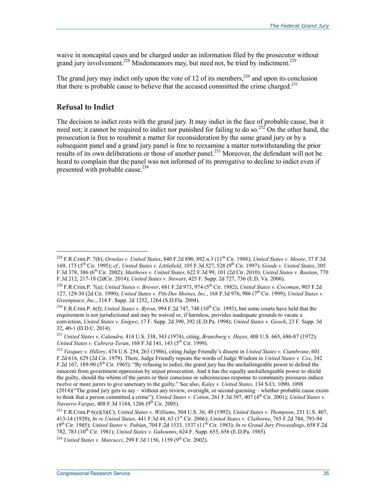waive in noncapital cases and be charged under an information filed by the prosecutor without grand jury involvement.<sup>228</sup> Misdemeanors may, but need not, be tried by indictment.<sup>229</sup>

The grand jury may indict only upon the vote of 12 of its members,  $230$  and upon its conclusion that there is probable cause to believe that the accused committed the crime charged.<sup>231</sup>

### **Refusal to Indict**

1

The decision to indict rests with the grand jury. It may indict in the face of probable cause, but it need not; it cannot be required to indict nor punished for failing to do so.<sup>232</sup> On the other hand, the prosecution is free to resubmit a matter for reconsideration by the same grand jury or by a subsequent panel and a grand jury panel is free to reexamine a matter notwithstanding the prior results of its own deliberations or those of another panel.<sup>233</sup> Moreover, the defendant will not be heard to complain that the panel was not informed of its prerogative to decline to indict even if presented with probable cause.<sup>234</sup>

<sup>228</sup> F.R.Crim.P. 7(b); *Ornelas v. United States*, 840 F.2d 890, 892 n.3 (11th Cir. 1988); *United States v. Moore*, 37 F.3d 169, 173 (5th Cir. 1995); *cf.*, *United States v. Littlefield*, 105 F.3d 527, 528 (9th Cir. 1997); *Goode v. United States*, 305 F.3d 378, 386 (6th Cir. 2002); *Matthews v. United States*, 622 F.3d 99, 101 (2d Cir. 2010); *United States v. Bastian*, 770 F.3d 212, 217-18 (2dCir. 2014); *United States v. Stewart*, 425 F. Supp. 2d 727, 736 (E.D. Va. 2006).

<sup>229</sup> F.R.Crim.P. 7(a); *United States v. Brewer*, 681 F.2d 973, 974 (5th Cir. 1982); *United States v. Cocoman*, 903 F.2d 127, 129-30 (2d Cir. 1990); *United States v. Pitt-Des Moines, Inc.*, 168 F.3d 976, 986 (7th Cir. 1999); *United States v. Greenpeace, Inc.*, 314 F. Supp. 2d 1252, 1264 (S.D.Fla. 2004).

<sup>&</sup>lt;sup>230</sup> F.R.Crim.P. 6(f); *United States v. Byron*, 994 F.2d 747, 748 (10<sup>th</sup> Cir. 1993), but some courts have held that the requirement is not jurisdictional and may be waived or, if harmless, provides inadequate grounds to vacate a conviction, *United States v. Enigwe*, 17 F. Supp. 2d 390, 392 (E.D.Pa. 1998); *United States v. Gooch*, 23 F. Supp. 3d 32, 40-1 (D.D.C. 2014).

<sup>231</sup> *United States v. Calandra,* 414 U.S. 338, 343 (1974), citing, *Branzburg v. Hayes*, 408 U.S. 665, 686-87 (1972); *United States v. Cabrera-Teran, 168 F.3d 141, 143 (5<sup>th</sup> Cir. 1999).* 

<sup>232</sup> *Vasquez v. Hillery*, 474 U.S. 254, 263 (1986), citing Judge Friendly's dissent in *United States v. Ciambrone*, 601 F.2d 616, 629 (2d Cir. 1979). There, Judge Friendly repeats the words of Judge Wisdom in *United States v. Cox*, 342 F.2d 167, 189-90 ( $5<sup>th</sup>$  Cir. 1965): "By refusing to indict, the grand jury has the unchallengeable power to defend the innocent from government oppression by unjust prosecution. And it has the equally unchallengeable power to shield the guilty, should the whims of the jurors or their conscious or subconscious response to community pressures induce twelve or more jurors to give sanctuary to the guilty." See also, *Kaley v. United States*, 134 S.Ct. 1090, 1098 (2014)("The grand jury gets to say – without any review, oversight, or second-guessing – whether probable cause exists to think that a person committed a crime"); *United States v. Cotton*, 261 F.3d 397, 407 (4<sup>th</sup> Cir. 2001); *United States v. Navarro-Vargas*, 408 F.3d 1184, 1206 (9th Cir. 2005).

<sup>233</sup> F.R.Crim.P 6(e)(3)(C); *United States v. Williams*, 504 U.S. 36, 49 (1992); *United States v. Thompson*, 251 U.S. 407, 413-14 (1920); *In re United States*, 441 F.3d 44, 63 (1st Cir. 2006); *United States v. Claiborne*, 765 F.2d 784, 793-94 (9th Cir. 1985); *United States* v. *Pabian*, 704 F.2d 1533, 1537 (11th Cir. 1983); *In re Grand Jury Proceedings*, 658 F.2d 782, 783 (10th Cir. 1981); *United States v. Gakoumis*, 624 F. Supp. 655, 656 (E.D.Pa. 1985).

<sup>&</sup>lt;sup>234</sup> *United States v. Marcucci*, 299 F.3d 1156, 1159 (9<sup>th</sup> Cir. 2002).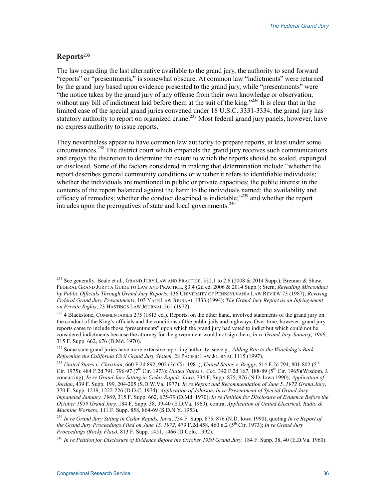# **Reports235**

1

The law regarding the last alternative available to the grand jury, the authority to send forward "reports" or "presentments," is somewhat obscure. At common law "indictments" were returned by the grand jury based upon evidence presented to the grand jury, while "presentments" were "the notice taken by the grand jury of any offense from their own knowledge or observation, without any bill of indictment laid before them at the suit of the king." $^{236}$  It is clear that in the limited case of the special grand juries convened under 18 U.S.C. 3331-3334, the grand jury has statutory authority to report on organized crime.<sup>237</sup> Most federal grand jury panels, however, have no express authority to issue reports.

They nevertheless appear to have common law authority to prepare reports, at least under some circumstances.238 The district court which empanels the grand jury receives such communications and enjoys the discretion to determine the extent to which the reports should be sealed, expunged or disclosed. Some of the factors considered in making that determination include "whether the report describes general community conditions or whether it refers to identifiable individuals; whether the individuals are mentioned in public or private capacities; the public interest in the contents of the report balanced against the harm to the individuals named; the availability and efficacy of remedies; whether the conduct described is indictable;<sup>2239</sup> and whether the report  $intudes upon the prerogatives of state and local governments.<sup>240</sup>$ 

<sup>235</sup> See generally*,* Beale et al., GRAND JURY LAW AND PRACTICE, §§2.1 to 2.8 (2008 & 2014 Supp.); Brenner & Shaw, FEDERAL GRAND JURY: A GUIDE TO LAW AND PRACTICE, §3.4 (2d ed. 2006 & 2014 Supp.); Stern, *Revealing Misconduct by Public Officials Through Grand Jury Reports*, 136 UNIVERSITY OF PENNSYLVANIA LAW REVIEW 73 (1987); *Reviving Federal Grand Jury Presentments*, 103 YALE LAW JOURNAL 1333 (1994); *The Grand Jury Report as an Infringement on Private Rights*, 23 HASTINGS LAW JOURNAL 561 (1972).

<sup>&</sup>lt;sup>236</sup> 4 Blackstone, COMMENTARIES 275 (1813 ed.). Reports, on the other hand, involved statements of the grand jury on the conduct of the King's officials and the conditions of the public jails and highways. Over time, however, grand jury reports came to include those "presentments" upon which the grand jury had voted to indict but which could not be considered indictments because the attorney for the government would not sign them, *In re Grand Jury January, 1969*, 315 F. Supp. 662, 676 (D.Md. 1970).

<sup>237</sup> Some state grand juries have more extensive reporting authority, see e.g*.*, *Adding Bite to the Watchdog's Bark: Reforming the California Civil Grand Jury System*, 28 PACIFIC LAW JOURNAL 1115 (1997).

<sup>238</sup> *United States v. Christian*, 660 F.2d 892, 902 (3d Cir. 1981); *United States v. Briggs*, 514 F.2d 794, 801-802 (5th Cir. 1975); 484 F.2d 791, 796-97 (7<sup>th</sup> Cir. 1973); *United States v. Cox*, 342 F.2d 167, 188-89 (5<sup>th</sup> Cir. 1965)(Wisdom, J. concurring); *In re Grand Jury Sitting in Cedar Rapids, Iowa*, 734 F. Supp. 875, 876 (N.D. Iowa 1990); *Application of Jordan*, 439 F. Supp. 199, 204-205 (S.D.W.Va. 1977); *In re Report and Recommendation of June 5, 1972 Grand Jury*, 370 F. Supp. 1219, 1222-226 (D.D.C. 1974); *Application of Johnson*, *In re Presentment of Special Grand Jury Impaneled January, 1969*, 315 F. Supp. 662, 675-79 (D.Md. 1970); *In re Petition for Disclosure of Evidence Before the October 1959 Grand Jury,* 184 F. Supp. 38, 39-40 (E.D.Va. 1960); contra, *Application of United Electrical, Radio & Machine Workers*, 111 F. Supp. 858, 864-69 (S.D.N.Y. 1953).

<sup>239</sup> *In re Grand Jury Sitting in Cedar Rapids, Iowa*, 734 F. Supp. 875, 876 (N.D. Iowa 1990), quoting *In re Report of the Grand Jury Proceedings Filed on June 15, 1972*, 479 F.2d 458, 460 n.2 (5th Cir. 1973); *In re Grand Jury Proceedings (Rocky Flats)*, 813 F. Supp. 1451, 1466 (D.Colo. 1992).

<sup>240</sup> *In re Petition for Disclosure of Evidence Before the October 1959 Grand Jury,* 184 F. Supp. 38, 40 (E.D.Va. 1960).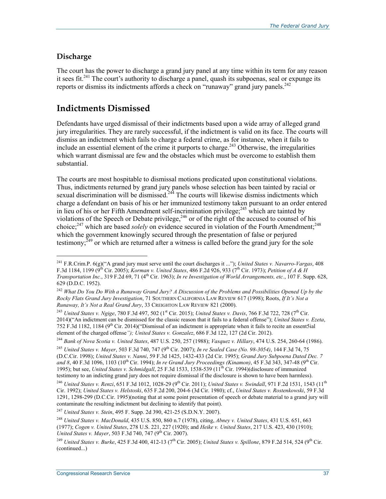# **Discharge**

 $\overline{a}$ 

The court has the power to discharge a grand jury panel at any time within its term for any reason it sees fit.<sup>241</sup> The court's authority to discharge a panel, quash its subpoenas, seal or expunge its reports or dismiss its indictments affords a check on "runaway" grand jury panels.<sup>242</sup>

# **Indictments Dismissed**

Defendants have urged dismissal of their indictments based upon a wide array of alleged grand jury irregularities. They are rarely successful, if the indictment is valid on its face. The courts will dismiss an indictment which fails to charge a federal crime, as for instance, when it fails to include an essential element of the crime it purports to charge.<sup>243</sup> Otherwise, the irregularities which warrant dismissal are few and the obstacles which must be overcome to establish them substantial.

The courts are most hospitable to dismissal motions predicated upon constitutional violations. Thus, indictments returned by grand jury panels whose selection has been tainted by racial or sexual discrimination will be dismissed.<sup>244</sup> The courts will likewise dismiss indictments which charge a defendant on basis of his or her immunized testimony taken pursuant to an order entered in lieu of his or her Fifth Amendment self-incrimination privilege;  $245$  which are tainted by in the correct resolutions of the Speech or Debate privilege,  $246$  or of the right of the accused to counsel of his choice;<sup>247</sup> which are based *solely* on evidence secured in violation of the Fourth Amendment;<sup>248</sup> which the government knowingly secured through the presentation of false or perjured testimony;  $249$  or which are returned after a witness is called before the grand jury for the sole

<sup>243</sup> *United States v. Ngige*, 780 F.3d 497, 502 (1<sup>st</sup> Cir. 2015); *United States v. Davis*, 766 F.3d 722, 728 (7<sup>th</sup> Cir. 2014)("An indictment can be dismissed for the classic reason that it fails to a federal offense"); *United States v. Ezeta*, 752 F.3d 1182, 1184 ( $9<sup>th</sup>$  Cir. 2014)("Dismissal of an indictment is appropriate when it fails to recite an essent5ial element of the charged offense*"); United States v. Gonzalez*, 686 F.3d 122, 127 (2d Cir. 2012).

<sup>244</sup> *Bank of Nova Scotia v. United States*, 487 U.S. 250, 257 (1988); *Vasquez v. Hillary*, 474 U.S. 254, 260-64 (1986).

<sup>245</sup> *United States v. Mayer*, 503 F.3d 740, 747 (9<sup>th</sup> Cir. 2007); *In re Sealed Case (No. 98-3054)*, 144 F.3d 74, 75 (D.C.Cir. 1998); *United States v. Nanni*, 59 F.3d 1425, 1432-433 (2d Cir. 1995); *Grand Jury Subpoena Dated Dec. 7 and 8*, 40 F.3d 1096, 1103 (10th Cir. 1994); *In re Grand Jury Proceedings (Kinamon)*, 45 F.3d 343, 347-48 (9th Cir. 1995); but see, *United States v. Schmidgall*, 25 F.3d 1533, 1538-539 (11th Cir. 1994)(disclosure of immunized testimony to an indicting grand jury does not require dismissal if the disclosure is shown to have been harmless).

<sup>241</sup> F.R.Crim.P. 6(g)("A grand jury must serve until the court discharges it ..."); *United States v. Navarro-Vargas*, 408 F.3d 1184, 1199 (9th Cir. 2005); *Korman v. United States*, 486 F.2d 926, 933 (7th Cir. 1973); *Petition of A & H Transportation Inc.*, 319 F.2d 69, 71 (4<sup>th</sup> Cir. 1963); *In re Investigation of World Arrangements, etc.*, 107 F. Supp. 628, 629 (D.D.C. 1952).

<sup>242</sup> *What Do You Do With a Runaway Grand Jury? A Discussion of the Problems and Possibilities Opened Up by the Rocky Flats Grand Jury Investigation*, 71 SOUTHERN CALIFORNIA LAW REVIEW 617 (1998); Roots, *If It's Not a Runaway, It's Not a Real Grand Jury*, 33 CREIGHTON LAW REVIEW 821 (2000).

<sup>&</sup>lt;sup>246</sup> *United States v. Renzi*, 651 F.3d 1012, 1028-29 (9<sup>th</sup> Cir. 2011); *United States v. Swindall*, 971 F.2d 1531, 1543 (11<sup>th</sup> Cir. 1992); *United States v. Helstoski*, 635 F.2d 200, 204-6 (3d Cir. 1980); cf., *United States v. Rostenkowski*, 59 F.3d 1291, 1298-299 (D.C.Cir. 1995)(noting that at some point presentation of speech or debate material to a grand jury will contaminate the resulting indictment but declining to identify that point).

<sup>247</sup> *United States v. Stein*, 495 F. Supp. 2d 390, 421-25 (S.D.N.Y. 2007).

<sup>248</sup> *United States v. MacDonald*, 435 U.S. 850, 860 n.7 (1978), citing, *Abney v. United States*, 431 U.S. 651, 663 (1977); *Cogen v. United States*, 278 U.S. 221, 227 (1920); and *Heike v. United States*, 217 U.S. 423, 430 (1910); United States v. Mayer, 503 F.3d 740, 747 (9<sup>th</sup> Cir. 2007).

<sup>249</sup> *United States v. Burke*, 425 F.3d 400, 412-13 (7th Cir. 2005); *United States v. Spillone*, 879 F.2d 514, 524 (9th Cir. (continued...)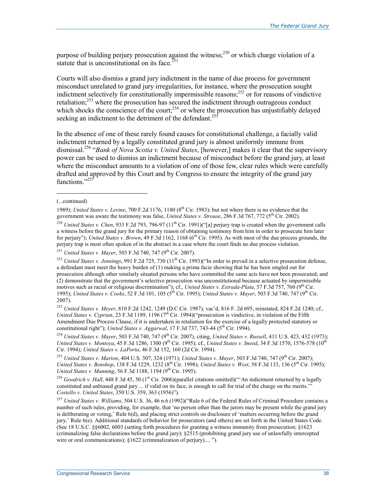purpose of building perjury prosecution against the witness;<sup>250</sup> or which charge violation of a statute that is unconstitutional on its face. $^{251}$ 

Courts will also dismiss a grand jury indictment in the name of due process for government misconduct unrelated to grand jury irregularities, for instance, where the prosecution sought indictment selectively for constitutionally impermissible reasons;  $^{252}$  or for reasons of vindictive retaliation;<sup>253</sup> where the prosecution has secured the indictment through outrageous conduct which shocks the conscience of the court;<sup>254</sup> or where the prosecution has unjustifiably delayed seeking an indictment to the detriment of the defendant.<sup>255</sup>

In the absence of one of these rarely found causes for constitutional challenge, a facially valid indictment returned by a legally constituted grand jury is almost uniformly immune from dismissal.256 "*Bank of Nova Scotia v. United States*, [however,] makes it clear that the supervisory power can be used to dismiss an indictment because of misconduct before the grand jury, at least where the misconduct amounts to a violation of one of those few, clear rules which were carefully drafted and approved by this Court and by Congress to ensure the integrity of the grand jury functions<sup>"257</sup>

1

<sup>254</sup> *United States v. Mayer*, 503 F.3d 740, 747 (9<sup>th</sup> Cir. 2007), citing, *United States v. Russell*, 411 U.S. 423, 432 (1973); *United States v. Montoya*, 45 F.3d 1286, 1300 (9<sup>th</sup> Cir. 1995); cf., *United States v. Sneed*, 34 F.3d 1570, 1576-578 (10<sup>th</sup>) Cir. 1994); *United States v. LaPorta*, 46 F.3d 152, 160 (2d Cir. 1994).

<sup>(...</sup>continued)

<sup>1989);</sup> *United States v. Levine*, 700 F.2d 1176, 1180 (8th Cir. 1983); but not where there is no evidence that the government was aware the testimony was false, *United States v. Strouse*, 286 F.3d 767, 772 (5<sup>th</sup> Cir. 2002).

<sup>&</sup>lt;sup>250</sup> *United States v. Chen*, 933 F.2d 793, 796-97 (11<sup>th</sup> Cir. 1991)("[a] perjury trap is created when the government calls a witness before the grand jury for the primary reason of obtaining testimony from him in order to prosecute him later for perjury"); *United States v. Brown*, 49 F.3d 1162, 1168 (6<sup>th</sup> Cir. 1995). As with most of the due process grounds, the perjury trap is most often spoken of in the abstract in a case where the court finds no due process violation.

<sup>&</sup>lt;sup>251</sup> *United States v. Mayer*, 503 F.3d 740, 747 (9<sup>th</sup> Cir. 2007).

<sup>&</sup>lt;sup>252</sup> *United States v. Jennings*, 991 F.2d 725, 730 (11<sup>th</sup> Cir. 1993)("In order to prevail in a selective prosecution defense, a defendant must meet the heavy burden of (1) making a prima facie showing that he has been singled out for prosecution although other similarly situated persons who have committed the same acts have not been prosecuted; and (2) demonstrate that the government's selective prosecution was unconstitutional because actuated by impermissible motives such as racial or religious discrimination"); cf., *United States v. Estrada-Plata*, 57 F.3d 757, 760 (9<sup>th</sup> Cir. 1995); *United States v. Cooks*, 52 F.3d 101, 105 (5<sup>th</sup> Cir. 1995); *United States v. Mayer*, 503 F.3d 740, 747 (9<sup>th</sup> Cir. 2007).

<sup>253</sup> *United States v. Meyer*, 810 F.2d 1242, 1249 (D.C.Cir. 1987), vac'd, 816 F. 2d 695, reinstated, 824 F.2d 1240; cf., *United States v. Cyprian,* 23 F.3d 1189, 1196 ( $7<sup>th</sup>$  Cir. 1994)("prosecution is vindictive, in violation of the Fifth Amendment Due Process Clause, if it is undertaken in retaliation for the exercise of a legally protected statutory or constitutional right"); *United States v. Aggarwal*, 17 F.3d 737, 743-44 (5<sup>th</sup> Cir. 1994).

<sup>&</sup>lt;sup>255</sup> *United States v. Marion*, 404 U.S. 307, 324 (1971); *United States v. Mayer*, 503 F.3d 740, 747 (9<sup>th</sup> Cir. 2007); *United States v. Benshop*, 138 F.3d 1229, 1232 (8<sup>th</sup> Cir. 1998); *United States v. West*, 58 F.3d 133, 136 (5<sup>th</sup> Cir. 1995); *United States v. Manning*, 56 F.3d 1188, 1194 (9<sup>th</sup> Cir. 1995).

<sup>&</sup>lt;sup>256</sup> *Goodrich v. Hall*, 448 F.3d 45, 50 (1<sup>st</sup> Cir. 2006)(parallel citations omitted)("An indictment returned by a legally constituted and unbiased grand jury ... if valid on its face, is enough to call for trial of the charge on the merits.'" *Costello v. United States*, 350 U.S. 359, 363 (1956)").

<sup>257</sup> *United States v. Williams*, 504 U.S. 36, 46 n.6 (1992)("Rule 6 of the Federal Rules of Criminal Procedure contains a number of such rules, providing, for example, that 'no person other than the jurors may be present while the grand jury is deliberating or voting,' Rule 6(d), and placing strict controls on disclosure of 'matters occurring before the grand jury,' Rule 6(e). Additional standards of behavior for prosecutors (and others) are set forth in the United States Code. (See 18 U.S.C. §§6002, 6003 (setting forth procedures for granting a witness immunity from prosecution; §1623 (criminalizing false declarations before the grand jury); §2515 (prohibiting grand jury use of unlawfully intercepted wire or oral communications); §1622 (criminalization of perjury).... ").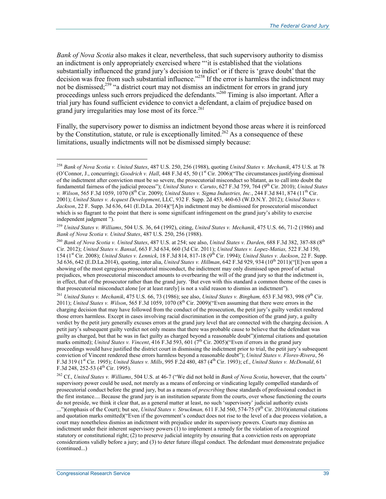*Bank of Nova Scotia* also makes it clear, nevertheless, that such supervisory authority to dismiss an indictment is only appropriately exercised where "'it is established that the violations substantially influenced the grand jury's decision to indict' or if there is 'grave doubt' that the decision was free from such substantial influence."<sup>258</sup> If the error is harmless the indictment may not be dismissed;<sup>259</sup> "a district court may not dismiss an indictment for errors in grand jury proceedings unless such errors prejudiced the defendants."<sup>260</sup> Timing is also important. After a trial jury has found sufficient evidence to convict a defendant, a claim of prejudice based on grand jury irregularities may lose most of its force.<sup>261</sup>

Finally, the supervisory power to dismiss an indictment beyond those areas where it is reinforced by the Constitution, statute, or rule is exceptionally limited.<sup>262</sup> As a consequence of these limitations, usually indictments will not be dismissed simply because:

<sup>261</sup> United States v. Mechanik, 475 U.S. 66, 73 (1986); see also, *United States v. Bingham*, 653 F.3d 983, 998 (9<sup>th</sup> Cir. 2011); *United States v. Wilson*, 565 F.3d 1059, 1070 ( $8<sup>th</sup>$  Cir. 2009)("Even assuming that there were errors in the charging decision that may have followed from the conduct of the prosecution, the petit jury's guilty verdict rendered those errors harmless. Except in cases involving racial discrimination in the composition of the grand jury, a guilty verdict by the petit jury generally excuses errors at the grand jury level that are connected with the charging decision. A petit jury's subsequent guilty verdict not only means that there was probable cause to believe that the defendant was guilty as charged, but that he was in fact guilty as charged beyond a reasonable doubt")(internal citations and quotation marks omitted); *United States v. Vincent*, 416 F.3d 593, 601 (7<sup>th</sup> Cir. 2005)("Even if errors in the grand jury proceedings would have justified the district court in dismissing the indictment prior to trial, the petit jury's subsequent conviction of Vincent rendered these errors harmless beyond a reasonable doubt"); *United States v. Flores-Rivera*, 56 F.3d 319 (1st Cir. 1995); *United States v. Mills*, 995 F.2d 480, 487 (4th Cir. 1993); cf., *United States v. McDonald*, 61 F.3d 248, 252-53 ( $4<sup>th</sup>$  Cir. 1995).

262 Cf., *United States v. Williams*, 504 U.S. at 46-7 ("We did not hold in *Bank of Nova Scotia*, however, that the courts' supervisory power could be used, not merely as a means of enforcing or vindicating legally compelled standards of prosecutorial conduct before the grand jury, but as a means of *prescribing* those standards of professional conduct in the first instance.... Because the grand jury is an institution separate from the courts, over whose functioning the courts do not preside, we think it clear that, as a general matter at least, no such 'supervisory' judicial authority exists

...")(emphasis of the Court); but see, *United States v. Struckman*, 611 F.3d 560, 574-75 (9<sup>th</sup> Cir. 2010)(internal citations and quotation marks omitted)("Even if the government's conduct does not rise to the level of a due process violation, a court may nonetheless dismiss an indictment with prejudice under its supervisory powers. Courts may dismiss an indictment under their inherent supervisory powers (1) to implement a remedy for the violation of a recognized statutory or constitutional right; (2) to preserve judicial integrity by ensuring that a conviction rests on appropriate considerations validly before a jury; and (3) to deter future illegal conduct. The defendant must demonstrate prejudice (continued...)

<sup>258</sup> *Bank of Nova Scotia v. United States*, 487 U.S. 250, 256 (1988), quoting *United States v. Mechanik*, 475 U.S. at 78 (O'Connor, J., concurring); *Goodrich v. Hall*, 448 F.3d 45, 50 (1st Cir. 2006)("The circumstances justifying dismissal of the indictment after conviction must be so severe, the prosecutorial misconduct so blatant, as to call into doubt the fundamental fairness of the judicial process"); *United States v. Caruto*, 627 F.3d 759, 764 (9th Cir. 2010); *United States v. Wilson*, 565 F.3d 1059, 1070 (8th Cir. 2009); *United States v. Sigma Industries, Inc.*, 244 F.3d 841, 874 (11th Cir. 2001); *United States v. Acquest Development*, LLC, 932 F. Supp. 2d 453, 460-63 (W.D.N.Y. 2012); *United States v. Jackson*, 22 F. Supp. 3d 636, 641 (E.D.La. 2014)("[A]n indictment may be dismissed for prosecutorial misconduct which is so flagrant to the point that there is some significant infringement on the grand jury's ability to exercise independent judgment ").

<sup>259</sup> *United States v. Williams*, 504 U.S. 36, 64 (1992), citing, *United States v. Mechanik*, 475 U.S. 66, 71-2 (1986) and *Bank of Nova Scotia v. United States*, 487 U.S. 250, 256 (1988).

<sup>260</sup> *Bank of Nova Scotia v. United States*, 487 U.S. at 254; see also, *United States v. Darden*, 688 F.3d 382, 387-88 (8th Cir. 2012); *United States v. Bansal*, 663 F.3d 634, 660 (3d Cir. 2011); *United States v. Lopez-Matias,* 522 F.3d 150, 154 (1st Cir. 2008); *United States v. Lennick*, 18 F.3d 814, 817-18 (9th Cir. 1994); *United States v. Jackson*, 22 F. Supp. 3d 636, 642 (E.D.La.2014), quoting, inter alia, *United States v. Hillman*, 642 F.3d 929, 934 (10th 2011)("[E]ven upon a showing of the most egregious prosecutorial misconduct, the indictment may only dismissed upon proof of actual prejudices, when prosecutorial misconduct amounts to overbearing the will of the grand jury so that the indictment is, in effect, that of the prosecutor rather than the grand jury. 'But even with this standard a common theme of the cases is that prosecutorial misconduct alone [or at least rarely] is not a valid reason to dismiss an indictment").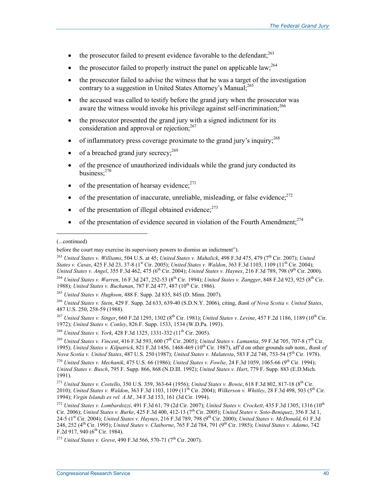- the prosecutor failed to present evidence favorable to the defendant; $^{263}$
- the prosecutor failed to properly instruct the panel on applicable law;  $^{264}$
- the prosecutor failed to advise the witness that he was a target of the investigation contrary to a suggestion in United States Attorney's Manual;<sup>265</sup>
- the accused was called to testify before the grand jury when the prosecutor was aware the witness would invoke his privilege against self-incrimination;<sup>266</sup>
- the prosecutor presented the grand jury with a signed indictment for its consideration and approval or rejection; $^{267}$
- of inflammatory press coverage proximate to the grand jury's inquiry; $^{268}$
- of a breached grand jury secrecy;  $269$
- of the presence of unauthorized individuals while the grand jury conducted its business:<sup>270</sup>
- of the presentation of hearsay evidence; $^{271}$
- of the presentation of inaccurate, unreliable, misleading, or false evidence; $^{272}$
- of the presentation of illegal obtained evidence: $273$
- of the presentation of evidence secured in violation of the Fourth Amendment; $^{274}$

1

<sup>263</sup> *United States v. Williams*, 504 U.S. at 45; *United States v. Mahalick*, 498 F.3d 475, 479 (7th Cir. 2007); *United States v. Casas*, 425 F.3d 23, 37-8 (1st Cir. 2005); *United States v. Waldon*, 363 F.3d 1103, 1109 (11th Cir. 2004); *United States v. Angel*, 355 F.3d 462, 475 (6th Cir. 2004); *United States v. Haynes*, 216 F.3d 789, 798 (9th Cir. 2000). <sup>264</sup> *United States v. Warren*, 16 F.3d 247, 252-53 (8th Cir. 1994); *United States v. Zangger*, 848 F.2d 923, 925 (8th Cir. 1988); *United States v. Buchanan*, 787 F.2d 477, 487 (10<sup>th</sup> Cir. 1986).

<sup>267</sup> *United States v. Singer*, 660 F.2d 1295, 1302 (8<sup>th</sup> Cir. 1981); *United States v. Levine*, 457 F.2d 1186, 1189 (10<sup>th</sup> Cir. 1972); *United States v. Conley*, 826 F. Supp. 1533, 1534 (W.D.Pa. 1993).

<sup>268</sup> *United States v. York*, 428 F.3d 1325, 1331-332 (11<sup>th</sup> Cir. 2005).

<sup>269</sup> *United States v. Vincent*, 416 F.3d 593, 600 (7th Cir. 2005); *United States v. Lamantia*, 59 F.3d 705, 707-8 (7th Cir. 1995); *United States v. Kilpatrick*, 821 F.2d 1456, 1468-469 (10th Cir. 1987), aff'd on other grounds sub nom., *Bank of Nova Scotia v. United States*, 487 U.S. 250 (1987); *United States v. Malatesta*, 583 F.2d 748, 753-54 (5th Cir. 1978).

<sup>(...</sup>continued)

before the court may exercise its supervisory powers to dismiss an indictment").

<sup>265</sup> *United States v. Hughson*, 488 F. Supp. 2d 835, 845 (D. Minn. 2007).

<sup>266</sup> *United States v. Stein*, 429 F. Supp. 2d 633, 639-40 (S.D.N.Y. 2006), citing, *Bank of Nova Scotia v. United States*, 487 U.S. 250, 258-59 (1988).

<sup>270</sup> *United States v. Mechanik*, 475 U.S. 66 (1986); *United States v. Fowlie*, 24 F.3d 1059, 1065-66 (9th Cir. 1994); *United States v. Busch*, 795 F. Supp. 866, 868 (N.D.Ill. 1992); *United States v. Hart*, 779 F. Supp. 883 (E.D.Mich. 1991).

<sup>&</sup>lt;sup>271</sup> *United States v. Costello*, 350 U.S. 359, 363-64 (1956); *United States v. Bowie*, 618 F.3d 802, 817-18 (8<sup>th</sup> Cir. 2010); *United States v. Waldon*, 363 F.3d 1103, 1109 (11th Cir. 2004); *Wilkerson v. Whitley*, 28 F.3d 498, 503 (5th Cir. 1994); *Virgin Islands ex rel. A.M.*, 34 F.3d 153, 161 (3d Cir. 1994).

<sup>272</sup> *United States v. Lombardozzi*, 491 F.3d 61, 79 (2d Cir. 2007); *United States v. Crockett*, 435 F.3d 1305, 1316 (10th Cir. 2006); *United States v. Burke*, 425 F.3d 400, 412-13 (7<sup>th</sup> Cir. 2005); *United States v. Soto-Beniquez*, 356 F.3d 1, 24-5 (1st Cir. 2004); *United States v. Haynes*, 216 F.3d 789, 798 (9th Cir. 2000); *United States v. McDonald*, 61 F.3d 248, 252 (4th Cir. 1995); *United States v. Claiborne*, 765 F.2d 784, 791 (9th Cir. 1985); *United States v. Adamo*, 742 F.2d 917, 940 ( $6<sup>th</sup>$  Cir. 1984).

<sup>&</sup>lt;sup>273</sup> *United States v. Greve*, 490 F.3d 566, 570-71 (7<sup>th</sup> Cir. 2007).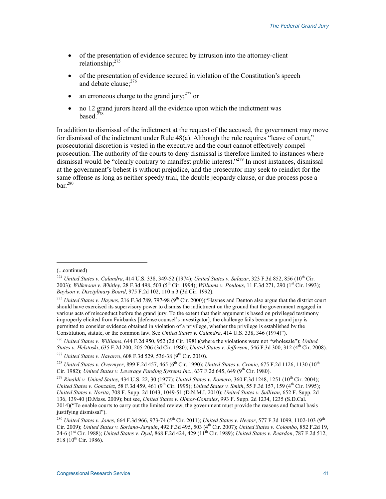- of the presentation of evidence secured by intrusion into the attorney-client relationship;275
- of the presentation of evidence secured in violation of the Constitution's speech and debate clause:<sup>276</sup>
- an erroneous charge to the grand jury;  $277$  or
- no 12 grand jurors heard all the evidence upon which the indictment was based. $278$

In addition to dismissal of the indictment at the request of the accused, the government may move for dismissal of the indictment under Rule 48(a). Although the rule requires "leave of court," prosecutorial discretion is vested in the executive and the court cannot effectively compel prosecution. The authority of the courts to deny dismissal is therefore limited to instances where dismissal would be "clearly contrary to manifest public interest."<sup>279</sup> In most instances, dismissal at the government's behest is without prejudice, and the prosecutor may seek to reindict for the same offense as long as neither speedy trial, the double jeopardy clause, or due process pose a  $bar^{280}$ 

<sup>(...</sup>continued)

<sup>&</sup>lt;sup>274</sup> *United States v. Calandra*, 414 U.S. 338, 349-52 (1974); *United States v. Salazar*, 323 F.3d 852, 856 (10<sup>th</sup> Cir. 2003); *Wilkerson v. Whitley*, 28 F.3d 498, 503 (5th Cir. 1994); *Williams v. Poulous*, 11 F.3d 271, 290 (1st Cir. 1993); *Baylson v. Disciplinary Board*, 975 F.2d 102, 110 n.3 (3d Cir. 1992).

<sup>&</sup>lt;sup>275</sup> *United States v. Haynes*, 216 F.3d 789, 797-98 (9<sup>th</sup> Cir. 2000)("Haynes and Denton also argue that the district court should have exercised its supervisory power to dismiss the indictment on the ground that the government engaged in various acts of misconduct before the grand jury. To the extent that their argument is based on privileged testimony improperly elicited from Fairbanks [defense counsel's investigator], the challenge fails because a grand jury is permitted to consider evidence obtained in violation of a privilege, whether the privilege is established by the Constitution, statute, or the common law. See *United States v. Calandra*, 414 U.S. 338, 346 (1974)").

<sup>276</sup> *United States v. Williams*, 644 F.2d 950, 952 (2d Cir. 1981)(where the violations were not "wholesale"); *United States v. Helstoski*, 635 F.2d 200, 205-206 (3d Cir. 1980); *United States v. Jefferson*, 546 F.3d 300, 312 (4th Cir. 2008).

<sup>&</sup>lt;sup>277</sup> *United States v. Navarro*, 608 F.3d 529, 536-38 (9<sup>th</sup> Cir. 2010).

<sup>&</sup>lt;sup>278</sup> *United States v. Overmyer*, 899 F.2d 457, 465 (6<sup>th</sup> Cir. 1990); *United States v. Cronic*, 675 F.2d 1126, 1130 (10<sup>th</sup> Cir. 1982); *United States v. Leverage Funding Systems Inc.*, 637 F.2d 645, 649 (9<sup>th</sup> Cir. 1980).

<sup>279</sup> *Rinaldi v. United States*, 434 U.S. 22, 30 (1977); *United States v. Romero*, 360 F.3d 1248, 1251 (10th Cir. 2004); *United States v. Gonzalez*, 58 F.3d 459, 461 (9<sup>th</sup> Cir. 1995); *United States v. Smith*, 55 F.3d 157, 159 (4<sup>th</sup> Cir. 1995); *United States v. Norita*, 708 F. Supp. 2d 1043, 1049-51 (D.N.M.I. 2010); *United States v. Sullivan*, 652 F. Supp. 2d 136, 139-40 (D.Mass. 2009); but see, *United States v. Olmos-Gonzales*, 993 F. Supp. 2d 1234, 1235 (S.D.Cal. 2014)("To enable courts to carry out the limited review, the government must provide the reasons and factual basis justifying dismissal").

<sup>&</sup>lt;sup>280</sup> *United States v. Jones*, 664 F.3d 966, 973-74 (5<sup>th</sup> Cir. 2011); *United States v. Hector*, 577 F.3d 1099, 1102-103 (9<sup>th</sup> Cir. 2009); *United States v. Soriano-Jarquin*, 492 F.3d 495, 503 (4th Cir. 2007); *United States v. Colombo*, 852 F.2d 19, 24-6 (1st Cir. 1988); *United States v. Dyal*, 868 F.2d 424, 429 (11th Cir. 1989); *United States v. Reardon*, 787 F.2d 512, 518 (10<sup>th</sup> Cir. 1986).